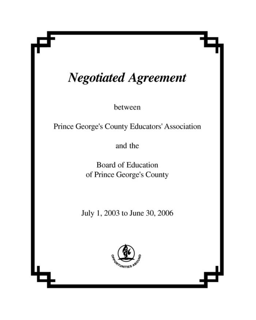# **Negotiated Agreement**

between

Prince George's County Educators' Association

and the

**Board of Education** of Prince George's County

July 1, 2003 to June 30, 2006

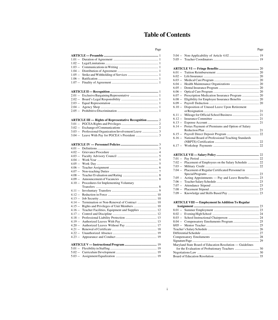# **Table of Contents**

| Page | Page |
|------|------|
|      |      |

<span id="page-1-1"></span><span id="page-1-0"></span>

| <b>ARTICLE III — Rights of Representative Recognition </b> 2 |  |
|--------------------------------------------------------------|--|
|                                                              |  |
|                                                              |  |
|                                                              |  |
|                                                              |  |

## **[ARTICLE IV — Personnel Policies...............................................](#page-4-2)** 3

| 4.06 --  |                                                |  |
|----------|------------------------------------------------|--|
| 4.07 --  |                                                |  |
| $4.08 -$ |                                                |  |
| $4.09 -$ |                                                |  |
| $4.10 -$ | Procedures for Implementing Voluntary          |  |
|          |                                                |  |
| $4.11 -$ |                                                |  |
| $4.12 -$ |                                                |  |
| $4.13 -$ |                                                |  |
| $4.14 -$ |                                                |  |
| $4.15 -$ |                                                |  |
| $4.16 -$ | Teacher Facilities, Equipment and Supplies  12 |  |
| $4.17 -$ |                                                |  |
| $4.18 -$ |                                                |  |
| 4.19 --  |                                                |  |
|          |                                                |  |
| $4.21 -$ |                                                |  |
|          |                                                |  |
| $4.23 -$ |                                                |  |
|          |                                                |  |
|          |                                                |  |
|          |                                                |  |

|--|--|--|--|

| $6.01 -$                                                      |  |
|---------------------------------------------------------------|--|
| $6.02 -$                                                      |  |
| $6.03 -$                                                      |  |
| $6.04 -$                                                      |  |
| $6.05 -$                                                      |  |
| $6.06 -$                                                      |  |
| $6.07 -$                                                      |  |
| Eligibility for Employee Insurance Benefits  20<br>$6.08 -$   |  |
| $6.09 -$                                                      |  |
| Disposition of Unused Leave Upon Retirement<br>$6.10 -$       |  |
|                                                               |  |
| $6.11 -$                                                      |  |
| $6.12 -$                                                      |  |
| $6.13 -$                                                      |  |
| $6.14 -$<br>Pretax Payment of Premiums and Option of Salary   |  |
|                                                               |  |
|                                                               |  |
| National Board of Professional Teaching Standards<br>$6.16 -$ |  |
|                                                               |  |
| $6.17 -$                                                      |  |
|                                                               |  |
|                                                               |  |
| $7.01 -$                                                      |  |
| 7.02 -- Placement of Employees on the Salary Schedule  22     |  |
|                                                               |  |
| Placement of Regular Certificated Personnel in<br>$7.04 -$    |  |
|                                                               |  |
| Acting Appointments — Pay and Leave Benefits  23<br>$7.05 -$  |  |
|                                                               |  |
| $7.06 -$                                                      |  |

### **[ARTICLE VIII — Employment In Addition To Regular](#page-25-0)**

7.08 -- Placement Stipend [.............................................................. 23](#page-24-0) [7.09 -- Knowledge and Skills Based Pay](#page-24-1) ....................................... 23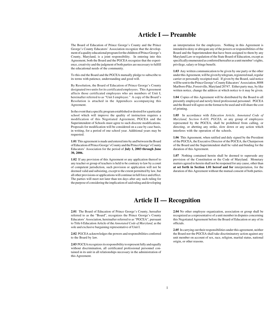# **[Article I — Preamble](#page-1-0)**

<span id="page-2-14"></span><span id="page-2-6"></span><span id="page-2-5"></span><span id="page-2-4"></span><span id="page-2-3"></span><span id="page-2-2"></span><span id="page-2-1"></span><span id="page-2-0"></span>The Board of Education of Prince George's County and the Prince George's County Educators' Association recognize that the development of a quality educational program for the children of Prince George's County, Maryland, is a joint responsibility. In entering into this Agreement, both the Board and the PGCEA recognize that the experience, creativity and the judgment of both parties are necessary to fulfill the educational needs of the community.

<span id="page-2-10"></span><span id="page-2-9"></span><span id="page-2-8"></span><span id="page-2-7"></span>To this end the Board and the PGCEA mutually pledge to subscribe to its terms with patience, understanding and good will.

<span id="page-2-12"></span><span id="page-2-11"></span>By Resolution, the Board of Education of Prince George's County designated two units for its certificated employees. This Agreement affects those certificated employees who are members of Unit I, hereinafter referred to as "Unit I employee." A copy of the Board's Resolution is attached in the Appendices accompanying this Agreement.

<span id="page-2-13"></span>In the event that a specific program established or desired for a particular school which will improve the quality of instruction requires a modification of this Negotiated Agreement, PGCEA and the Superintendent of Schools must agree to such discrete modifications. Proposals for modification will be considered on a case by case basis, in writing, for a period of one school year. Additional years may be requested.

**1.01** This agreement is made and entered into by and between the Board of Education of Prince George's County and the Prince George's County Educators' Association for the period of **July 1, 2003 through June 30, 2006.**

**1.02** If any provision of this Agreement or any application thereof to any teacher or group of teachers is held to be contrary to law by a court of competent jurisdiction, such provision or application will not be deemed valid and subsisting, except to the extent permitted by law, but all other provisions or applications will continue in full force and effect. The parties will meet not later than ten days after any such ruling for the purpose of considering the implication of said ruling and developing

an interpretation for the employees. Nothing in this Agreement is intended to deny or abrogate any of the powers or responsibilities of the Board and the Superintendent that have been assigned to them by any Maryland Law or regulation of the State Board of Education, except as specifically enumerated as conferred hereafter as a unit member's rights, privilege, salary or fringe benefit.

**1.03** Any written communication to be given by one party or the other under this Agreement, will be given by telegram, registered mail, regular carrier or personally receipted mail. If given by the Board, said notice will be sent to the Prince George's County Educators' Association, 8008 Marlboro Pike, Forestville, Maryland 20747. Either party may, by like written notice, change the address at which notice to it may be given.

**1.04** Copies of this Agreement will be distributed by the Board to all presently employed and newly hired professional personnel. PGCEA and the Board will agree on the format to be used and will share the cost of printing.

**1.05** In accordance with *Education Article, Annotated Code of Maryland, Section 6-410, PGCEA,* or any group of employees represented by the PGCEA, shall be prohibited from calling, or directing, or abetting any strike, slow down or any action which interferes with the operation of the schools.

**1.06** This Agreement, when ratified and duly signed by the President of the PGCEA, the Executive Director of the PGCEA, the Chairperson of the Board and the Superintendent shall be valid and binding for the duration of this Agreement.

**1.07** Nothing contained herein shall be deemed to supersede any provision of the Constitution or the Code of Maryland. Monetary matters agreed to herein shall not be reopened for any cause, other than **at set forth in Section 1.01 hereof and for** interpretation, for the duration of this Agreement without the mutual consent of both parties.

## **[Article II — Recognition](#page-1-0)**

**2.01** The Board of Education of Prince George's County, hereafter referred to as the "Board", recognizes the Prince George's County Educators' Association, hereinafter referred to as "PGCEA", pursuant to Title 6 Education Article of the *Annotated Code of Maryland,* as the sole and exclusive bargaining representative of Unit I.

**2.02** PGCEA acknowledges the powers and responsibilities conferred to the Board by law.

**2.03** PGCEA recognizes its responsibility to represent fully and equally without discrimination, all certificated professional personnel contained in its unit in all relationships necessary in the administration of this Agreement.

**2.04** No other employee organization, association or group shall be recognized as a representative of a unit member in disputes concerning this Negotiated Agreement before the Board of Education or any of its officials.

**2.05** In carrying out their responsibilities under this agreement, neither the Board nor the PGCEA shall take discriminatory action against any unit member on account of sex, race, religion, marital status, national origin, or other reasons.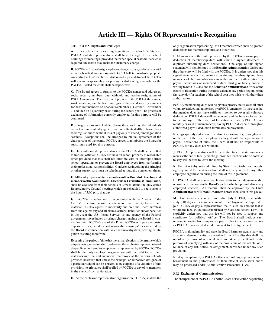## **[Article III — Rights Of Representative Recognition](#page-1-0)**

#### <span id="page-3-3"></span><span id="page-3-1"></span><span id="page-3-0"></span>**[3.01 PGCEA Rights and Privileges](#page-1-0)**

**A.** In accordance with existing regulations for school facility use, PGCEA and its representatives shall have the right to use school buildings for meetings, provided that when special custodial service is required, the Board may make the customary charge.

**B.** PGCEA will have the right to place notices, circulars, and other material in each school building on designated PGCEA bulletin boards of appropriate size and in teachers' mailboxes. Authorized representatives of the PGCEA will assume responsibility for posting or distributing materials for the PGCEA. Posted materials shall be kept current.

**C.** The Board agrees to furnish to the PGCEA names and addresses, social security numbers, dues withheld and teacher resignations of PGCEA members. The Board will provide to the PGCEA the names, work locations, and the last four digits of the social security numbers for new unit members on or about September 1, October 1, November 1, and then on a quarterly basis during the school year. The process of exchange of information currently employed for this purpose will be continued.

<span id="page-3-2"></span>**D.** If negotiations are scheduled during the school day, the individuals on the team and mutually agreed upon consultants shall be released from their regular duties without loss of pay only to attend joint negotiation sessions. Exceptions shall be arranged by mutual agreement of the chairpersons of the teams. PGCEA agrees to reimburse the Board for substitutes used for this purpose.

**E.** Duly authorized representatives of the PGCEA shall be permitted to transact official PGCEA business on school property at reasonable times provided that this shall not interfere with or interrupt normal school operations or prevent the Board employees from performing their professional responsibilities. Conferences involving the principal or other supervisors must be scheduled at mutually convenient times.

**F.** All faculty representatives **members of the Board of Directors and members of the Nominations, Elections & Credentials Commission,** shall be excused from their schools at 3:30 to attend the duly called Representative Council meetings which are scheduled to begin prior to the hour of 5:00 p.m. that day.

**G.** PGCEA is authorized in accordance with the "Letter of the Carrier" exception, to use the interschool mail facility to distribute material. PGCEA agrees to indemnify and hold the Board harmless from and against any and all claims, actions, liabilities and/or penalties in the event the U.S. Postal Service, or any agency of the Federal government investigates or brings charges against the Board in connection with PGCEA's use of the Pony. PGCEA will pay any costs, expenses, fines, penalties and reasonable attorneys' fees incurred by the Board in connection with any such investigation, hearing or litigation resulting therefrom.

Excepting the period of time that there is an election to determine which employee organization shall be deemed the exclusive representative of the public school employees presently represented by PGCEA, PGCEA shall be the only employee organization with the right to distribute materials into the unit members' mailboxes at the various schools provided however, that unless the principal or authorized designee of a particular school can be **proven** to be culpable of a violation of this provision, no grievance shall be filed by PGCEA or any of its members in the event of such a violation.

**H.** As the exclusive representative organization, PGCEA, shall be the

only organization representing Unit I members which shall be granted deductions for membership dues and other fees.

**I.** All members of the unit represented by the PGCEA desiring payroll deduction of membership dues will submit a signed statement in duplicate authorizing dues deductions. One copy of this signed statement will be submitted to the **Benefits Administration** Office and the other copy will be filed with the PGCEA. It is understood that this signed statement will constitute a continuing membership and those members of the unit who wish to withdraw their authorization for payroll deductions of membership dues must give timely notice in writing to both PGCEA and the **Benefits Administration** Office of the Board of Education during the thirty calendar day period beginning the first duty day for teachers of the school year they wish to withdraw their authorization.

PGCEA membership dues will be given a priority status over all other voluntary deductions authorized by a PGCEA member. In the event that the member does not have sufficient monies to cover all voluntary deductions, PGCEA dues will be deducted and the balance forwarded to the employee. The Board of Education will notify PGCEA, on a monthly basis, if a unit member(s) having PGCEA dues paid through an authorized payroll deduction terminates employment.

It being expressly understood that, absent a showing of gross negligence on the part of the Board employees charged with the supervision of payroll deductions of dues, the Board shall not be responsible to PGCEA for any dues not withheld.

**J.** PGCEA representatives will be permitted time to make announcements at the end of faculty meetings, provided teachers who do not wish to stay will be free to leave the meeting.

**K.** Except as to bylaws and rulings by State Board to the contrary, the rights granted to the Association shall not be granted to any other employee organization during the term of this Agreement.

**L.** PGCEA shall be granted exclusive rights to include membership recruitment materials in the Board's packet which is provided to newly employed teachers. All material shall be approved by the Chief **Administrator** for **Human Resources** before inclusion in this packet.

**M.** Unit members who are hired after July 1, 1994, shall within sixty (60) days after commencement of employment, be required to join PGCEA or pay a representation fee in such an amount that is within the legal guidelines established by State and Federal Law. It is explicitly understood that this fee will not be used to support any candidate for political office. The Board shall deduct such representation fee from employees' payroll checks in the same manner as PGCEA dues are deducted, pursuant to this Agreement.

PGCEA shall indemnify and save the Board harmless against any and all claims, demands, suits, or any other forms of liability that shall rise out of or by reason of action taken or not taken by the Board for the purpose of complying with any of the provisions of this article, or in reliance of any list, notice, or assignment, furnished under any such provision.

**N.** Any complaint by a PGCEA officer or building representative of harassment in the performance of their official association duties may be processed under Administrative Procedure 4170.

#### **[3.02 Exchange of Communications](#page-1-0)**

The chairpersons of the PGCEA and the Board of Education negotiating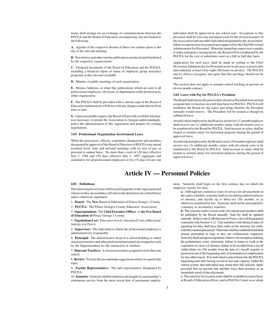<span id="page-4-4"></span><span id="page-4-1"></span><span id="page-4-0"></span>teams shall arrange for an exchange of communications between the PGCEA and the Board of Education encompassing, but not limited to the following:

**A.** Agenda of the respective Boards of these two entities prior to the day of the relevant meeting.

**B.** Newsletters and other similar publications produced and distributed by the respective organizations.

**C.** Financial documents of the Board of Education and the PGCEA, including a financial report of status of employee group insurance programs as they become available.

**D.** Minutes of public meetings of each organization.

**E.** Memos, bulletins, or other like publications which are sent to all professional employees, divisions, or departments of the profession by either organization.

**F.** The PGCEA shall be provided with a current copy of the Board of Education Administrative Policies with any changes made therein from time to time.

<span id="page-4-3"></span><span id="page-4-2"></span>**G.** Upon reasonable request, the Board will provide available information necessary to permit the Association to bargain understandingly, police the administration of this Agreement and prepare for coming negotiations.

#### **[3.03 Professional Organization Involvement Leave](#page-1-0)**

When the need arises, officers, committee chairpersons and members designated by approval of the Board of Directors of PGCEA may attend essential local, state and national meetings with no loss of pay or personal or annual leave. No more than a total of 120 days effective July 1, 1996 and 150 days effective July 1, 1997, aggregate and cumulative for all professional employees or five (5) days for any one

individual shall be approved in any school year. Exceptions to this provision shall be a ten-day maximum each for the elected treasurer of the Association and one other individual designated by the Association. Other exceptions may be granted upon approval by the Chief Divisional Administrator for Personnel. When the immediate supervisor is unable to make emergency arrangements, the Board will be reimbursed by the PGCEA for the cost of substitutes used on a full or half-day basis.

Application for such leave shall be made in writing to the Chief Divisional Administrator for Personnel as far in advance as practicable and ordinarily at least forty-eight (48) hours in advance. The PGCEA and its officers recognize and agree that this privilege should not be abused.

This section does not apply to summer school teaching or persons on eleven month contract.

#### **[3.04 Leave with Pay for PGCEA's President](#page-1-0)**

The Board shall release the person duly elected as President from normal assigned duty to function on a full time basis for PGCEA. PGCEA will reimburse the Board for the salary and fringe benefits the President normally would receive. The President will be treated as though on sabbatical leave.

An individual employed by the Board as an eleven (11) month employee shall receive one (1) additional month's salary with all related costs to be reimbursed to the Board by PGCEA. Said increase in salary shall be treated as normal salary for retirement purposes during the period of approved leave.

An individual employed by the Board as a ten (10) month employee shall receive two (2) additional month's salary with all related costs to be reimbursed to the Board by PGCEA. Said increase in salary shall be treated as normal salary for retirement purposes during the period of approved leave.

## **[Article IV — Personnel Policies](#page-1-0)**

#### **[4.01 Definitions](#page-1-0)**

The following list of terms will be used frequently in the Agreement and whenever they are used they will refer to the definitions described below unless otherwise stipulated:

1. **Board:** The **New** Board of Education of Prince George's County.

2. **PGCEA:** The Prince George's County Educators' Association.

3. **Superintendent:** The **Chief Executive Officer** of **the New Board of Education of** Prince George's County.

4. **Negotiations Law:** *Education Article, Annotated Code of Maryland, Subtitle 4 of Title 6.*

5. **Supervisor:** The individual to whom the professional employee is administratively responsible.

6. **Principal:** The administrative head of a school building to which classroom teachers and other professional personnel are assigned as such by the Superintendent for the instruction of students.

7. **Itinerant Teachers:** A classroom teacher assigned to more than one school.

8. **Review:** To read, discuss and make suggestions relative to a particular topic.

9. **Faculty Representative:** The unit representative designated by PGCEA.

10. **Seniority:** Seniority shall be defined as the length of a unit member's continuous service from the most recent date of permanent employment. Seniority shall begin on the first contract day on which the employee reports for duty.

**a.** Although not counted as years of service for advancement on the salary schedule, seniority shall accrue during authorized leave of absence, and layoffs up to thirty-six (36) months, or as otherwise mandated by law. Seniority shall not be interrupted by voluntary or involuntary transfers.

**b.** The seniority order (system wide) for current unit members shall be published by the Board annually. Said list shall be updated annually. In the event of a Reduction-in-Force, a list will be prepared consistent with Section 4.12. Unit members with identical dates of reporting for duty shall have their order on the seniority list established by random placement. That order shall be established and shall remain permanent as long as they are continuously employed. Seniority shall end upon resignation, failure to be reemployed during the probationary years, retirement, failure to return to work at the expiration of a leave of absence, failure to be recalled from a layoff within thirty-six (36) months from the date of a layoff, transfer or promotion out of the bargaining unit, or termination of employment for any other reason. If an individual is placed back into the PGCEA bargaining unit after having served in non unit capacity within the school system, that individual may retain their full seniority rights provided that no present unit member loses their position as an immediate result of this placement.

**c.** The seniority list (system wide) shall be available in each school, at Board of Education offices, and at PGCEA Center on or about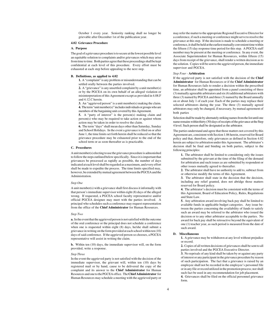October 1 every year. Seniority ranking shall no longer be grievable after December 1st of the publication year.

#### <span id="page-5-1"></span><span id="page-5-0"></span>**[4.02 Grievance Procedure](#page-1-0)**

### **A. Purpose**

The goal of a grievance procedure is to secure at the lowest possible level an equitable solution to complaints and/or grievances which may arise from time to time. Both parties agree that these proceedings shall be kept confidential at each level of this procedure. Every effort must be exhausted at each step before appealing to the next step.

#### **B. Definitions, as applied to 4.02**

**1.** A "complaint" is any problem or misunderstanding that can be settled orally between the parties involved.

**2.** A "grievance" is any unsettled complaint by a unit member(s) or by the PGCEA on its own behalf of an alleged violation or misinterpretation of this Agreement except as provided in 4.08.F and 4.12.C herein.

**3.** An "aggrieved person" is a unit member(s) making the claim. **4.** The term "unit member(s)" includes individuals or groups who are members of the bargaining unit covered by this Agreement.

**5.** A "party of interest" is the person(s) making claim and person(s) who may be required to take action or against whom action may be taken in order to resolve the claim.

**6.** The term "days" shall mean days other than Saturday, Sunday and School Holidays. In the event a grievance is filed on or after June 1, the time limits set forth herein shall be reduced so that the grievance procedure may be exhausted prior to the end of the school term or as soon thereafter as is practicable.

#### **C. Procedures**

A unit member(s) electing to use the grievance procedure is admonished to follow the steps outlined below specifically. Since it is important that grievances be processed as rapidly as possible, the number of days indicated at each level shall be regarded as a maximum, and every effort shall be made to expedite the process. The time limits specified may, however, be extended by mutual agreement between the PGCEA and the Administration.

#### *Step One*

A unit member(s) with a grievance shall first discuss it informally with that person's immediate supervisor within eight (8) days of the alleged wrong. If requested, a PGCEA school faculty representative and/or official PGCEA designee may meet with the parties involved. A principal who schedules such a conference may request representation from the office of the **Chief Administrator** for Human Resources.

#### *Step Two*

**a.** In the event that the aggrieved person is not satisfied with the outcome of the oral conference or the principal does not schedule a conference when one is requested within eight (8) days, he/she shall submit a grievance in writing on the form provided at each school within ten (10) days of said conference. If the aggrieved person so chooses, a PGCEA representative will assist in writing the claim.

**b.** Within ten (10) days, the immediate supervisor will, on the form provided, write a response.

#### *Step Three*

In the event the aggrieved party is not satisfied with the decision of the immediate supervisor, the grievant will, within ten (10) days by registered mail or by hand, cause to be delivered the copy of the complaint and its answer to the **Chief Administrator** for Human Resources and one to the PGCEA office. The **Chief Administrator** for Human Resources may schedule a meeting with the aggrieved party or

may refer the matter to the appropriate Regional Executive Director for a conference, if such a meeting or conference might serve to resolve the grievance at this step. If the decision is made to schedule a meeting or conference, it shall be held at the earliest mutually convenient time within the fifteen (15) day response time period for this step. A PGCEA staff member may be present at the meeting or conference. In any event, the Associate Superintendent for Human Resources, within fifteen (15) days from receipt of the grievance, shall render a written decision as to the solution. Copies will be sent to the aggrieved person, the immediate supervisor and PGCEA.

#### *Step Four -* **Arbitration**

If the aggrieved party is not satisfied with the decision of the **Chief Administrator** for Human Resources or if the **Chief Administrator** for Human Resources fails to render a decision within the prescribed time, an arbitrator shall be appointed from a panel consisting of three (3) mutually agreeable arbitrators and six (6) additional arbitrators with three (3) named by PGCEA and three (3) named by the Board annually on or about July 1 of each year. Each of the parties may replace their selected arbitrators during the year. The three (3) mutually agreed arbitrators may only be changed, if necessary, by mutual agreement of both parties

Selection shall be made by alternately striking names from the list until one name remains within thirty (30) days of receipts of the grievance at the Step 4 level. Such person shall be designated as the arbitrator.

The parties understand and agree that those matters not covered by this Agreement are, consistent with Section 1.06 herein, reserved for Board policy and that, therefore, only grievances as defined in Section 4.02 herein are subject to arbitration under this Agreement. The arbitrator's decision shall be final and binding on both parties, subject to the following principles:

**1.** The arbitrator shall be limited to considering only the issues submitted by the grievant at the time of the filing of the demand for arbitration and such issues as are submitted by respondent or other issues mutually agreed to thereafter.

**2.** The arbitrator shall have no authority to add to, subtract from or otherwise modify the terms of this Agreement.

**3.** The arbitrator shall state in the decision that the decision, including any relief granted, does not abridge those matters reserved for Board policy.

**4.** The arbitrator's decision must be consistent with the terms of this Agreement, Board of Education Policy, Rules, Regulations and State Law.

**5.** Any arbitration award involving back pay shall be limited to available funds in applicable budget categories. Any issue between the parties concerning the availability of funds to satisfy such an award may be referred to the arbitrator who issued the decision or to any other arbitrator acceptable to the parties. No award for back pay shall be retroactive beyond the equivalent of one (1) teacher year, as such period is measured from the date of such award.

#### **D. Miscellaneous**

**1.** A grievance may be withdrawn at any level without prejudice or record.

**2.** Copies of all written decisions of grievances shall be sent to all parties involved and the PGCEA Executive Director.

**3.** No reprisals of any kind shall be taken by or against any party of interest or any participant in the grievance procedure by reason of such participation. The fact that a grievance is raised by an employee shall not be recorded in the employee's personnel file or in any file or record utilized in the promotion process; nor shall such fact be used in any recommendation for job placement.

**4.** Grievances shall be filed on the official personnel grievance form.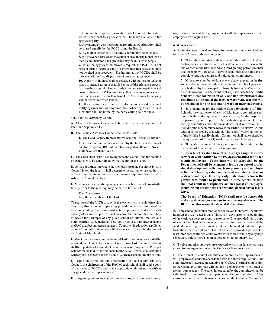<span id="page-6-2"></span><span id="page-6-1"></span><span id="page-6-0"></span>**5.** Upon written request, information not of a confidential nature which is pertinent to a grievance, will be made available to the aggrieved party.

**6.** Any attendant cost necessitated for grievance arbitration shall be shared equally by the PGCEA and the Board.

**7.** By mutual agreement, time limits herein may be extended.

**8.** If a grievance arises from the action of an authority higher than a Step 1 administrator, such grievance may be initiated at Step 3.

**9.** If, at the aggrieved employee's request, the PGCEA is not present during the processing of a grievance, that grievance shall not be cited as a precedent. Further more, the PGCEA shall be informed of the final disposition of any such grievance.

**10.** A party of interest shall be released without loss of leave or salary to attend hearings scheduled as part of the grievance process for those hearings which would only involve a single grievant and no more than two PGCEA witnesses. If the hearing involves more than one grievant or more than two PGCEA witnesses, the hearing will be scheduled after school.

**11.** If a substitute is necessary to replace school-based personnel testifying as a witness during an arbitration hearing, the cost of said substitute shall be borne by the party calling said witness.

#### **[4.03 Faculty Advisory Council](#page-1-0)**

**A.** A Faculty Advisory Council is to be established in every school not later than September 15.

**B.** The Faculty Advisory Council shall consist of:

**1.** The Head Faculty Representative who shall act as Chair; and,

**2.** A group of unit members elected by the faculty at the rate of one for every ten (10) unit members or portion thereof. No site shall have less than five (5).

**C.** The Chair shall issue a call to organize the Council and the election procedures will be determined by the faculty of the school.

**D.** At the above meeting where the membership of the Faculty Advisory Council is set, the faculty shall determine the parliamentary authority as consistent herein and what shall constitute a quorum for a Faculty Advisory Council meeting.

**E.** Meetings with a specific agenda, which have been made known to the faculty prior to the meeting, may be held at the call of:

The Chairperson Any three members of the FAC

The purpose of the FAC is to provide the teachers with a vehicle in which they may discuss school operating procedures, curriculum development, scheduling of meetings, instructional programs, budget requests and any other areas of professional concern. Its function shall be solely to advise the Principal of any given school on internal matters and nothing in this Agreement shall be so construed as to authorize or enable the FAC to effect unilateral changes in County-wide educational policies as may from time to time be established in accordance with the laws of the State of Maryland.

**F.** Minutes of every meeting, including all FAC recommendations, shall be prepared for release to the faculty. Any action on FAC recommendations shall be reported on the agenda of the subsequent meeting and the Principal will inform the FAC of the rationale for the action. School administration will respond to concerns raised by the FAC in a reasonable amount of time.

**G.** Upon the formation and organization of the Faculty Advisory Council, the chairperson of the FAC of each school shall send a copy of the roster to PGCEA and to the appropriate administrative officer designated by the Superintendent.

**H.** Bargaining unit members, who are not assigned to a school faculty,

may form a representative group to meet with the supervisors of such employees on a regular basis.

#### **[4.04 Work Year](#page-1-0)**

**A.** Professional personnel employed for ten months may be scheduled to work 192 days in the school year.

**1.** Of the above number of days, one half day will be scheduled for teachers when students are not in attendance at a time near the end of each of the first, second and third grading periods in order that teachers will be able to devote such three one-half days to complete required reports and hold parent conferences.

**2.** Of the above number of days one workday preceding the first student day and one workday at the end of the school year shall be scheduled by the principal exclusively for teachers' to work in their classrooms. **In the event that adjustments to the Public School's Calendar result in only one non-instructional day remaining at the end of the teacher work year, teachers will be scheduled for one-half day to work in their classrooms.**

**3.** In preparation for the Middle States Evaluations of High Schools, the chairperson of each official faculty committee shall have scheduled the equivalent of one work day for the purpose of preparing required reports in the evaluation process. Official faculty committees shall be those determined in Section 1-10, including the subcommittees of Section 4 in the Evaluative Criteria edition being used by that school. The school-wide Chairperson of the Middle States Evaluation Committee shall have scheduled the equivalent of three (3) work days to complete report.

**4.** Of the above number of days, one day shall be established by the Board of Education for student grading.

**5. New teachers shall have three (3) days assigned as preservice days in addition to the 192 days scheduled for all ten month employees. These days will be scheduled by the Department of Staff Developement for the purpose of professional development activities, team planning and employee activities. These days shall not be used as student contact or instructional days. It is expressly understood between the parties that failure to participate in these scheduled days shall not result in disciplinary action against an employee, including but not limited to reprimand, docked pay or loss of leave.**

**The Board of Education (BOE) shall provide reasonable make-up days and/or sessions to resolve any absences. The BOE may also waive the days at it discretion.**

**B.** Professional personnel employed for eleven months will work two hundred and twelve (212) days. Thirty (30) days prior to the beginning of the work year, eleven-month personnel will be provided with a copy of a tentative schedule listing when their required contract days will be worked. Where possible this schedule will be worked out after input from the affected employee. The schedule will provide a period of at least three consecutive calendar weeks when there are not any duty days scheduled, unless there is mutual agreement to do otherwise.

**C.** Twelve-month employees are expected to work on days schools are closed for emergencies unless the Central Offices are closed.

**D.** The Annual Calendar Committee appointed by the Superintendent will prepare a calendar in accordance with the above stipulations. The committee shall have a representative of PGCEA. The final composition of the Calendar Committee will include a person currently assigned as a classroom teacher. The calendar prepared by the committee shall be submitted to the professional personnel for consideration. After consideration by the professional personnel the Calendar Committee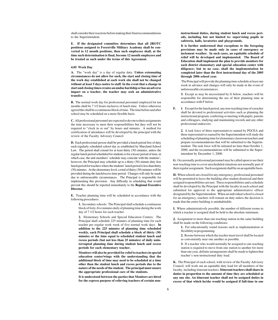<span id="page-7-1"></span><span id="page-7-0"></span>shall consider their reactions before making their final recommendations to the Superintendent.

**E. If the designated committee determines that all JROTC positions assigned to Forestville Military Academy shall be converted to 12 month positions, then such employees shall, at the time such determination is final, become 12 month employees and be treated as such under the terms of this Agreement.**

#### **[4.05 Work Day](#page-1-0)**

**A.** The "work day" is a day of regular duty. **Unless extenuating circumstances do not allow for such, the start and closing time of the work day established at each work site shall not be changed without at least 5 days notice to staff. In the event that a change in start and closing times creates an undue hardship or has an adverse impact on a teacher, the teacher may seek an administrative transfer.**

**B.** The normal work day for professional personnel employed for ten months shall be 7 1/2 hours inclusive of lunch time. Unless otherwise agreed this shall be a continuous block of time. The time before and after school may be scheduled on a more flexible basis.

**C.** All professional personnel are expected to devote to their assignments the time necessary to meet their responsibilities but they will not be required to "clock in or out" by hours and minutes. A method for certification of attendance will be developed by the principal with the review of the Faculty Advisory Council.

**D.** Each professional person shall be provided a lunch period free of duty each regularly scheduled school day as established by Maryland School Law. The period shall extend for at least thirty (30) minutes, unless the regular lunch period scheduled for students is for a lesser period of time, in which case, the unit members' schedule may coincide with the students', however, the Principal may schedule up to a thirty (30) minute duty free lunch period for teachers where the students' lunch period is less than thirty (30) minutes. At the elementary level, a total of thirty (30) minutes will be provided during the lunch/recess time period. Changes will only be made due to unforeseeable circumstances. The Principal is responsible for implementing this provision. Any difficulty in scheduling that would prevent this should be reported immediately to the **Regional Executive Director.**

**E.** Teacher planning time will be scheduled in accordance with the following procedures:

**1.** Secondary schools: The Principal shall schedule a continuous block of forty-five minutes daily of planning time during the work day of 7 1/2 hours for each teacher.

**2.** Elementary Schools and Special Education Centers: The Principal shall schedule 225 minutes of planning time for each teacher per regular work week of five normal work days. **In addition to the 225 minutes of planning time scheduled weekly, each Principal shall schedule a block of thirty (30) minutes or the time equal to scheduled student lunch and recess periods (but not less than 25 minutes) of daily uninterrupted planning time during student lunch and recess periods for each elementary teacher.**

**Monitors will also be provided for relief to teachers in special education center/wings with the understanding that the additional block of time may need to be scheduled at a time other than the student lunch and recess periods due to the nature of the needs of the student. The principal must ensure the appropriate professional care of the students.**

**It is understood between the parties that Monitors are hired for the express purpose of relieving teachers of certain non-** **instructional duties, during student lunch and recess periods, including but not limited to: supervising pupils in cafeteria, halls, lavatories and playgrounds.**

**It is further understood that exceptions to the foregoing provisions may be made only in cases of emergency or inclement weather. In such cases, an equitable schedule of relief will be developed and implemented. The Board of Education shall implement the plan to provide monitors for each district elementary and special education center with diligence; but in no case, shall the implementation be completed later than the first instructional day of the 2005 through 2006 school year.**

 The Principal will provide the planning time schedule at least one week in advance and changes will only be made in the event of unforeseeable circumstances.

**3.** Except as may be necessitated by G below, teachers will be responsible for determining the use of their planning time in accordance with F below.

**F. 1**. Except for the lunch period, any non-teaching time of a teacher shall be devoted to professional activities such as planning the instructional program, conferring or meeting with pupils, parents and colleagues, studying and maintaining records and any other professional endeavors.

**2.** A task force of three representatives named by PGCEA and three representatives named by the Superintendent will study the scheduling of planning time for elementary classroom teachers and prepare recommendations that will be submitted to the Superintendent. The task force will be initiated no later than October 1, 2000, and the recommendations will be submitted to the Superintendent by December 1, 2000.

**G.** Occasionally professional personnel may be called upon to use their non-teaching time to cover unscheduled situations not normally part of their regular assignment. Such assignment shall be on an equitable basis.

**H.** When schools are closed for any emergency, professional personnel will be permitted to leave the building after student dismissal and their assigned responsibilities are met. These responsibilities and a schedule shall be developed by the Principal with the faculty in each school and submitted for approval to the appropriate administrative officer designated by the Superintendent. When an individual school is closed for an emergency, teachers will remain on duty unless the decision is made that the entire building is uninhabitable.

**I.** Where administratively possible, the number of different rooms to which a teacher is assigned shall be held to the absolute minimum.

**J.** Assignment to more than one teaching station in the same building shall be made on the following conditions:

- **1.** For educationally sound reasons such as implementation or flexibility in programming.
- **2.** Rooms between which the teacher must travel shall be located as conveniently near one another as possible.

**3.** If a teacher who would normally be assigned to one teaching station is required to move from one station to another for more than one year, definite arrangements shall be made to lighten that teacher's non-instructional duty load.

**K.** The Principal of each school, with review of the Faculty Advisory Council, will work out an equitable duty load for all members of the faculty, including itinerant teachers. **Itinerant teachers shall share in duties in proportion to the amount of time they are scheduled at any one site. An itinerant teacher shall not be assigned duties in excess of that which he/she would be assigned if full-time in one**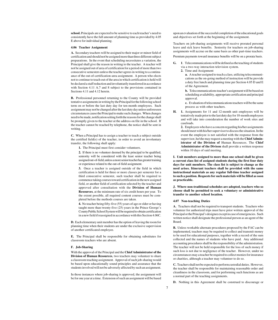<span id="page-8-2"></span><span id="page-8-0"></span>**school.** Principals are expected to be sensitive to each teacher's need to consistently have the full amount of planning time as provided by 4.05 E above for individual planning.

#### **[4.06 Teacher Assignment](#page-1-0)**

**A.** Secondary teachers will be assigned to their major or minor field of certification and should not be assigned more than three different subject preparations. In the event that scheduling necessitates a variation, the Principal shall give the reason in writing to the teacher. A teacher will not be assigned out of area of certification for a period of more than two consecutive semesters unless the teacher agrees in writing to a continuance of the out-of-certification-area assignment. A person who elects not to continue to teach out of the area in which certification is held will be declared a staff reduction and involuntarily transferred in accordance with Section 4.11 A.7 and 8 subject to the provisions contained in Sections 4.11 and 4.12 herein.

**B.** Professional personnel returning to the County will be provided tentative assignments in writing by the Principal for the following school term on or before the last duty day for ten-month employees. Such assignment may not be changed after the last duty day unless unforeseen circumstances cause the Principal to make such changes. When changes need to be made, notification setting forth the reasons for the change shall be promptly given to the teacher at the address on file in the school. If the teacher cannot be reached by telephone, the notice shall be sent in writing.

<span id="page-8-1"></span>**C.** When a Principal has to assign a teacher to teach a subject outside the certified field(s) of the teacher, in order to avoid an involuntary transfer, the following shall apply:

**1.** The Principal must first consider volunteers.

**2.** If there is no volunteer deemed by the principal to be qualified, seniority will be considered with the least senior teacher being assigned out-of-field, unless a more senior teacher has greater training or experience related to the out-of-field assignment.

**3.** Once a teacher is assigned outside of the field in which certification is held for three or more classes per semester for a third consecutive semester, such teacher shall be required to commence taking courses toward certification in the new assigned field, or another field of certification selected by the teacher and approved after consultation with the **Division of Human Resources**, at the minimum rate of six credit hours per year. To the extent possible, all required content courses must be completed before the methods courses are taken.

**4.** No teacher being fifty-five (55) years of age or older or having taught more than twenty-five (25) years in the Prince George's County Public School System will be required to obtain certification in a new field if reassigned in accordance with this Section 4.06C.

**D.** Each elementary unit member has the option of leaving the room for planning time when their students are under the exclusive supervision of another certificated employee.

**E.** The Principal shall be responsible for obtaining substitutes for classroom teachers who are absent.

#### **F. Job-Sharing**

With the approval of the Principal and the **Chief Administrator of the Division of Human Resources**, two teachers may volunteer to share a classroom teaching assignment. Approval of such job-sharing would be based upon educationally sound principles and assurance that the students involved will not be adversely affected by such an assignment.

In those instances where job-sharing is approved, the assignment will be for one year at a time. Extension of such an assignment will be based upon an evaluation of the successful completion of the educational goals and objectives set forth at the beginning of the assignment.

Teachers on job-sharing assignments will receive prorated personal leave and sick leave benefits. Seniority for teachers on job-sharing assignments will accrue on the same basis as other part-time teachers.

Premium payments toward insurance benefits will be on a prorata basis.

- **G. 1**. Telecommunications will be defined as the teaching of students via a two-way interaction television system.
	- **2.** Time and Assignment

**a.** A teacher assigned to teach a class, utilizing telecommunications as the on-going method of instruction will be provide a duty free lunch and planning time per Section 4.05 D and E of the Agreement.

**b.** Telecommunications teacher's assignment will be based on scheduling availability, appropriate certification and principal approval.

**c.** Evaluation of telecommunications teachers will be the same process as with other teachers.

**H. 1.** Assignments for 11 and 12-month unit employees will be tentatively made prior to the last duty day for 10-month employees and will take into consideration the number of work sites and caseloads.

**2.** Employees who have a concern regarding his/her assignments should meet with his/her supervisor to discuss the situation. In the event the employee is not satisfied with the response from the supervisor, he/she may request a meeting with the **Chief Administrator of the Division of** Human Resources. The **Chief Administrator of the Divison** shall provide a written response within 10 days of said meeting.

**I. Unit members assigned to more than one school shall be given a current class list of assigned students during the first four duty days for unit members. The class list is subject to change as the need arises. Itinerant teachers shall be provided with the same instructional materials as any regular full-time teacher assigned to such a position. Requests for such materials will be filled as soon as practicable.**

**J. Where non-traditional schedules are adopted, teachers who so choose shall be permitted to seek a voluntary or administrative transfer to another school location.**

#### **[4.07 Non-teaching Duties](#page-1-0)**

**A.** Teachers shall not be required to transport students. Teachers who volunteer for authorized trips must have prior written approval of the Principal or the Principal's designee except in case of emergencies. Such written notice shall designate the professional person as an agent of the Board.

**B.** Unless workable alternate procedures proposed by the FAC can be implemented, teachers may be required to collect and transmit money to be used for educational purposes, together with a record of the sum collected and the names of students who have paid. Any additional accounting procedures shall be the responsibility of the administration. The teacher will not be held responsible for the loss of such money if such loss is not due to negligence of the teacher. However, under no circumstances may a teacher be required to collect monies for insurance or charities, although a teacher may volunteer to do so.

**C.** Teachers shall not be expected to perform custodial duties. However, the teacher shall be responsible for maintaining reasonable order and cleanliness in the classroom, and for performing such functions as are a normal part of the teaching assignments.

**D.** Nothing in this Agreement shall be construed to discourage or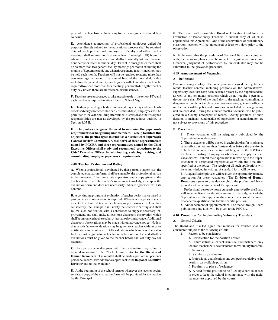<span id="page-9-3"></span><span id="page-9-1"></span><span id="page-9-0"></span>preclude teachers from volunteering for extra assignments should they so desire.

**E.** Attendance at meetings of professional employees called for purposes directly related to the educational process shall be required duty of such professional employees. Faculty and other teacher meetings shall require notification at least forty-eight (48) hours in advance except in emergencies, and shall not normally last more than one hour before or after the student day. Except in emergencies there shall be no more than two general faculty meetings per month excluding the months of September and June when three general faculty meetings may be held each month. Teachers will not be required to attend more than two meetings per month that extend beyond the normal duty day including the general faculty meetings nor will elementary teachers be required to attend more than four meetings per month during the teacher duty day unless there are unforeseen circumstances.

**F.** Teachers are ezncouraged to take an active role in the school PTA and each teacher is required to attend Back to School Night.

**G.** On days preceding scheduled non-workdays or days when schools are closed early (not scheduled early dismissal days) employees will be permitted to leave the building after student dismissal and their assigned responsibilities are met as developed by the procedures outlined in Section 4.05 H.

<span id="page-9-2"></span>**H. The parties recognize the need to minimize the paperwork requirements for bargaining unit members. To help facilitate this objective, the parties agree to establish a district level Paperwork Control Review Committee. A task force of three representatives named by PGCEA and three representatives named by the Chief Executive Officer shall study and recommend procedures to the Chief Executive Officer for eliminating, reducing, revising and consolidating employee paperwork requirements.**

#### **[4.08 Teacher Evaluation and Rating](#page-1-0)**

**A.** When a professional is evaluated by that person's supervisor, the completed evaluation forms shall be signed by the professional person in the presence of the immediate supervisor and a copy given to the teacher at that time. The teacher's signature acknowledges receipt of the evaluation form and does not necessarily indicate agreement with its content.

**B.** A continuing program of evaluation of teacher performance based in part on personal observation is required. Whenever it appears that any aspect of a tenured teacher's classroom performance is less than satisfactory, the Principal shall notify the teacher in writing and shall follow such notification with a conference to suggest necessary improvement, and shall make at least one classroom observation which shall be announced to the teacher at least two days in advance. Additional classroom observations may be made without advance notice. No less than a satisfactory evaluation may be given to a teacher without prior notification and conference. All evaluations which are less than satisfactory must be given to the teacher on or before June 1st, and all other evaluations must be given to the teacher before the last duty day for teachers.

**C.** Any person who disagrees with their evaluation may submit a rebuttal in writing to the Chief Administrator for **the Division of Human Resources**. The rebuttal shall be made a part of that person's personnel record, with additional copies sent to the **Regional Executive Director** and to the evaluator.

**D.** At the beginning of the school term or whenever the teacher begins service, a copy of the evaluation form will be provided for the teacher by the Principal.

**E.** The Board will follow State Board of Education Guidelines for Evaluation of Probationary Teachers, a current copy of which is appended to this Agreement. One of the observations of probationary classroom teachers will be announced at least two days prior to the observation.

**F.** In the event that the procedures of Section 4.08 are not complied with, such non-compliance shall be subject to the grievance procedure. However, judgment of performance by an evaluator may not be submitted to the grievance procedure.

#### **[4.09 Announcement of Vacancies](#page-1-0)**

#### **A. Definition:**

Positions paying a salary differential, positions beyond the regular tenmonth teacher contract including positions on the administrativesupervisory level that have been declared vacant by the Superintendent, as well as any ten-month positions which do not require a person to devote more than 50% of the pupil day to the teaching, counseling, or diagnosis of pupils in the classroom, resource area, guidance office or media center will be publicized. Positions not included in the negotiating unit are excluded. During the summer months, vacancies will be publicized in a County newspaper of record. Acting positions of short duration to maintain continuation of supervision or administration are not subject to provisions of this procedure.

#### **B. Procedure:**

**1.** These vacancies will be adequately publicized by the Superintendent or designee.

**2.** These vacancies will be posted in each school as far in advance as possible but not less than fourteen days before the position is to be filled. A copy of said notice will be given to the PGCEA at the time of posting. Employees who desire to apply for such vacancies will submit their applications in writing to the Superintendent or designated representative within the time limit specified in the notice. The receipt of all such applications will be acknowledged in writing. A standard form will be used.

**3.** All qualified employees will be given the opportunity to make application for these vacancies. The **Division of Human Resources** agrees to give due weight to the professional background and the attainments of the applicant.

**4.** Professional persons who are currently employed by the Board will receive first consideration unless in the judgment of the Superintendent other applicants have superior personal, technical, or academic qualifications for the specific position.

**5.** Announcement of appointments will be made through Board publications and a list will be given to the PGCEA.

#### **[4.10 Procedures for Implementing Voluntary Transfers](#page-1-0)**

#### **A.** General Criteria:

The Board and PGCEA agree that requests for transfer shall be considered subject to the following criteria:

- **1.** Factors to be considered:
	- **a.** Certification for the position desired.

**b.** Tenure status; i.e., except in unusual circumstances, only tenured teachers will be considered for voluntary transfers. **c**. Seniority.

**d.** Satisfactory evaluation.

**e.** Professional qualifications and competence relative to the needs in an available position.

**f.** Proximity to place of residence.

**g.** A need for the position to be filled by a particular race in order to keep the school in compliance with the racial balance test approved by the courts.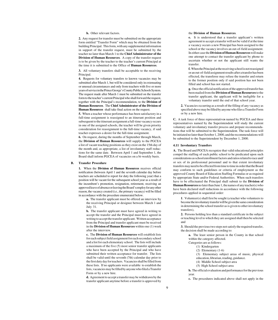#### **h.** Other relevant factors.

<span id="page-10-1"></span><span id="page-10-0"></span>**2.** Any request for transfer must be submitted on the appropriate form entitled "Transfer Form" which may be obtained from the building Principal. This form, with any supplemental information in support of the transfer request, must be submitted by the teacher no later than March 1 to the **Chief Administrator of the Division of Human Resources**. A copy of the transfer request is to be given by the teacher to the teacher's current Principal at the time it is submitted to the Office of **Human Resources**.

**3.** All voluntary transfers shall be acceptable to the receiving Principal.

**4.** Requests for voluntary transfers to known vacancies may be submitted after March 1, but will be considered only in extenuating or unusual circumstances and only from teachers with five or more years of service in the Prince George's County Public Schools System. The request made after March 1 must be submitted on the transfer form to the teacher's current Principal who shall forward the request, together with the Principal's recommendation, to the **Division of Human Resources**. The **Chief Administrator of the Division of Human Resources** shall take final action on the request.

**5.** When a teacher whose performance has been satisfactory in a full-time assignment is reassigned to an itinerant position and subsequent to the itinerant assignment a full-time vacancy occurs in one of the assigned schools, the teacher will be given priority consideration for reassignment to the full-time vacancy, if said teacher expresses a desire for the full-time assignment.

**6.** On request, during the months of September through March, the **Division of Human Resources** will supply to the PGCEA a list of vacant teaching positions as they exist on the 15th day of the month and, as appropriate, a list of involuntary staff reductions for the same date. Between April 1 and September 1, the Board shall inform PGCEA of vacancies on a bi-weekly basis.

#### **B. Transfer Procedure**

**1.** When the **Division of Human Resources** receives official notification (between April 1 and the seventh calendar day before teachers are scheduled to report for duty the following year) that a position will be vacant for the subsequent school year as a result of the incumbent's promotion, resignation, retirement, receiving an approved leave of absence or leaving the Board's employ for any other reason, the vacancy created (i.e., the primary vacancy) will be filled in accordance with the procedure enumerated below.

**a.** The transfer applicant must be offered an interview by the receiving Principal or designee between March 1 and July 31.

**b.** The transfer applicant must have agreed in writing to accept the transfer and the Principal must have agreed in writing to accept the transfer applicant. Written acceptance from the Principal and transfer applicant must be received in the **Division of Human Resources** within one (1) week after the interview.

**c.** The **Division of Human Resources** will establish lists for each subject field assignment for each secondary school and a list for each elementary school. The lists will include a maximum of the five (5) most senior transfer applicants who have been accepted by the Principal and who have submitted their written acceptance for transfer. The lists shall be valid until the seventh (7th) calendar day prior to the first duty day for teachers. Vacancies shall be filled from these lists. If no applicants were available to establish the lists, vacancies may be filled by anyone who filed a Transfer Form or by a new hire.

**d.** Agreement to accept a transfer may be withdrawn by the transfer applicant anytime before a transfer is approved by

#### the **Division of Human Resources**.

**e.** It is understood that a transfer applicant's written agreement to accept a transfer will not be valid if at the time a vacancy occurs a new Principal has been assigned to the school or the vacancy involves an out-of-field assignment. In either case the **Division of Human Resources** will make one attempt to contact the transfer applicant by phone to ascertain whether or not the applicant still wants the transfer.

**f.** When the Principal at the receiving school is not reassigned or an out-of-field assignment results after a transfer has been effected, the transferee may refuse the transfer and return to the former position only if said position has not been filled and school has not started.

**g.** Once the official notification of the approved transfer has been mailed from the **Division of Human Resources** to the transfer applicant, the applicant will be ineligible for a voluntary transfer until the end of that school year.

**2.** Vacancies occurring as a result of the filling of any vacancy as specified above may be filled by anyone who files a Transfer Form or by a new hire.

**C.** A task force of three representative**s** named by PGCEA and three representatives named by the Superintendent will study the current voluntary and involuntary transfer process and prepare recommendations that will be submitted to the Superintendent. The task force will be initiated no later than October 1, 2000, and the recommendations will be submitted to the Superintendent by December 1, 2000.

#### **[4.11 Involuntary Transfers](#page-1-0)**

**A.** The Board and PGCEA recognize that valid educational principles compel the staffing of each public school to be predicated upon such considerations as school enrollment factors and ratios related to race and/ or sex of its professional personnel and to that extent involuntary transfers may need to be effected from time to time in order that the Board may conform to such guidelines or criteria of employment as the approved County Board of Education Staffing Formulas or as required by appropriate State and/or Federal Authorities. When such transfers have to be effectuated the Principal shall submit to the **Division of Human Resources** no later than June 1, the names of any teacher(s) who have been declared staff reductions in accordance with the following procedures applied in sequential order:

**1**. Volunteer(s) shall first be sought (a teacher who volunteers to become the involuntary transfer will be given the same consideration in determining the school transfer as is given to other involuntary transfers),

**2.** Persons holding less than a standard certificate in the subject or teaching level to which they are assigned shall then be selected and

**3.** Should the previous two steps not satisfy the required transfer, the decision shall be made according to:

**a.** The least senior person in the County in that school within the category affected.

- Categories are as follows:
	- (1) Kindergarten
	- (2) Elementary (1-6)

(3) Elementary subject areas of music, physical education, librarian, reading, guidance.

- (4) Middle School subject area
- (5) High School subject area

**b.** The official evaluation and performance for the previous year.

**c.** The procedures indicated above shall not apply in the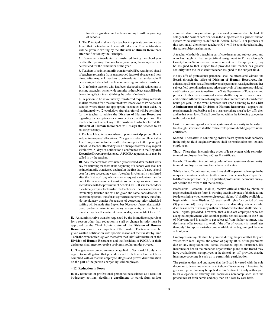transferring of itinerant teachers resulting from the regrouping of schools.

<span id="page-11-1"></span>**4.** The Principal shall notify a teacher in a private conference by June 1 that the teacher will be a staff reduction. Final notification will be given in writing by the **Division of Human Resources** after notification by the Principal.

**5.** If a teacher is involuntarily transferred during the school year or after the opening of school for any one year, the salary shall not be reduced for the remainder of the year.

**6.** Teachers to be involuntarily transferred will be reassigned ahead of teachers returning from an approved leave of absence and new hires. After August 1, teachers to be involuntarily transferred will be reassigned ahead of teachers requesting voluntary transfers.

**7.** In referring teachers who had been declared staff reductions to existing vacancies, systemwide seniority in the subject area will be the determining factor in establishing the order of referrals.

**8.** A person to be involuntarily transferred requesting referrals shall be referred for a maximum of two interviews to Principals of schools where there are appropriate vacancies if such exist. A maximum of two (2) work days after the referral will be permitted for the teacher to advise the **Division of Human Resources** regarding the acceptance or non-acceptance of the position. If a teacher does not accept any of the positions to which referred, the **Division of Human Resources** will assign the teacher to an existing vacancy.

<span id="page-11-0"></span>**9.** The June 1 deadline above is based upon estimated pupil enrollment and preliminary staff allocations. Changes in student enrollment after June 1 may result in further staff reductions prior to the opening of school. A teacher affected by such a change however may request within five (5) days of notification a conference with the **Regional Executive Director** or designee. A PGCEA representative may be called in by the teacher.

**10.** Any teacher who is involuntarily transferred after the first work day for returning teachers at the beginning of a school year shall not be involuntarily transferred again after the first day of a new school year for three succeeding years. A teacher involuntarily transferred after the first work day who wishes to request a voluntary transfer out of the new assignment must do so on the appropriate form in accordance with the provisions of Article 4.10 B. If said teacher does file a timely request for transfer, the teacher shall be considered as an involuntary transfer and will be given the same consideration in determining school transfer as is given to other involuntary transfers. No involuntary transfer for reasons of correcting prior scheduled staffing will be made after September 30, except if special, unanticipated problems arise in secondary assignments, an involuntary transfer may be effectuated at the secondary level until October 15.

**B.** An administrative transfer requested by the immediate supervisor for a reason other than reduction in staff or change in ratio must be approved by the Chief Administrator **of the Division of Human Resources** prior to the completion of the transfer. The teacher shall be given written notification with specific reasons of the transfer by June 1 or in the event notice is given thereafter the Chief Administrator **of the Division of Human Resources** and the President of PGCEA or their designees shall meet to resolve problems not hereunder covered.

**C.** The grievance procedure may be applied to Section 4.11 only with regard to an allegation that procedures set forth herein have not been complied with or that the employee alleges and proves discrimination on the part of the person charged by said employee.

#### **[4.12 Reduction in Force](#page-1-0)**

In any reduction of professional personnel necessitated as a result of budgetary actions, declining enrollment or curriculum and/or

administrative reorganization, professional personnel shall be laid off solely on the basis of certification in the subject field assignment and on system-wide seniority as defined in Article 4.01.10. For purposes of this section, all elementary teachers (K-6) will be considered as having the same subject assignment.

A teacher who holds a teaching certificate in a second subject area, and who has taught in that subject-field assignment in Prince George's County Public Schools since the most recent date of employment, may be assigned to that subject field provided that teacher has greater seniority than the least senior teacher assigned to the subject field.

No lay-offs of professional personnel shall be effectuated without the Board, through the office of **Division of Human Resources**, first exhausting all of its best efforts to have such personnel reassigned to another subject field providing that appropriate approvals of interim or provisional certifications can be obtained from the State Department of Education, and provided further that a reassigned teacher shall be required to work toward certification in the new area of assignment at a minimum rate of six (6) credit hours per year. In the event, however, that upon a finding by the **Chief Administrator of the Division of Human Resources** it appears that reassignment is not feasible and as a last resort there must be lay-offs, then and in that event lay-offs shall be effected within the following categories in the order noted:

First: In continuing order of least system-wide seniority in the subject field taught, severance shall be restricted to persons holding a provisional certificate.

Second: Thereafter, in continuing order of least system-wide seniority in the subject field taught, severance shall be restricted to non-tenured employees.

Third: Thereafter, in continuing order of least system-wide seniority, tenured employees holding a Class II certificate.

Fourth: Thereafter, in continuing order of least system-wide seniority, tenured employees holding first class certificates.

While a lay-off continues, no new hires shall be permitted except in the unique circumstances where: (a) there are no teachers on lay-off qualified to fill a vacant position, or (b) all qualified professional personnel on layoff decline the offer to fill the vacancy.

Professional Personnel shall (a) receive official notice by phone or registered mail at least four (4) working days in advance of their deadline for determining whether to exercise recall rights, (b) shall be available to begin within thirty (30) days, (c) retain recall rights for a period of three (3) years and (d) except for proven medical disability, a teacher who declines an offer of vacancy in their field of certification shall forfeit all recall rights, provided, however, that a laid-off employee who has accepted employment with another public school system in the State of Maryland and is unable to get released from his/her contract, may decline an offer to return to work if the offer of vacancy is issued later than July 1 for a position to become available at the beginning of the new school year.

Employees on lay-off shall be granted, during the period that they are vested with recall rights, the option of paying 100% of the premiums due on any hospitalization, dental insurance, optical insurance, life insurance or health maintenance organization plans as the Board may have available for its employees at the time of lay-off, provided that the insurance coverage is such as to permit this participation.

The parties understand and agree that the Board is vested with the sole discretion to determine whether or not a lay-off is necessary. Therefore, the grievance procedure may be applied to this Section 4.12 only with regard to an allegation of arbitrary and capricious non-compliance with the procedures set forth herein and only then on a case by case basis.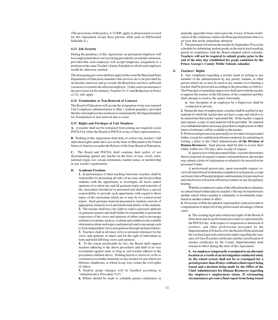<span id="page-12-3"></span><span id="page-12-1"></span><span id="page-12-0"></span>(The provisions of this policy, 4.12.RIF, apply to all personnel covered for this Agreement except those persons while paid on Differential Schedule A.)

#### <span id="page-12-2"></span>**[4.13 Job Security](#page-1-0)**

During the pendency of this Agreement, no permanent employee will lose employment due to services being provided by an outside contractor, provided that such employee will accept temporary assignment to a position on the same Teacher's Salary Schedule to which such employee would be otherwise entitled.

The aforegoing provision shall not apply in the event the Maryland State Department of Education mandates that services are to be provided by an outside contractor and as a result, the Board does not have sufficient vacancies to transfer the affected employee. Under such circumstances the provisions for Involuntary Transfer (4.11) and Reduction-in-Force (4.12) will apply.

#### **[4.14 Termination or Non-Renewal of Contract](#page-1-0)**

The Board of Education will accept the resignation of any non-tenured Unit I employee submitted prior to May 1 without prejudice, provided that the said employee has not been recommended by the Superintendent for Termination or non-renewal due to cause.

#### **[4.15 Rights and Privileges of Unit Members](#page-1-0)**

**A.** A teacher shall not be restrained from joining nor required to join PGCEA by either the Board or PGCEA or any of their representatives.

**B.** Nothing in this Agreement shall deny or restrict any teacher's full individual rights under the Laws of the State of Maryland or the United States of America or under the Bylaws of the State Board of Education.

**C.** The Board and PGCEA shall continue their policy of not discriminating against any teacher on the basis of race, creed, color, national origin, sex, sexual orientation, marital status, or membership in any teacher organization.

#### **D. Academic Freedom**

**1.** In performance of their teaching functions, teachers shall be responsible for presenting all sides of an issue and for providing students with the opportunity to investigate all facets and/or opinions of or about any and all germane topics and materials of the curriculum introduced or presented and shall have a special responsibility to provide such opportunity with regard to those topics of the curriculum which are or may be of a controversial nature. Such germane material presented to students must be of appropriate maturity level and intellectual ability of the students. **2.** The teacher shall have the right to express personal opinions on germane matters and shall further be responsible to permit the expression of the views and opinions of others and to encourage students to examine, analyze, evaluate and synthesize all available information about such topics and materials and to encourage each to form independent views and opinions through such procedures. **3.** Teachers shall at all times strive to promote tolerance for the

views and opinions of others and for the right of individuals to form and hold differing views and opinions.

**4.** To the extent permissible by law, the Board shall support teachers adhering to the above procedures and shall in no way recriminate against same so long as said teacher adheres to the procedures outlined above. Nothing herein is, however, to be so construed as to render immunity to any teacher for acts which are libelous, slanderous, or which in any way violate the civil rights of others.

**5.** Student grade changes will be handled according to "Administrative Procedure 5121."

**6.** Efforts should be made to schedule parent conferences at

mutually agreeable times and to provide at least 24 hours notification of the conference unless the Principal determines that it is an issue that needs immediate attention.

**7.** The principal will inform the teacher by September 30 as to the schedule for submitting student grades at the end of each marking period in compliance with the Board adopted school calendar. **Teachers will not be required to submit grades prior to the end of the duty day established for grade comletion by the Prince George's County Public Schools calendar.**

### **E. Teachers' Rights**

**1.** Any complaints regarding a teacher made in writing to any member of the administration by any parent, student, or other person which are or may be used in any manner in evaluating a teacher shall be processed according to the procedure as follows: The Principal or immediate supervisor shall meet with the teacher to apprise the teacher of the full nature of the complaint and they shall attempt to resolve the matter informally.

**a.** Any discipline of an employee by a Supervisor shall be conducted in private.

**2.** During the time of employment, a teacher shall be notified of any material of which the teacher does not have a copy and which is to be entered into that teacher's personnel file. At the teacher's request and expense, a copy of such material will be provided. No material of a confidential nature necessary precedent to employment or other letters of reference will be available to the teacher.

**3.** Professional persons may personally review their own personnel folder, except for confidential reference material, by submitting in writing a letter to the Chief Administrator **of the Division of Human Resources**. Such persons shall be able to review their folder within ten (10) days after receipt of request.

If, upon review of the personnel folder, a teacher determines there is material of a negative nature contained therein, the teacher may submit a letter of explanation or rebuttal to be inserted in the personnel folder.

A professional person may, upon reasonable request, review all school based written data compiled on such person, except such notes that a Principal prepares and maintains for personal use and which notes will not be offered in evidence at any disciplinary hearing.

With the exception of copies of the official teacher evaluation, no school-based written data in a teacher's file may be transferred to another school when a teacher is voluntarily or involuntarily transferred to another school or office.

**4.** No teacher will be disciplined, reprimanded, reduced in rank or compensation or deprived of any professional advantage without cause.

**a.** The existing legal and contractual rights of the Board of Education and its professional personnel as represented by the PGCEA Inc. with respect to suspension or dismissal of teachers, and other professional personnel by the Superintendent of Schools or by the Board of Education and the existing legal and contractual rights regarding the issuance of Class II teacher certificates and the classification of teacher certificates by the County Superintendent shall remain in effect during the term of this Agreement.

**b. An employee temporarily reassigned to an alternate location as a result of an investigation conducted solely by the school system shall not be so reassigned for a period greater than 45 days without a final report being issued and a decision being made by the Office of the Chief Administrator for Human Resources regarding the employee's employment status. If extenuating circumstances prevent a final report from being issued**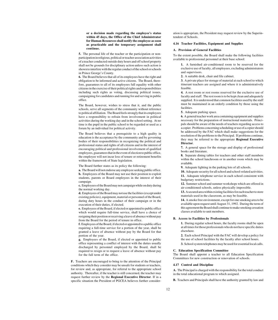<span id="page-13-0"></span>**or a decision made regarding the employee's status within 45 days, the Office of the Chief Administrator for Human Resources shall notify the employee as soon as practicable and the temporary assignment shall continue.**

<span id="page-13-2"></span>**5.** The personal life of the teacher or the participation or nonparticipation in religious, political or teacher association activities of a teacher conducted outside duty hours and off school property shall not be grounds for disciplinary action unless such action is shown to interfere with the regular conduct of the school or schools in Prince George's County.

**6.** The Board believes that all of its employees have the right and obligation to be informed and active citizens. The Board, therefore, guarantees to all of its employees full equality with other citizens in the exercise of their political rights and responsibilities including such rights as voting, discussing political issues, campaigning for candidates and running for and serving in public office.

The Board, however, wishes to stress that it, and the public schools, serve all segments of the community without reference to political affiliation. The Board feels strongly that its employees have a responsibility to refrain from involvement in political activities during the working day and in the school setting. At no time is the pupil in the public school to be regarded or used as a forum by an individual for political activity.

<span id="page-13-1"></span>The Board believes that a prerequisite to a high quality in education is the acceptance by the community and by governing bodies of their responsibilities in recognizing the political and professional status and rights of all citizens and in the interest of encouraging political and professional involvement of qualified employees, guarantees that in the event of election to public office, the employee will not incur loss of tenure or retirement benefits within the framework of State legislation.

The Board further states as its policy the following:

**a.** The Board will not endorse any employee seeking public office.

**b.** Employees of the Board may not use their position to exploit students, parents or Board employees in the interest of their campaign.

**c.** Employees of the Board may not campaign while on duty during the normal working day.

**d.** Employees of the Board may not use the facilities (except under existing policies), equipment, material or personnel of the Board, during duty hours in the conduct of their campaign or in the execution of their duties, if elected.

**e.** Employees of the Board, if elected or appointed to public office which would require full-time service, shall have a choice of resigning their position or receiving a leave of absence without pay from the Board for the period of tenure in office.

**f.** Employees of the Board, if elected or appointed to a public office requiring a full-time service for a portion of the year, shall be granted a leave of absence without pay by the Board for that portion of the year.

**g.** Employees of the Board, if elected or appointed to public office representing a conflict of interest with the duties usually discharged by personnel employed by the Board, shall be required to resign or to request a leave of absence without pay for the full term of the office.

**F.** Teachers are encouraged to bring to the attention of the Principal conditions which they consider may be unsafe for students or teachers, for review and, as appropriate, for referral to the appropriate school authority. Thereafter, if the teacher is still concerned, the teacher may request further review by the **Regional Executive Director**. If in a specific situation the President of PGCEA believes further consider-

ation is appropriate, the President may request review by the Superintendent of Schools.

#### **[4.16 Teacher Facilities, Equipment and Supplies](#page-1-0)**

#### **A. Provision of General Facilities**

To the extent possible, the Board shall make the following facilities available to professional personnel at their base school:

**1.** A furnished air-conditioned room to be reserved for the exclusive use of faculty, all employees, excluding administrators and supervisors.

**2.** A suitable desk, chair and file cabinet.

**3.** A private place for storage of material at each school to which itinerant teachers are assigned and where it is administratively feasible.

**4.** A rest room or rest rooms reserved for the exclusive use of faculty and staff. The rest room is to be kept clean and adequately supplied. It is understood that common facilities used by the staff must be maintained in an orderly condition by those using the facilities.

**5.** Adequate parking space.

**6.** A general teacher work area containing equipment and supplies necessary for the preparation of instructional materials. Principals should be aware of the needs of teachers regarding access to a copier. Problems concerning scheduling or use of a copier should be addressed by the FAC which shall make suggestions for the resolution of the problems to the Principal. If problems continue, they may be referred to the appropriate **Regional Executive Director**.

**7.** A general space for the storage and display of professional books and literature.

**8.** Separate dining tables for teachers and other staff members within the school lunchroom or in another room which may be available.

**9.** Adequate lighting in the parking lots of all schools.

**10.** Adequate security for all school and school-related activities. **11.** Adequate telephone service in each school consistent with budgetary restrictions.

**12.** Summer school and summer workshops which are offered in air-conditioned schools, unless physically impossible.

**13.** A secured area within existing facilities for each teacher to store materials used in the classroom, as may be feasible.

**14.** A smoke free environment, except for one smoking area to be available upon request until August 31, 1992. During the term of this agreement the Board shall continue to make smoking cessation classes available to unit members.

#### **B. Access to Facilities by Professionals**

**1.** During regular school hours, the faculty rooms shall be open at all times for those professionals who do not have specific duties elsewhere.

**2.** Each school Principal with the FAC will develop a policy for the use of school facilities by the faculty after school hours.

**3.** School system telephones may be used for essential local calls.

#### **C. Education Specification Committee**

The Board shall appoint a teacher to all Education Specification Committees for new construction or renovation of schools.

#### **[4.17 Control and Discipline](#page-1-0)**

**A.** The Principal is charged with the responsibility for the total conduct in the total educational program to which assigned.

**B.** Teachers and Principals shall have the authority granted by law and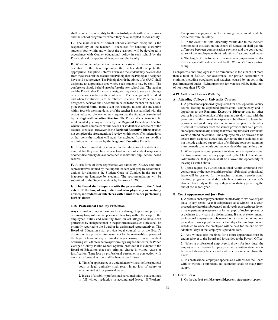<span id="page-14-2"></span><span id="page-14-1"></span>shall exercise responsibility for the control of pupils within their classes and the school program for which they have accepted responsibility.

**C.** The maintenance of normal school classroom discipline is the responsibility of the teacher. Procedures for handling disruptive students both within and without the classroom will be developed in accordance with County educational policy in each school by the Principal or duly appointed designee and the faculty.

**D.** When in the judgement of the teacher a student's behavior makes operation of the class impossible, the teacher shall complete the appropriate Discipline Referral Form and the student may be excluded from the class until the teacher and Principal or the Principal's designee have held a conference. The Principal, with the advice of the FAC, shall designate an appropriate area where such students may be sent. The conference should be held on or before the next school day. The teacher and the Principal or Principal's designee may elect to use an exchange of written notes in lieu of the conference. The Principal will decide if and when the student is to be returned to class. The Principal's, or designee's, decision shall be communicated to the teacher on the Discipline Referral Form. In the event the Principal fails to take any action within four (4) working days, or if the teacher is not satisfied with the action indicated, the teacher may request that the situation be reviewed by the **Regional Executive Director**. The Principal's decision is to be implemented pending a review by the **Regional Executive Director** which is to be completed within seven (7) student days of receipt of the teacher's request. However, if the **Regional Executive Director** does not complete the aforementioned review within seven (7) student days, at that point the student will again be excluded from class pending resolution of the matter by the **Regional Executive Director**.

<span id="page-14-0"></span>**E.** Teachers immediately involved in the education of a student are assured that they shall have access to all notices of student suspension or other disciplinary data as contained in individual pupil school-based records.

**F.** A task force of three representatives named by PGCEA and three representatives named by the Superintendent will prepare recommendations for changing the Student Code of Conduct in the area of inappropriate language by students. The recommendation will be submitted to the Superintendent by February 1, 2001.

**G. The Board shall cooperate with the prosecution to the fullest extent of the law, of any individual who physically or verbally abuses, intimidates or interferes with a unit member performing his/her duties.**

#### **[4.18 Professional Liability Protection](#page-1-0)**

Any criminal action, civil suit, or loss or damage to personal property occurring to a professional person while acting within the scope of the employee's duties and resulting from an act alleged to have been performed by such personnel in the performance of such duties shall be promptly reported to the Board or its designated representatives. The Board of Education shall provide legal counsel or at the Board's discretion may provide reimbursement for the reasonable expenses of the legal defense of any criminal charges arising from an incident occurring while the teacher was performing assigned duties for the Prince George's County Public School System, provided it is evident to the Board of Education that such criminal charge is without cause or justification. Time lost by professional personnel in connection with any such aforesaid action shall be handled as follows:

**1.** Time for appearance as a defendant or witness before a judicial body or legal authority shall result in no loss of salary or accumulated sick or personal leave.

**2.** In case of disability professional personnel salary shall continue in full without reduction in accumulated leave. If Workers' Compensation payment is forthcoming the amount shall be deducted from the salary.

**3.** In the event that total disability results due to the incident mentioned in this section, the Board of Education shall pay the difference between compensation payment and the contractual salary of the employee without reduction of accumulated leave.

**4.** The length of time for which one receives compensation under this section shall be determined by the Workers' Compensation ruling.

Each professional employee is to be reimbursed in the sum of not more than a total of \$200.00 per occurrence, for proven destruction of clothing, including eyeglasses and watches, caused by an act in the performance of duties. Reimbursement for watches will be in the sum of not more than \$75.00.

#### **[4.19 Authorized Leaves With Pay](#page-1-0)**

#### **A. Attending College or University Courses**

**1.** A professional person duly registered for a college or university course leading to expanded professional competency and it appearing to the **Regional Executive Director** that no other course is available outside of the regular duty day may, with the permission of the immediate supervisor, be allowed to leave that person's assigned duty station as soon as practicable after dismissal of students from the school provided that said professional person makes up during that week any time lost within that week to attend the course. The employee may be allowed to be absent from assigned duties only during the time such duties do not include assigned supervision of children; however, attempts must be made to schedule courses outside of the regular duty day.

**2.** When a professional person is in attendance at a professional meeting or in-service activity approved by the Chief Educational Administrator, that person shall be allowed the opportunity of leaving as stated above.

**3.** Upon a request by a Chief Educational Administrator and with concurrence by the teacher and the teacher's Principal, professional leave will be granted for the teacher to attend a professional meeting, program or workshop which necessitates the teacher's absence from duty on the day or days immediately preceding the end of the school year.

#### **B. Court Appearance and Jury Duty**

**1.** A professional employee shall be entitled to up to two days of paid leave in any school year if subpoenaed as a witness in a court proceeding where the subpoenaed employee is expected to testify on a matter pertaining to a present or former pupil of such employee, or as a witness to or victim of a violent crime. If a ten or eleven-month professional employee is subpoenaed on a matter pertaining to a present or former pupil on one or two days the employee is not scheduled to work, the employee will be paid for the one or two additional days at that employee's per diem rate.

**2.** Any witness fees received for a court appearance must be endorsed over to the Board and forwarded to the Payroll Office.

**3.** When a professional employee is drawn for jury duty, the employee shall receive full pay provided a written statement is furnished showing time served and expenses received from the Court.

**4.** If a professional employee appears as a witness for the Board with or without a subpoena, no deduction shall be made from salary.

#### **C. Death Leave**

**1.** On the death of a child, **step child,** parent**, step-parent** , parent-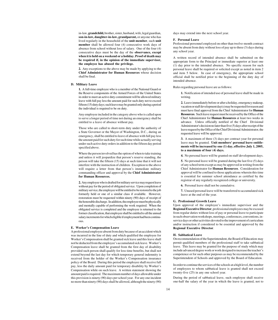<span id="page-15-0"></span>in-law, **grandchild,** brother, sister, husband, wife, legal guardian, **son-in-law, daughter-in-law, grandparent,** or anyone who has lived regularly in the household of the **unit member**, such **unit member** shall be allowed four (4) consecutive work days of absence from school without loss of salary. One of the four (4) consecutive days must be the day of the **observance, except when it is held on a weekend or a holiday. Proof of death may be required if, in the opinion of the immediate supervisor, the employee has abused the privilege.**

**2.** Any exceptions to the above may be made by applying to the **Chief Administrator for Human Resources** whose decision shall be final.

#### **D. Military Leave**

**1.** A full-time employee who is a member of the National Guard or the Reserve components of the Armed Forces of the United States in order to meet an active duty commitment will be allowed military leave with full pay less the amount paid for such duty not to exceed fifteen (15) duty days; such leave may be granted only during a period the individual is required to be on duty.

Any employee included in the category above who is called upon to serve a longer period of time not during an emergency shall be entitled to a leave of absence without pay.

Those who are called to short-term duty under the authority of a State Governor or the Mayor of Washington, D.C., during an emergency, shall be entitled to leave of absence with full pay less the amount paid for such duty for such time while actually serving under such active duty orders in addition to the fifteen day period specified above.

Where the person involved has the option of when to take training and unless it will jeopardize that person's reserve standing, the person will take the fifteen (15) days at such time that it will not interfere with the instruction of children. Exception to the above will require a letter from that person's immediate military commanding officer and approval by the **Chief Administrator for Human Resources.**

**2.** Any employee who is drafted for military service may request leave without pay for the period of obligated service. Upon completion of military service, the employee will be entitled to be restored to the job formerly held or one of a similar class if available. However, restoration must be requested within ninety (90) days of receipt of the honorable discharge. In addition, the employee must be physically and mentally capable of performing the work required. When the obligated service is completed and the employee is returned to the former classification, that employee shall be entitled to all the annual salary increments for which eligible if employment had been continuous.

#### **E. Worker's Compensation Leave**

A professional employee absent from duty because of an accident which was incurred in the line of duty and which qualified the employee for Worker's Compensation shall be granted sick leave and this leave shall not be deducted from the employee's accumulated sick leave. Worker's Compensation leave shall be granted from the first day of disability provided such person shall qualify for loss time benefits, but shall not extend beyond the last day for which temporary general indemnity is received from the holder of the Worker's Compensation insurance policy of the Board. During this period the employee shall receive full pay, less the daily amount paid for temporary disability by Worker's Compensation while on such leave. A written statement showing the amount paid is required. The maximum number of days allowable under this provision is ninety (90) days per school year. For any one incident no more than ninety (90) days shall be allowed, although the ninety (90)

days may extend into the next school year.

#### **F. Personal Leave**

Professional personnel employed on other than twelve-month contract may be absent from duty without loss of pay up to three (3) days during any school year.

A written record of intended absence shall be submitted on the appropriate form to the Principal or immediate superior at least one (1) day prior to the intended absence. No specific reason for such personal leave shall be required or solicited except as noted in item 2 and item 5 below. In case of emergency, the appropriate school official shall be notified prior to the beginning of the duty day of intended absence.

Rules regarding personal leave are as follows:

**1.** Notification of intended use of personal leave shall be made in writing.

**2.** Leave immediately before or after a holiday, emergency makeup, vacation or staff development day(s) may be requested for reason and must have final approval from the Chief Administrator for **Human Resources**. Such leave request must be received by the Office of the Chief Administrator for **Human Resources** at least two weeks in advance. Unless officially notified of the Chief Divisional Administrator's decision no later than five (5) days after receipt of the leave request by the Office of the Chief Divisional Administrator, the requested leave will be approved.

**3.** A maximum of three (3) days per contract year for personal leave may be granted. **Unit members' personal leave entitlements will be increased by one (1) day, effective July 1, 2005, to a maximum of four (4) days.**

**4.** No personal leave will be granted on staff development days.

**5.** No personal leave will be granted during the last five (5) days of any school term except as may be approved in writing from the Chief Administrator for **Human Resources**. Consideration for approval will be confined to those applications wherein this time is essential for summer school attendance as certified by the registrar of any regularly recognized college or university.

**6.** Personal leave shall not be cumulative.

**7.** Unused personal leave will be transferred to accumulated sick leave at the end of the year.

#### **G. Professional Growth Leave**

Upon approval of the employee's immediate supervisor and the **Regional Executive Director**, professional employees may be excused from regular duties without loss of pay or personal leave to participate in such observation workshops, meetings, conferences, conventions, inservice days or other activities devoted to the improvement of curriculum and/or instruction if considered to be essential and approved by the **Regional Executive Director**.

#### **H. Sabbatical Leave**

On recommendation of the Superintendent, the Board of Education may permit qualified members of the professional staff to take sabbatical leave. This leave may be granted for the purpose of study which may include advanced degree work or work designed to increase the teacher's competence or for such other purposes as may be recommended by the Superintendent of Schools and approved by the Board of Education.

In order to continue the services of the schools at a high level, the number of employees to whom sabbatical leave is granted shall not exceed twenty-five (25) in any one school year.

During the period of sabbatical leave, such employee shall receive one-half the salary of the year in which the leave is granted, not to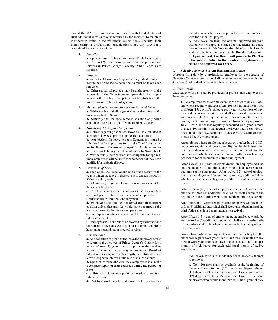<span id="page-16-0"></span>exceed the MA + 30 hours maximum scale, with the deduction of such additional sums as may be required by the recipient to maintain membership status in the retirement system social security, their membership in professional organizations, and any previously committed insurance premiums.

**1.** *Eligibility*

**a.** Applicants must hold a minimum of a Bachelor's degree. **b.** Seven (7) consecutive years of active professional services in Prince George's County Public Schools are required.

**2.** *Purpose*

**a.** Sabbatical leave may be granted for graduate study. a minimum of nine (9) semester hours must be taken each semester.

**b.** Other sabbatical projects may be undertaken with the approval of the Superintendent provided the project increases the teacher's competence and contributes to the improvement of the school system.

**3.** *Methods of Selecting Employees to be Granted Leave* **a.** Sabbatical leave shall be granted at the discretion of the Superintendent of Schools.

**b.** Seniority shall be considered in selection only when candidates are equally qualified in all other respects.

**4.** *Advertising, Closing and Notification*

**a.** Notices regarding sabbatical leave will be circulated at least four (4) weeks prior to application deadlines. **b.** Applications for leave to begin September 1 must be submitted on the application form to the Chief Administrator for **Human Resources** by April 1. Applications for leave to begin February 1 must be submitted by November 1. **c.** Within four (4) weeks after the closing date for applications, employees will be notified whether or not they have qualified for sabbatical leave.

**5.** *Provisions of Leave*

**a.** Employees shall receive one-half of their salary for the year in which the leave is granted, not to exceed the MA + 30 hours salary scale.

**b.** A leave may be granted for one or two semesters within the same school year.

**c.** Employees are entitled to return to the position they occupied prior to their leave or to another position of a similar nature within the school system.

**d.** Employees shall not be transferred from their former position unless that transfer would have occurred in the normal course of administrative operations.

**e.** Time spent on sabbatical leave will be credited toward salary increments.

**f.** Employees will continue to be covered by insurance and retirement. They may elect to remain as members of group hospitalization and major medical services.

**6.** *General Rules*

**a.** As a condition of granting the leave the employee agrees to return to the services of Prince George's County for a period of two (2) years. As an option to the services requirement an individual may return to the Board of Education the salary received during the period of sabbatical leave along with interest at the rate of 6% per annum. **b.** Upon return from sabbatical leave employees shall make

a complete report of their activities during the period of leave.

**c.** Full-time employment is prohibited while a person is on sabbatical leave.

**d.** Part-time work may be undertaken or the person may

accept grants or fellowships provided it will not interfere with the sabbatical project.

**e.** Any deviation from the original approved program without written approval of the Superintendent shall cause the employee to forfeit funds for the sabbatical, which funds shall therewith be reimbursed to the Board of Education. **f. Upon request, the Board will provide to PGCEA information relative to the number of applicants received and approved each year.**

#### **I. Selective Service System Examination Leave**

Absence from duty by a professional employee for the purpose of Selective Service examination shall be an authorized leave with pay. Over one (1) day shall be deducted from sick leave.

#### **J. Sick Leave**

Sick leave, with pay, shall be provided for professional employees as hereafter stated:

**1.** An employee whose employment began prior to July 1, 1987, and whose regular work year is ten (10) months shall be entitled to fifteen (15) days of sick leave each year without loss of pay, the entitlement to which sick leave shall accrue on the basis of one and one-half (1 1/2) days per month for each month of active employment. An employee whose employment began prior to July 1, 1987, and whose regularly scheduled work year is more than ten (10) months in any regular work year, shall be entitled to one (1) additional day, per month, of sick leave for each additional month of active employment.

An employee whose employment began on or after July 1, 1987. and whose regular work year is ten (10) months shall be entitled to ten (10) days of sick leave each year without loss of pay, the entitlement to which sick leave shall accrue on the basis of one day per month for each month of active employment.

After eleven (11) years of employment, an employee will be entitled to one (1) additional day which shall accrue at the beginning of the sixth month. After twelve (12) years of employment, an employee will be entitled to two (2) additional days which shall accrue at the beginning of the fifth and ninth months respectively.

After thirteen (13) years of employment, an employee will be entitled to three (3) additional days which shall accrue at the beginning of the fourth, seventh, and tenth months respectively.

After fourteen (14) years of employment, an employee will be entitled to four (4) additional days which shall accrue at the beginning of the third, fifth, seventh and ninth months respectively.

After fifteen (15) years of employment, an employee would be entitled to five (5) additional days which shall accrue on the basis of one and one-half (1 1/2) days per month at the beginning of each month of work.

An employee whose employment began on or after July 1, 1987, and whose regular work year is more than ten (10) months in any regular work year shall be entitled to one (1) additional day, per month, of sick leave for each additional month of active employment.

Sick leave may be taken in advance of actual accrual thereof as follows:

**a.** Ten (10) days shall be available at the beginning of the school year for ten (10) month employees, eleven (11) days for eleven (11) month employees and twelve (12) days for twelve (12) month employees. For those employees who accrue more than this initial grant of sick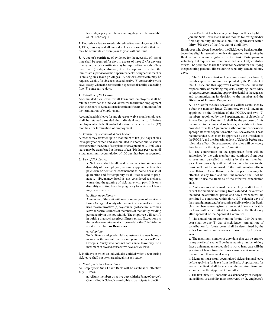leave days per year, the remaining days will be available as of February 1.

<span id="page-17-0"></span>**2.** Unused sick leave earned and credited to an employee as of July 1, 1977, plus any and all unused sick leave earned after that date may be accumulated from year to year without limit.

**3.** A doctor's certificate of evidence for the necessity of loss of time shall be required for days in excess of three (3) for any one illness. A doctor's certificate may be required for periods of less than three (3) days absence, if in the opinion of either the immediate supervisor or the Superintendent's designee the teacher is abusing sick leave privileges. A doctor's certificate may be required weekly for absences exceeding five (5) consecutive work days, except where the certification specifies disability exceeding five (5) consecutive days.

#### **4.** *Retention of Sick Leave:*

Accumulated sick leave for all ten-month employees shall be retained provided the individual returns to full time employment with the Board of Education no later than fifteen (15) months after the termination of employment.

Accumulated sick leave for any eleven or twelve-month employees shall be retained provided the individual returns to full-time employment with the Board of Education no later than twelve (12) months after termination of employment.

#### **5.** *Transfer of Accumulated Sick Leave:*

A teacher may transfer up to a maximum of ten (10) days of sick leave per year earned and accumulated in another public school district within the State of Maryland after September 1, 1966. Sick leave may be transferred at the rate of ten (10) days per year until a total maximum accumulation of 100 days has been recognized.

**6.** *Use of Sick Leave:*

**a.** Sick leave shall be allowed in case of actual sickness or disability of the employee, necessary appointments with a physician or dentist or confinement to home because of quarantine and for temporary disabilities related to pregnancy. (Pregnancy itself is not considered a sickness warranting the granting of sick leave with pay. It is only disability resulting from the pregnancy for which sick leave may be allowed.)

#### **b.** *Sickness in Family:*

A member of the unit with one or more years of service in Prince George's County who does not earn annual leave may use a maximum of five (5) days annually of accumulated sick leave for serious illness of members of the family residing permanently in the household. The employee will certify in writing that such a serious illness exists. Exceptions to the residence requirement will be made by the Chief Administrator for **Human Resources**.

#### **c.** *Adoption:*

To facilitate an adopted child's adjustment to a new home, a member of the unit with one or more years of service in Prince George's County who does not earn annual leave may use a maximum of five (5) consecutive days of sick leave.

**7.** Holidays to which an individual is entitled which occur during sick leave shall not be charged against such leave.

#### **8.** *Employee's Sick Leave Bank*

An Employees' Sick Leave Bank will be established effective July 1, 1978.

**a.** All unit members on active duty with the Prince George's County Public Schools are eligible to participate in the Sick

Leave Bank. A teacher newly employed will be eligible to join the Sick Leave Bank six (6) months following his/her first day on duty and must submit the application within thirty (30) days of the first day of eligibility.

Employees who elected not to join the Sick Leave Bank upon first becoming eligible have a six-month waiting period after joining the Bank before becoming eligible to use the Bank. Participation is voluntary, but requires contribution to the Bank. Only contributors will be permitted to use the Bank for payment for qualifying incapacitating personal illness during regularly scheduled duty days.

**b.** The Sick Leave Bank will be administered by a three (3) member approval committee appointed by the President of the PGCEA, and this Approval Committee shall have the responsibility of receiving requests, verifying the validity of requests, recommending approval or denial of the requests and communicating its decision to the member and the **Division of Human Resources.**

**c.** The rules for the Sick Leave Bank will be established by a four (4) member Rules Committee, two (2) members appointed by the President of the PGCEA and two (2) members appointed by the Superintendent of Schools of Prince George's County. It shall be the purpose of this committee to recommend such rules, in addition to those provided for in this Agreement, as the committee considers appropriate for the operation of the Sick Leave Bank. These recommended rules must be approved by the President of the PGCEA and the Superintendent of Schools before said rules take effect. Once approved, the rules will be widely distributed by the Approval Committee.

**d.** The contribution on the appropriate form will be authorized by the unit member and continued from year to year until cancelled in writing by the unit member. Sick leave properly authorized for contribution to the Bank will not be returned if the unit member effects cancellation. Cancellation on the proper form may be effected at any time and the unit member shall not be eligible to use the Bank as of the effective cancellation date.

**e.** Contributions shall be made between July 1 and October 1, except for members returning from extended leave which included the enrollment period and new hires who will be permitted to contribute within thirty (30) calendar days of their reassignment and/or becoming eligible to join the Bank. Unit members returning from extended sick leave or disability leave will be permitted to contribute to the Bank only after approval of the Approval Committee.

**f.** The annual rate of contribution for the 1989-90 school year shall be one (1) day of sick leave. Annual rate of contribution for future years shall be determined by the Rules Committee and announced prior to July 1 of each year.

**g.** The maximum number of duty days that can be granted in any one fiscal year will be the remaining number of duty days a unit member is scheduled to work. In no case will the granting of leave from the Bank cause a unit member to receive more than annual salary.

**h.** Members must use all accumulated sick and annual leave before applying for leave from the Bank. Applications for use of the Bank shall be made on the required form and submitted to the Approval Committee.

**i.** The first thirty (30) consecutive calendar days of incapacitating illness or disability must be covered by the employee's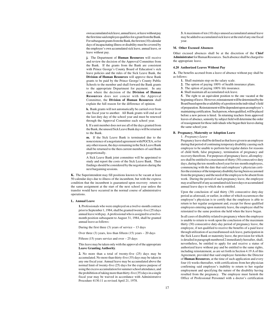<span id="page-18-1"></span><span id="page-18-0"></span>own accumulated sick leave, annual leave, or leave without pay the first time said employee qualifies for a grant from the Bank. For subsequent grants from the Bank, the first ten (10) calendar days of incapacitating illness or disability must be covered by the employee's own accumulated sick leave, annual leave, or leave without pay.

**j.** The Department of **Human Resources** will receive and review the decision of the Approval Committee from the Bank. If the grants from the Bank are consistent with Prince George's County Board of Education's sick leave policies and the rules of the Sick Leave Bank, the **Division of Human Resources** will approve these Bank grants to be paid by the Prince George's County Public Schools to the member and shall forward the Bank grants to the appropriate Department for payment. In any case where the decision of the **Division of Human Resources** does not concur with the Approval Committee, the **Division of Human Resources** shall explain the full reason for the difference of opinion.

**k.** Bank grants will not automatically be carried over from one fiscal year to another. All Bank grants will end as of the last duty day of the school year and must be renewed through the Approval Committee each school year.

**l.** If a unit member does not use all of the days granted from the Bank, the unused Sick Leave Bank days will be returned to the Bank.

**m.** If the Sick Leave Bank is terminated due to the nonexistence of a negotiated agreement with PGCEA, or for any other reason, the days remaining in the Sick Leave Bank shall be returned to the then current members of said Bank proportionally.

A Sick Leave Bank joint committee will be appointed to study and report the costs of the Sick Leave Bank. Their findings should be considered by the negotiators during the next bargaining sessions.

**K.** The Superintendent may fill positions known to be vacant at least 50 calendar days due to illness of the incumbent, but with the express condition that the incumbent is guaranteed upon recovery return to the same assignment at the start of the next school year unless the transfer would have occurred in the normal course of administrative operations.

#### **L. Annual Leave**

**1.** Professionals who were employed on a twelve-month contract prior to September 1, 1984, shall be granted twenty-five (25) days annual leave with pay. A professional who is assigned to a twelvemonth position subsequent to August 31, 1984, shall be granted annual leave as follows:

During the first three  $(3)$  years of service  $-13$  days

Over three  $(3)$  years, less than fifteen  $(15)$  years – 20 days

Fifteen  $(15)$  years service and over  $-25$  days

#### This leave may be taken only with the approval of the appropriate **Leave Granting Authority**.

**2.** No more than a total of twenty-five (25) days may be accumulated. No more than thirty-five (35) days may be taken in any one fiscal year. Annual leave may be accumulated above the normal limit of twenty-five (25) days for the express purpose of using the excess accumulation for summer school attendance, and the prohibition of taking more than thirty-five (35) days in a single fiscal year may be waived in accordance with Administrative Procedure 4130.11 as revised April 21, 1978.

**3.** A maximum of ten (10) days unused accumulated annual leave may be added to accumulated sick leave at the end of any one fiscal year.

#### **M. Other Excused Absences**

Other excused absences shall be at the discretion of the **Chief Administrator** for Human Resources. Such absence shall be charged to the appropriate leave.

#### **[4.20 Authorized Leaves Without Pay](#page-1-0)**

**A.** The benefits accrued from a leave of absence without pay shall be as follows:

- **1.** Shall maintain step on the salary scale.
- **2.** The option of paying 100% of health insurance plans.
- **3.** The option of paying 100% life insurance.
- **4.** Shall maintain all accumulated sick leave.

**5.** The right to an equivalent position to the one vacated at the beginning of leave. However, reinstatement will be determined by the Board based upon the availability of a position in the individual's field of preparation. Reinstatement will be dependent upon an employee's maintaining certification. Such person, when qualified, will be placed before a new person is hired. In returning teachers from approved leaves of absence, seniority by subject field will determine the order of reassignment for those individuals who began their leaves during the same school year.

#### **B. Pregnancy, Maternity or Adoption Leave**

1. *Pregnancy Leave*

Pregnancy leave shall be defined as that leave given to an employee during that period of continuing temporary disability causing such employee to be unable to perform her regular duties for reasons of child birth, false pregnancy, termination of pregnancy and recovery therefrom. For purposes of pregnancy leave, all employees shall be entitled to a maximum of thirty (30) consecutive duty days, during the ten-month school year for ten-month employees, commencing with the date that said employee's physician certifies the existence of the temporary disability having been occasioned from the pregnancy and the need of the employee to be absent from work. During the period of such pregnancy leave, the employee may avail herself of any accumulated sick leave days or accumulated annual leave days to which she is entitled.

Upon the conclusion of said thirty (30) consecutive duty-day period as aforesaid, or earlier, in either of which occurrences the employee's physician is to certify that the employee is able to return to her regular assignment and, except for those qualified employees entering upon maternity leave, the employee shall be reinstated to the same position she held when the leave began.

In all cases of disability related to pregnancy where the employee is unable to return to work upon the conclusion of the maximum thirty (30) consecutive duty-day period of pregnancy leave, the employee, if not qualified to receive the benefits of a paid leave through utilization of accrued/unused sick leave, participation in the Sick Leave Bank or maternity leave, the provision for which is detailed in paragraph numbered 2 immediately hereafter, shall, nevertheless, be entitled to apply for and receive a status of authorized leave without pay and be entitled to the same rights, including reinstatement, as are set forth in Section 4.19 A of this Agreement, provided that said employee furnishes the Director of **Human Resources**, at the time of such application and every four (4) weeks thereafter, with certifications from her physician confirming said employee's inability to return to her regular employment and specifying the nature of the disability having resulted from the pregnancy. The employee must furnish the Office of Professional Personnel with a doctor's certification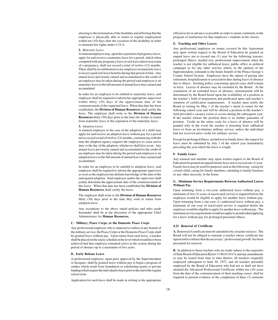<span id="page-19-1"></span>attesting to the termination of the disability and affirming that the employee is physically able to return to regular employment within ten (10) days after the cessation of the disability in order to maintain her rights under 4.19 A.

#### **2.** *Maternity Leave*

A tenured employee may, upon the expiration of pregnancy leave, apply for and receive a maternity leave for a period, which when computed with any pregnancy leave or sick leave taken on account of a pregnancy**,** shall not exceed a total of twelve (12) months. There shall be no entitlement to any employee on maternity leave to receive paid sick leave benefits during that period of time. Any annual leave previously earned and accumulated to the credit of an employee may be taken during the period said employee is on maternity leave to the full amount of annual leave days earned and accumulated.

In order for an employee to be entitled to maternity leave, said employee shall be required to inform her appropriate supervisor within thirty (30) days of the approximate date of the commencement of the requested leave. When that date has been established, the **Division of Human Resources** shall certify the leave. The employee shall write to the **Division of Human Resources** thirty (30) days prior to the time she wishes to return from maternity leave or the expiration of the maternity leave.

#### <span id="page-19-0"></span>**3.** *Adoption Leave*

A tenured employee in the case of the adoption of a child may apply for and receive an adoption leave without pay for a period not to exceed a total of twelve (12) months, commencing with the time the adoption agency requires the employee to cease active duty or the day of the adoption, whichever shall first occur. Any annual leave previously earned and accumulated to the credit of an employee may be taken during the period said employee is on adoption leave to the full amount of annual leave days earned and accumulated.

In order for an employee to be entitled to adoption leave, said employee shall be required to inform the appropriate supervisor as soon as the employee has definite knowledge of the date of the anticipated adoption. Said employee and/or the supervisor shall jointly determine the approximate date of the commencement of this leave. When that date has been established the **Division of Human Resources** shall certify the leave.

The employee shall write to the **Division of Human Resources** thirty (30) days prior to the time they wish to return from adoption leave.

Any exceptions to the above stated policies and rules made hereunder shall be at the discretion of the appropriate Chief Administrator for **Human Resources.**

#### **C. Military, Peace Corps, or the Domestic Peace Corps**

Any professional employee who is inducted or enlists in any branch of the military service, the Peace Corps or the Domestic Peace Corps shall be granted leave without pay. Upon return from such leave, a teacher shall be placed on the salary schedule at the level which would have been achieved had that employee remained active in the system during the period of absence up to a maximum of two years.

#### **D. Early Release Leave**

A professional employee, upon prior approval by the Superintendent or designee, shall be granted leave without pay to begin a program of studies which result from foundation or scholarship grants or private funding which require the individual to leave prior to the end of the regular school term.

Application for such leave shall be made in writing to the appropriate

official as far in advance as possible in order to insure continuity in the program of instruction for that employee's students in his classes.

#### **E. Teaching and Other Leaves**

Any professional employee on tenure covered by this Agreement may upon written request to the Board of Education be granted an unpaid leave not to exceed one (1) year for the following reasons: prolonged illness; needed rest; professional improvement when the teacher is not eligible for sabbatical leave; public office or political campaign or for any other activity which, in the opinion of the Superintendent, redounds to the future benefit of the Prince George's County School System. Employees have the option of paying into retirement, hospitalization or association dues during leave of absence due to illness. Existing policy concerning special cases shall remain in force. Leaves of absence may be extended by the Board. At the conclusion of an extended leave of absence, reinstatement will be determined by the Board based upon the availability of a position in the teacher's field of preparation and predicated upon said teacher's retention of certification requirements. A teacher must notify the Board in writing by May 1 of the teacher's intent to return for the following school year and will be offered a position in the teacher's field provided a vacancy exists or occurs during the subsequent year. If the teacher refuses the position there is no further guarantee of position. Credit on the salary scale for a leave of absence will be granted only in the event the teacher is returning from sabbatical leave or from an involuntary military service, unless the individual had not received prior credit for military service.

Except for prolonged illness, needed rest or family leave, the request for leave must be submitted by July 1 of the school year immediately preceding the year which the leave is sought.

#### **F. Family Leave**

Any tenured unit member may upon written request to the Board of Education be granted an unpaid family leave not to exceed one (1) year. Family leave may be used for purposes such as the following: caring for a foster child, caring for family members, attending to family business or any other necessity in the home.

#### **G. Minimum Service Requirements Between Authorized Leaves Without Pay**

Upon returning from a two-year authorized leave without pay, a minimum of two (2) years of reactivated service is required before the employee would be eligible to apply for another leave without pay. Upon returning from a one-year (1) authorized leave without pay, a minimum of one year of reactivated service is required before the employee would be eligible to apply for another leave without pay. The minimum service requirements would not apply to an individual applying for a leave without pay for prolonged personnel illness.

#### **[4.21 Renewal of Certificate](#page-1-0)**

**A.** Renewal of certificate must be attended to by a teacher on leave. The Board will not be obliged to reinstate a teacher whose certificate has lapsed until evidence that the necessary "professional growth" has been presented for renewal.

**B.** In addition to those teachers who are made subject to the requisites of State Board of Education Bylaw 13.06.01.03 C4, and any amendments as may be issued from time to time thereto, all teachers originally employed subsequent to June 30, 1977, and all teachers presently employed by the Board of Education who had not or shall not have attained the Advanced Professional Certificate within ten (10) years from the date of the commencement of their teaching career, shall be required to present evidence of the completion of three (3) semester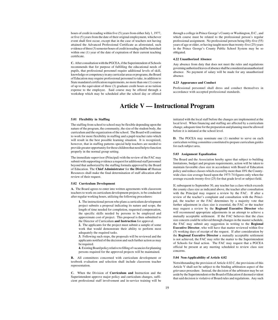<span id="page-20-7"></span><span id="page-20-2"></span><span id="page-20-1"></span><span id="page-20-0"></span>hours of credit in reading within five (5) years from either July 1, 1977, or five (5) years from the date of their original employment, whichever event shall first occur, except that in the case of teachers not having attained the Advanced Professional Certificate as aforestated, such evidence of three (3) semester hours of credit in reading shall be furnished within one (1) year of the date of expiration of their current teaching certificate.

<span id="page-20-5"></span><span id="page-20-4"></span><span id="page-20-3"></span>**C.** After consultation with the PGCEA, if the Superintendent of Schools recommends that for purpose of fulfilling the educational needs of pupils, that professional personnel require additional levels of skill, knowledge or competency in any curricular areas or programs, the Board of Education may require professional personnel to take, in addition to State mandated certification requirements, no more than one (1) course of up to the equivalent of three (3) graduate credit hours at no tuition expense to the employee. Said course may be offered through a workshop which may be scheduled after the school day or offered through a college in Prince George's County or Washington, D.C., and which course must be related to the professional person's regular professional assignment. No professional person being fifty-five (55) years of age or older, or having taught more than twenty-five (25) years in the Prince George's County Public School System may be so obligated.

#### **[4.22 Unauthorized Absence](#page-1-0)**

Any absence from duty that does not meet the rules and regulations governing authorized leaves of absence shall be considered an unauthorized absence. No payment of salary will be made for any unauthorized absence.

#### **[4.23 Appearance and Conduct](#page-1-0)**

Professional personnel shall dress and conduct themselves in accordance with accepted professional standards.

## **[Article V — Instructional Program](#page-1-0)**

#### <span id="page-20-6"></span>**[5.01 Flexibility in Staffing](#page-1-0)**

The staffing from school to school may be flexible depending upon the nature of the program, the community, the size of the student body, the curriculum and the organization of the school. The Board will continue to work for more flexibility in staffing and a pupil-teacher ratio which will result in the best possible learning situation. It is recognized, however, that in staffing patterns special help teachers are needed to provide greater opportunity for those children that need help to function properly in the normal group setting.

The immediate supervisor (Principal) with the review of the FAC may submit with supporting evidence a request for additional staff personnel beyond that authorized by the staffing formula approved by the Board of Education. The **Chief Administrator** for **the Division of** Human Resources shall make the final determination of staff allocation after review of their request.

#### **[5.02 Curriculum Development](#page-1-0)**

**A.** The Board agrees to enter into written agreements with classroom teachers to work on curriculum development projects, to be conducted after regular working hours, utilizing the following procedures:

**1.** The instructional person who plans a curriculum development project submits a proposal indicating its nature and scope, the length of time needed for completion, requested compensation, the specific skills needed by persons to be employed and approximate cost of project. This proposal is then submitted to the Director of Curriculum **and Instruction** for approval.

**2.** The applicants for the project must submit a sample of some work that would demonstrate their ability to perform most adequately the required tasks.

**3.** Following such steps, the proposals will be reviewed and the applicants notified of the decision and such further action as may be required.

**4.** Existing Board policy relative to filling of vacancies for planning persons required for the approved projects will be maintained.

**B.** All committees concerned with curriculum development or textbook evaluation and selection shall include classroom teacher representation.

**C.** When the Division of **Curriculum and** Instruction and the Superintendent approve major policy and curriculum changes, sufficient professional staff involvement and in-service training will be

initiated with the local staff before the changes are implemented at the local level. When financing and staffing are affected by a curriculum change, adequate time for the preparation and planning must be allowed before it is initiated at the school level.

**D.** The PGCEA may nominate one (1) member to serve on each curriculum writing committee constituted to prepare curriculum guides for each subject area.

#### **[5.03 Assignment Equalization](#page-1-0)**

The Board and the Association hereby agree that subject to building limitations, budget and program requirements, action will be taken to maintain favorable class size in accordance with Board of Education policy and reduce classes which exceed by more than 10% the Countywide class size average based upon the 1973-74 figures only when the average exceeds twenty-five (25) for that grade level or subject field.

If, subsequent to September 30, any teacher has a class which exceeds the county class size as indicated above, the teacher after consultation with the Principal may request a review by the FAC. If after a review of the teacher's complaint and consultation with the Principal, the teacher or the FAC determines by a majority vote that further adjustment in class size is essential, the FAC or the teacher may request a review by the **Regioanl Executive Director** who will recommend appropriate adjustments in an attempt to achieve a mutually acceptable settlement. If the FAC believes that the class size concern could be relieved through changes in the master schedule, the FAC may submit any suggestion in writing to the **Regional Executive Director**, who will have that matter reviewed within five (5) working days of receipt of the request. If after consideration by the **Regional Executive Director** a mutually acceptable settlement is not achieved, the FAC may refer the matter to the Superintendent of Schools for final action. The FAC may request that a PGCEA official be present at any meeting scheduled to review class size concerns.

#### **[5.04 Non-Applicability of Article 4.02](#page-1-0)**

Notwithstanding the provision of Article 4.02 C, the provisions of this Article V shall not be subject to the binding arbitration aspect of the grievance procedure. Instead, the decision of the arbitrator may be set aside by the Superintendent or the Board of Education if deemed evident that said decision is violative of Board rules and regulations. Any such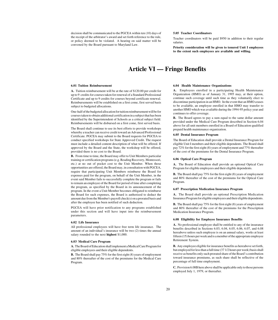<span id="page-21-6"></span><span id="page-21-5"></span><span id="page-21-2"></span><span id="page-21-1"></span><span id="page-21-0"></span>decision shall be communicated to the PGCEA within ten (10) days of the receipt of the arbitrator's award and set forth reference to the rule, or policy deemed to be violated. A hearing on said matter will be convened by the Board pursuant to Maryland Law.

#### **[5.05 Teacher Coordinators](#page-1-0)**

Teacher coordinators will be paid \$950 in addition to their regular salaries.

**Priority consideration will be given to tenured Unit I employees to the extent such employees are available and willing.**

## **[Article VI — Fringe Benefits](#page-1-0)**

#### **[6.01 Tuition Reimbursement](#page-1-0)**

**A.** Tuition reimbursement will be at the rate of \$120.00 per credit for up to 9 credits for courses taken for renewal of a Standard Professional Certificate and up to 9 credits for courses beyond certificate renewal. Reimbursements will be established on a first come, first served basis subject to budgeted allocations.

<span id="page-21-3"></span>One-half of the budgeted allocation for tuition reimbursement will be for courses taken to obtain additional certification in a subject that has been identified by the Superintendent of Schools as a critical subject field. Reimbursements will be disbursed on a first come, first served basis.

<span id="page-21-4"></span>The Board shall continue to use its best efforts to provide workshops whereby a teacher can receive credit toward an Advanced Professional Certificate. PGCEA may submit to the Board requests for PGCEA to conduct specified workshops for State Approved Credit. The request must include a detailed content description of what will be offered. If approved by the Board and the State, the workshop will be offered, provided there is no cost to the Board.

**B.** From time to time, the Board may offer to Unit Members particular training or certification programs (e.g. Reading Recovery, Montessori, etc.) at no out of pocket cost to the Unit Member. When those opportunities are offered, the Board may, in consultation with PGCEA, require that participating Unit Members reimburse the Board for expenses paid for the program, on behalf of the Unit Member, in the event said Member fails to successfully complete the program or fails to remain an employee of the Board for period of time after completing the program, as specified by the Board in its announcement of the program. In the event a Unit Member becomes obligated to reimburse the Board for such expenses, the Board is authorized to deduct the amount due from the Member's payroll check(s) on a prorated basis and after the employee has been notified of such deduction.

PGCEA will have prior notification to any programs established under this section and will have input into the reimbursement parameters.

#### **[6.02 Life Insurance](#page-1-0)**

All professional employees will have free term life insurance. The amount of an individual's insurance will be two (2) times the annual salary rounded to the next **highest** \$1,000.

#### **[6.03 Medical Care Program](#page-1-0)**

**A.** The Board of Education shall implement a Medical Care Program for eligible employees and their eligible dependents.

**B.** The Board shall pay 75% for the first eight (8) years of employment and 80% thereafter of the cost of the premiums for the Medical Care Program.

#### **[6.04 Health Maintenance Organizations](#page-1-0)**

**A.** Employees enrolled in a participating Health Maintenance Organization (HMO) as of January 31, 1995 may, at their option, continue such coverage until such time as they voluntarily elect to discontinue participation in an HMO. In the event that an HMO ceases to be available, an employee enrolled in that HMO may transfer to another HMO which was available during the 1994-95 policy year and continues to offer coverage.

**B.** The Board agrees to pay a sum equal to the same dollar amount provided under the Medical Care Program described in Section 6.04 above for all unit members enrolled in a Board of Education qualified prepaid health maintenance organization.

#### **[6.05 Dental Insurance Program](#page-1-0)**

The Board of Education shall provide a Dental Insurance Program for eligible Unit I members and their eligible dependents. The Board shall pay 72% for the first eight (8) years of employment and 77% thereafter of the cost of the premiums for the Dental Insurance Program.

#### **[6.06 Optical Care Program](#page-1-0)**

**A.** The Board of Education shall provide an optional Optical Care Program for eligible employees and their eligible dependents.

**B.** The Board shall pay 75% for the first eight (8) years of employment and 80% thereafter of the cost of the premiums for the Optical Care Program.

#### **[6.07 Prescription Medication Insurance Program](#page-1-0)**

**A.** The Board shall provide an optional Prescription Medication Insurance Program for eligible employees and their eligible dependents.

**B.** The Board shall pay 75% for the first eight (8) years of employment and 80% thereafter of the cost of the premiums for the Prescription Medication Insurance Program.

#### **[6.08 Eligibility for Employee Insurance Benefits](#page-1-0)**

**A.** No professional employee shall be entitled to any of the insurance benefits described in Sections 6.03, 6.04, 6.05, 6.06, 6.07, and 6.08 hereabove unless such employee is on an annual salary, works at least fifteen (15) hours per week and is a member of the appropriate employee Retirement System.

**B.** Any employee eligible for insurance benefits as hereabove set forth, but employed for less than a full time (37 1/2 hours per week) basis shall receive as benefits only such prorated share of the Board's contribution toward insurance premiums, as such share shall be reflective of the percentage of full time employment.

**C.** Provision 6.08B here above shall be applicable only to those persons employed July 1, 1979, or thereafter.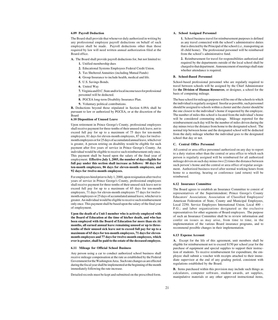#### <span id="page-22-5"></span><span id="page-22-1"></span><span id="page-22-0"></span>**[6.09 Payroll Deduction](#page-1-1)**

The Board shall provide that whenever duly authorized in writing by any professional employee payroll deductions on behalf of such employee shall be made. Payroll deductions other than those required by law will need written annual authorization filed at the Board office.

**A.** The Board shall provide payroll deductions for, but not limited to:

- **1.** Unified membership dues
- **2.** Educational Systems Employees Federal Credit Union.
- **3.** Tax Sheltered Annuities (including Mutual Funds)
- **4.** Group Insurance to include health, medical and life.
- **5.** U.S. Savings Bonds.
- **6.** United Way

**7.** Virginia and D.C. State and/or local income taxes for professional personnel will be deducted.

- **8.** PGCEA long-term Disability Insurance Plan.
- **9.** Voluntary political contributions.

<span id="page-22-3"></span><span id="page-22-2"></span>**B.** Deductions beyond those stipulated in Section 6.09A shall be pursuant to law or authorized by PGCEA, or at the discretion of the Board

#### **[6.10 Disposition of Unused Leave](#page-1-0)**

<span id="page-22-4"></span>Upon retirement in Prince George's County, professional employees shall receive payment for three-tenths of their unused sick leave, not to exceed full pay for up to a maximum of 75 days for ten-month employees, 81 days for eleven-month employees, 87 days for twelvemonth employees or for 25 days of accumulated annual leave, which ever is greater, A person retiring on disability would be eligible for such payment after five years of service in Prince George's County. An individual would be eligible to receive such reimbursement only once. This payment shall be based upon the salary of the final year of employment. **Effective July 1, 2005, the number of days eligible for full pay under this section shall increase as follows: 80 days for ten-month employees, 86 days for eleven-month employees, and 92 days for twelve-month employees.**

For employees hired prior to July 1, 2000, upon resignation after twelve years of service in Prince George's County, professional employees shall receive payment for three-tenths of their unused sick leave not to exceed full pay for up to a maximum of 65 days for ten-month employees, 71 days for eleven-month employees 77 days for twelvemonth employees or 25 days of accumulated annual leave, whichever is greater. An individual would be eligible to receive such reimbursement only once. This payment shall be based upon the salary of the final year of employment.

**Upon the death of a Unit I member who is actively employed with the Board of Education at the time of his/her death, and who has been employed with the Board of Education for more than six (6) months, all earned annual leave remaining unused or up to threetenths of their unused sick leave not to exceed full pay for up to a maximum of 65 days for ten-month employees, 71 days for elevenmonth employees and 77 days for twelve-month employees, which ever is greater, shall be paid to the estate of the deceased employee.**

#### **[6.11 Mileage for Official School Business](#page-1-0)**

Any person using a car to conduct authorized school business shall receive mileage compensation at the rate as established by the Federal Government for the Washington Area. Such rate changes as are effected during the fiscal year shall be implemented at the beginning of the month immediately following the rate increase.

Detailed records must be kept and submitted on the prescribed form.

#### **A. School Assigned Personnel**

**1.** School business travel for reimbursement purposes is defined as any travel connected with the school's administrative duties that is directed by the Principal of the school (i.e., transporting an ill child home). The professional personnel will be reimbursed from the school's administrative fund.

**2.** Reimbursement for travel for responsibilities authorized and required by the departments outside of the local school shall be charged to that department. Announcement of meetings shall state whether attendance is required.

#### **B. School-Based Personnel**

School-based professional personnel who are regularly required to travel between schools will be assigned by the Chief Administrator for **the Division of Human Resources**, or designee, a school for the basis of computing mileage.

The base school for mileage purposes will be one of the schools to which the individual is regularly assigned. Insofar as possible, such personnel should be assigned to schools within a cluster and the cluster should be the one closest to the individual's home if requested by the employee. The number of miles this school is located from the individual's home will be considered commuting mileage. Mileage reported for the reimbursement each day will be the number of miles driven during the day minus twice the distance from home to the designated school. The normal trip between home and the designated school will be deducted from the daily mileage whether the individual goes to the designated school that day or not.

#### **C. Central Office Personnel**

All central or area office personnel authorized on any day to report to a duty station other than the central or area office to which such person is regularly assigned will be reimbursed for all authorized mileage driven on such day minus two (2) times the distance between such person's home and the central or area office of regular assignment. Authorized business travel after normal working hours from home to a meeting, hearing or conference (and return) will be reimbursed.

#### **[6.12 Insurance Committee](#page-1-0)**

The Board agrees to establish an Insurance Committee to consist of representatives of the Superintendent; Prince George's County Educators' Association; Association of Classified Employees/ American Federation of State, County and Municipal Employees, Local 2250; Service Employees International Union, Local 400 – P.G.; and labor organizations designated as the exclusive representatives for other segments of Board employees. The purpose of such an Insurance Committee shall be to review information and confer on issues as may arise, from time to time, in the implementation of the various Board insurance programs, and to recommend possible changes in their implementation.

#### **[6.13 Expense Account](#page-1-0)**

**A.** Except for the life of this agreement, unit members shall be eligible for reimbursement not to exceed \$150 per school year for the purchase of equipment and special supplies to support their instruction of students. To receive reimbursement for expenditure, the employee shall submit a voucher with receipts attached to their immediate supervisor at the end of any grading period, consistent with regulations established by the Board.

**B.** Items purchased within this provision may include such things as calculators, computer software, student awards, art supplies, manipulative materials or any other approved instructional items,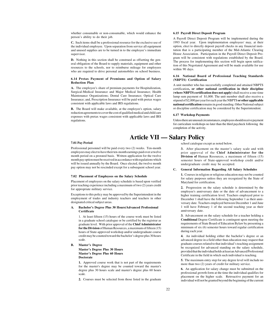<span id="page-23-2"></span><span id="page-23-1"></span><span id="page-23-0"></span>whether consumable or non-consumable, which would enhance the person's ability to do their job.

<span id="page-23-3"></span>**C.** Such items shall be a professional resource for the exclusive use of the individual employee. Upon separation from service all equipment and unused supplies are to be turned in to the employee's immediate supervisor.

<span id="page-23-4"></span>**D.** Nothing in this section shall be construed as offsetting the general obligation of the Board to supply materials, equipment and other resources to the schools, nor to reimburse mileage for employees who are required to drive personal automobiles on school business.

#### <span id="page-23-5"></span>**[6.14 Pretax Payment of Premiums and Option of Salary](#page-1-0) Reduction Plan**

**A.** The employee's share of premium payments for Hospitalization, Surgical-Medical Insurance and Major Medical Insurance; Health Maintenance Organizations; Dental Care Insurance; Optical Care Insurance; and, Prescription Insurance will be paid with pretax wages consistent with applicable laws and IRS regulations.

<span id="page-23-6"></span>**B.** The Board will make available, at the employee's option, salary reduction agreements to cover the cost of qualified medical and child care expenses with pretax wages consistent with applicable laws and IRS regulations.

#### **[7.01 Pay Period](#page-1-0)**

Professional personnel will be paid every two (2) weeks. Ten-month employees may elect to have their ten-month earnings paid over a twelve month period on a prorated basis. Written application for the twelve month pay option must be received in accordance with regulations which will be issued annually by the Board. Once elected, the twelve month pay option may not be rescinded except for a subsequent school year.

#### **[7.02 Placement of Employees on the Salary Schedule](#page-1-0)**

Placement of employees on the salary schedule is based upon verified prior teaching experience including a maximum of two (2) years credit for appropriate military service.

Exceptions to this policy may be approved by the Superintendent in the employment of trades and industry teachers and teachers in other designated critical subject areas.

#### **A. Bachelor's Degree Plus 30 Hours/Advanced Professional Certificate**

1. At least fifteen (15) hours of the course work must be listed in a graduate school catalogue or be certified by the registrar as graduate level. With prior approval of the **Chief Administrator for the Division** of Human Resources, a maximum of fifteen (15) hours of State-approved workshop and/or undergraduate course credit may be counted toward the bachelor's degree plus 30 hours scale.

#### **B. Master's Degree**

**Master's Degree Plus 30 Hours Master's Degree Plus 60 Hours Doctorate**

**1.** Approved course work that is not part of the requirements for the master's degree may be counted toward the master's degree plus 30 hours scale and master's degree plus 60 hours scale.

**2.** Courses must be selected from those listed in the graduate

#### **[6.15 Payroll Direct Deposit Program](#page-1-0)**

A Payroll Direct Deposit Program will be implemented during the 1993 fiscal year. Upon implementation employees' may, at their option, elect to directly deposit payroll checks in any financial institution that is a participating member of the Mid-Atlantic Clearing House Association. Participation in the Payroll Direct Deposit Program will be consistent with regulations established by the Board. The process for implementing this section will begin upon ratification of this Negotiated Agreement and will be made available for use within 90 days.

#### **[6.16 National Board of Professional Teaching Standards](#page-1-0) (NBPTS) Certification**

A unit member who has successfully completed and attained NBPTS certification**, or other national certification in their discipline (where NBPTS certification does not apply)** shall receive a one-time lump sum payment of \$1,000. The unit member shall also receive a stipend of \$2,000 per year for each year the NBPTS **or other applicable national certification** remains in good standing. Other National subject or discipline certification may be considered by the Superintendent.

#### **[6.17 Workshop Payments](#page-1-0)**

Unless there are unusual circumstances, employees should receive payment for curriculum workshops no later than the third paycheck following the completion of the activity.

# **[Article VII — Salary Policy](#page-1-0)**

school catalogue except as noted below.

**3.** After placement on the master's salary scale and with prior approval of the **Chief Administrator for the Division of** Human Resources, a maximum of fifteen (15) semester hours of State-approved workshop credit and/or undergraduate credit may be accepted.

#### **C. General Information Regarding All Salary Schedules**

**1.** Courses in religion or religious education may not be counted for salary purposes unless they are recognized by the State of Maryland for certification.

**2.** Progression on the salary schedule is determined by the employee's anniversary date or the date of advancement to a higher training certification level. Teachers employed prior to December 1 shall have the following September 1 as their anniversary date. Teachers employed between December 1 and June 1 will have February 1 of the second teaching year as their anniversary date.

**3.** Advancement on the salary schedule for a teacher holding a **Conditional** Degree Certificate is contingent upon meeting the requirements of State Board of Education Bylaw by presenting a minimum of six (6) semester hours toward regular certification during each year.

**4.** An individual holding either the bachelor's degree or an advanced degree in a field other than education may request that graduate courses related to that individual's teaching assignment be recognized for advanced standing on the salary schedule, provided that the individual holds at least an Advanced Professional Certificate in the field in which such individual is teaching.

**5.** The maximum entry step for any degree level will include no more than two (2) years of credit for military service.

**6.** An application for salary change must be submitted on the professional growth form at the time the individual qualifies for placement on the higher scale. Retroactive payment for an individual will not be granted beyond the beginning of the current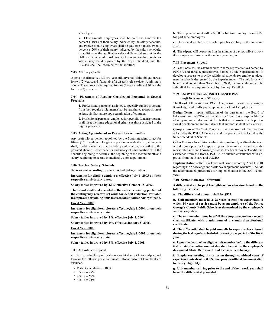<span id="page-24-5"></span><span id="page-24-1"></span><span id="page-24-0"></span>school year.

<span id="page-24-2"></span>**7.** Eleven-month employees shall be paid one hundred ten percent (110%) of their salary indicated by the salary schedule, and twelve-month employees shall be paid one hundred twenty percent (120%) of their salary indicated by the salary schedule, in addition to the applicable salary differential set out in the Differential Schedule. Additional eleven and twelve month positions may be designated by the Superintendent, and the PGCEA shall be informed of the additions.

#### <span id="page-24-3"></span>**[7.03 Military Credit](#page-1-0)**

A person shall receive a full two-year military credit if the obligation was for two (2) years, and if available for an early release date. A minimum of one (1) year service is required for one (1) year credit and 20 months for two (2) years credit.

#### **[7.04 Placement of Regular Certificated Personnel in Special](#page-1-0) Programs**

**1.** Professional personnel assigned to specially funded programs from their regular assignment shall be reassigned to a position of at least similar nature upon termination of contract.

**2.** Professional personnel employed for specially funded programs shall meet the same educational criteria as those assigned to the regular programs.

#### <span id="page-24-4"></span>**[7.05 Acting Appointment — Pay and Leave Benefits](#page-1-0)**

Any professional person appointed by the Superintendent to act for fifteen (15) duty days or longer to a position outside the bargaining unit shall, in addition to their regular salary and benefits, be entitled to the prorated share of leave benefits and salary of said position with the benefits beginning to accrue at the beginning of the second month and salary beginning to accrue immediately upon appointment.

#### **[7.06 Teacher Salary Schedule](#page-1-0)**

**Salaries are according to the attached Salary Tables.**

**Increments for eligible employees effective July 1, 2003 on their respective anniversary dates.**

**Salary tables improved by 2.0% effective October 18, 2003.**

**The Board shall make available the entire remaining portion of the contingency reserves set aside for deficit reduction available to employee bargaining units to create an equalized salary stipend.**

#### **Fiscal Year 2005**

**Increment for eligible employees, effective July 1, 2004, or on their respective anniversary date.**

**Salary tables improved by 2%, effective July 1, 2004.**

**Salary tables improved by 1%, effective January 8, 2005.**

**Fiscal Year 2006**

**Increment for eligible employees, effective July 1, 2005, or on their respective anniversary date.**

**Salary tables improved by 3%, effective July 1, 2005.**

#### **[7.07 Attendance Stipend](#page-1-0)**

**a.** The stipend will be paid on absences related to sick leave and personal leave on the following calculation rates. Donation to sick leave bank are excluded.

- Perfect attendance =  $100\%$
- $.5 2 = 75\%$
- 2.5 4 =  $50\%$
- $4.5 6 = 25%$

**b.** The stipend amount will be \$300 for full time employees and \$150 for part time employees.

**c.** The stipend will be paid in the last paycheck in July for the preceding year.

**d.** The stipend will be prorated on the number of days possible to work if an employee starts after the school year begins.

#### **[7.08 Placement Stipend](#page-1-0)**

A Task Force will be established with three representative**s** named by PGCEA and three representatives named by the Superintendent to develop a process to provide additional stipends for employee placement in schools designated by the Superintendent. The task force will be initiated no later than November 1, 2000; recommendation will be submitted to the Superintendent by January 15, 2001.

#### **[7.09 KNOWLEDGE AND SKILL BASED PAY](#page-1-0) 7.09** *(Staff Development Stipends)*

The Board of Education and PGCEA agree to collaboratively design a Knowledge and Skills pay supplement for Unit 1 employees.

**Design Team –** upon ratification of the agreement, the Board of Education and PGCEA will establish a Task Force responsible for identifying knowledge and skill sets that are consistent with professional development and initiatives that support student achievement.

**Composition –** The Task Force will be composed of five teachers selected by the PGCEA President and five participants selected by the Superintendent of Schools.

**Other Duties –** In addition to the duties previously outlined, the team will design a process for approving and designing clear and specific measurable skill and knowledge blocks. The **team** may seek additional assistance from the Board, PGCEA or outside consultants with approval from the Board and PGCEA.

**Implementation –** The Task Force will issue a report by April 1, 2001 regarding the Knowledge and Skills pay supplement, which will include the recommended procedures for implementation in the 2001 school year.

**7.10 Senior Educator Differential**

**A differential will be paid to eligible senior educators based on the following criteria:**

**a. The differential amount shall be \$825.**

**b. Unit members must have 28 years of credited experience, of which 14 years of service must be as an employee of the Prince George's County Public Schools as determined by the employee's anniversary date.**

**c. The unit member must be a full time employee, not on a second class certificate, with a minimum of a standard professional certificate.**

**d. The differential shall be paid annually by separate check, issued during the last regular scheduled bi-weekly pay period of the fiscal year.**

**e. Upon the death of an eligible unit member before the differential is paid, the entire amount due shall be paid to the employee's designated State Retirement and Pension beneficiary.**

**f. Employees meeting this criterion through combined years of experience outside of PGCPS must provide official documentation to verify eligibility.**

**g. Unit member retiring prior to the end of their work year shall have the differential pro-rated.**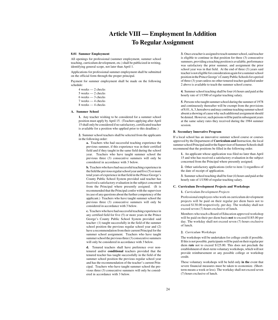# **[Article VIII — Employment In Addition](#page-1-0) To Regular Assignment**

#### <span id="page-25-2"></span><span id="page-25-1"></span><span id="page-25-0"></span>**[8.01 Summer Employment](#page-1-0)**

All openings for professional (summer employment, summer school teaching, curriculum development, etc.) shall be publicized in writing, identifying general scope, not later than April 1.

Applications for professional summer employment shall be submitted on the official form through the proper principal.

Payment for summer employment shall be made on the following schedule:

4 weeks — 2 checks 5 weeks — 2 checks 6 weeks — 3 checks 7 weeks — 4 checks 8 weeks — 4 checks

#### **A. Summer School**

**1.** Any teacher wishing to be considered for a summer school position must apply by April 15. (Teachers applying after April 15 shall only be considered if no satisfactory, certificated teacher is available for a position who applied prior to this deadline.)

**2.** Summer school teachers shall be selected from the applicants in the following order:

**a.** Teachers who had successful teaching experience the previous summer, if this experience was in their certified field and if they taught in the same field during the school year. Teachers who have taught summer school the previous three (3) consecutive summers will only be considered in accordance with 3 below.

**b.** Teachers who have had successful teaching experience in the field the previous regular school year and five (5) or more total years of experience in that field in the Prince George's County Public School System provided said teacher has received a satisfactory evaluation in the subject concerned from the Principal where presently assigned. (It is recommended that the Principal confer with the supervisor in case of any questions about the further competency of the applicant.) Teachers who have taught summer school the previous three (3) consecutive summers will only be considered in accordance with 3 below.

**c.** Teachers who have had successful teaching experience in any certified field for five (5) or more years in the Prince George's County Public School System provided said teacher: (1) taught successfully in the field of the summer school position the previous regular school year and (2) have a recommendation from their current Principal for the summer school assignment. Teachers who have taught summer school the previous three (3) consecutive summers will only be considered in accordance with 3 below.

**d.** Tenured teachers shall have preference over nontenured and/or **conditional** teachers provided that the tenured teacher has taught successfully in the field of the summer school position the previous regular school year and has the recommendation of the teacher's current Principal. Teachers who have taught summer school the previous three (3) consecutive summers will only be considered in accordance with 3 below.

**3.** Once a teacher is assigned to teach summer school, said teacher is eligible to continue in that position for three (3) consecutive summers, providing a teaching position is available, performance was satisfactory the prior summer, and assignment the prior school year was in that field. At the end of three (3) years said teacher is not eligible for consideration again for a summer school position in the Prince George's County Public Schools for a period of three (3) years unless no other tenured teacher qualified under 2 above is available to teach the summer school course.

**4.** Summer school teaching shall be four (4) hours and paid at the hourly rate of 1/1500 of regular teaching salary.

**5.** Persons who taught summer school during the summer of 1978 and continuously thereafter will be exempt from the provisions of 8.01, A, 3, hereabove and may continue teaching summer school absent a showing of cause why such additional assignment should be denied. However, such persons will be paid in subsequent years at the same salary rates they received during the 1984 summer session.

#### **B. Secondary Innovative Program**

If a local school has an innovative summer school course or courses approved by the Department of **Curriculum and** Instruction, the local summer school Principal and/or the Supervisor of Summer Schools shall recommend that the positions be filled in the following order.

**1.** An applicant whose application was filed no later than April 15 and who has received a satisfactory evaluation in the subject concerned from the Principal where presently assigned.

**2.** Other satisfactory applications (refer to item 1) regardless of the date of receipt of application.

**3.** Summer school teaching shall be four (4) hours and paid at the hourly rate of 1/1500 of regular teaching salary.

#### **C. Curriculum Development Projects and Workshops**

#### **1.** *Curriculum Development Projects*

Professional employees who work on curriculum development projects will be paid on their regular per diem basis not to exceed \$130.00 respectively, per day. The workday shall not exceed seven (7) hours exclusive of lunch.

Members who teach a Board of Education approved workshop will be paid on their per diem basis **not** to exceed \$185.00 per day. The workday shall not exceed seven (7) hours exclusive of lunch.

#### **2.** *Curriculum Workshops*

The workshops will be undertaken for college credit if possible. If this is not possible, participants will be paid on their regular per diem **rate** not to exceed \$125.00. This does not preclude the establishment of short-term voluntary workshops, which will not provide reimbursement or any possible college or workshop credit.

These voluntary workshops will be held only **in the** event that severe financial measures must be taken to economize. (Shortterm means a week or less). The workday shall not exceed seven (7) hours exclusive of lunch.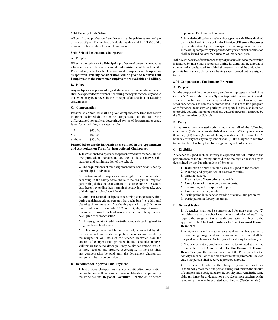#### <span id="page-26-1"></span><span id="page-26-0"></span>**[8.02 Evening High School](#page-1-0)**

<span id="page-26-2"></span>All certificated professional employees shall be paid on a prorated per diem rate of pay. The method of calculating this shall be 1/1500 of the regular teacher's salary for each hour worked.

#### **[8.03 School Instruction Chairperson](#page-1-0)**

#### **A. Purpose**

When in the opinion of a Principal a professional person is needed as a liaison between the teachers and the administrators of the school, the Principal may select a school instructional chairperson or chairpersons as approved. **Priority consideration will be given to tenured Unit I employees to the extent such employees are available and willing.**

#### **B. Policy**

Any such person or persons designated a school instructional chairperson shall be expected to perform duties during the regular school day and to that extent may be relieved by the Principal of all special non-teaching assignments.

#### **C. Compensation**

Persons so appointed shall be given compensatory time (reduction in other assigned duties) or be compensated on the following differentiated schedule as determined by size of department or grade level for which they are responsible.

| $2 - 4$ | \$450.00 |
|---------|----------|
| $5-7$   | \$500.00 |
| 8-above | \$550.00 |

#### **Printed below are the instructions as outlined in the Appointment and Authorization Form for Instructional Chairperson**

**1.** Instructional chairpersons are persons who have responsibilities over professional persons and are used as liaison between the teachers and administration of the school.

**2.** The requirements of this assignment have been established by the Principal in advance.

**3.** Instructional chairpersons are eligible for compensation according to the salary scale above if the assignment requires performing duties that cause them to use time during the school day, thereby extending their normal school day in order to take care of their regular school work load.

**4.** Any instructional chairperson receiving compensatory time during such instructional person's daily schedule (i.e., additional planning time), must certify to having spent forty (40) hours or more in addition to the regular 7 1/2 hour duty day to perform such assignment during the school year as instructional chairperson to be eligible for compensation.

**5.** This assignment is in addition to the standard-teaching load for a regular day-school teacher.

**6.** This assignment will be satisfactorily completed by the teacher named unless its completion becomes impossible by the resignation or illness of the teacher, in which case the amount of compensation provided in the schedules (above) will remain the same although it may be divided among two (2) or more teachers and prorated accordingly. In no case shall any compensation be paid until the department chairperson assignment has been completed.

#### **D. Deadlines for Approval and Payment**

**1.** Instructional chairpersons shall not be entitled to compensation hereunder unless their designation as such has been approved by the Principal and **Regional Executive Director** on or before

September 15 of said school year.

**2.** Provided notification is made as above, payment shall be authorized by the Chief Administrator for **the Division of Human Resources** upon certification by the Principal that the assignment had been successfully completed by the person so designated, which certification shall be issued no later than June 25 of that school year.

In the event because of transfer or change of personnel the chairpersonship is handled by more than one person during its duration, the amount of compensation designated for said chairpersonship shall be divided on a pro-rata basis among the persons having so performed duties assigned to them.

#### **[8.04 Compensatory Emoluments Program](#page-1-0)**

#### **A. Purpose**

It is the purpose of the compensatory emoluments program in the Prince George's County Public School System to provide instruction in a wide variety of activities for as many students in the elementary and secondary schools as can be accommodated. It is not to be a program only for school teams which participate in sports but it is also intended to provide activities in recreational and cultural programs approved by the Superintendent of Schools.

#### **B. Policy**

An approved compensated activity must meet all of the following conditions: (1) It has been established in advance. (2) Requires no less than forty (40) hours (60-minute hour) in addition to the normal 7 1/2 hour day for any activity in any school year. (3) It is assigned in addition to the standard teaching load for a regular day school teacher.

#### **C. Eligibility**

A teacher assigned such an activity is expected but not limited to the performance of the following duties during the regular school day as determined by the Superintendent of Schools:

- **1.** Instruction of pupils in all classes assigned to the teacher.
- **2.** Planning and preparation of classroom duties.
- **3.** Grading papers.
- **4.** Preparation of instructional materials.
- **5.** Completion of class records and reports.
- **6.** Counseling and discipline of pupils.
- **7.** Conferences with parents.
- **8.** Participation in in-service training or curriculum programs.
- **9.** Participation in faculty meetings.

#### **D. General Rules**

**1.** A teacher shall not be compensated for more than two (2) activities in any one school year unless limitation of staff may require the assignment of an additional activity subject to the approval of the Chief Administrator for **the Division of Human Resources**.

**2.** Assignments shall be made on an annual basis with no guarantee of continuing assignment or reassignment. No one shall be assigned more than one (1) activity at a time during the school year.

**3.** The compensatory emoluments may be terminated at any time through the Chief Administrator for **the Divison of Human Resources** upon the recommendation of the Principal when the activity as scheduled falls below minimum requirements. In such cases the person shall receive a prorated amount.

**4.** If, because of transfer or other change of personnel, an activity is handled by more than one person during its duration, the amount of compensation designated for the activity shall remain the same although it may be divided among two (2) or more teachers or the remaining time may be prorated accordingly. (See Schedule.)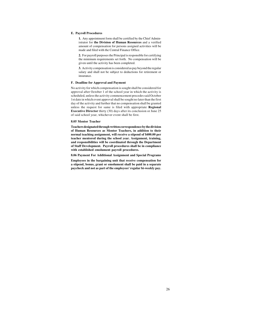#### <span id="page-27-0"></span>**E. Payroll Procedures**

**1.** Any appointment form shall be certified by the Chief Administrator for **the Division of Human Resources** and a verified amount of compensation for persons assigned activities will be made and filed with the Central Finance Office.

**2.** For payroll purposes the Principal is responsible for certifying the minimum requirements set forth. No compensation will be given until the activity has been completed.

**3.** Activity compensation is considered as pay beyond the regular salary and shall not be subject to deductions for retirement or insurance.

#### **F. Deadline for Approval and Payment**

No activity for which compensation is sought shall be considered for approval after October 1 of the school year in which the activity is scheduled, unless the activity commencement precedes said October 1st date in which event approval shall be sought no later than the first day of the activity and further that no compensation shall be granted unless the request for same is filed with appropriate **Regional Executive Director** thirty (30) days after its conclusion or June 25 of said school year, whichever event shall be first.

#### **[8.05 Mentor Teacher](#page-1-0)**

**Teachers designated through written correspondence by the division of Human Resources as Mentor Teachers, in addition to their normal teaching assignment, will receive a stipend of \$400.00 per teacher mentored during the school year. Assignment, training, and responsibilities will be coordinated through the Department of Staff Development. Payroll procedures shall be in compliance with established emolument payroll procedures.**

#### **8.06 Payment For Additional Assignment and Special Programs**

**Employees in the bargaining unit that receive compensation for a stipend, bonus, grant or emolument shall be paid in a separate paycheck and not as part of the employees' regular bi-weekly pay.**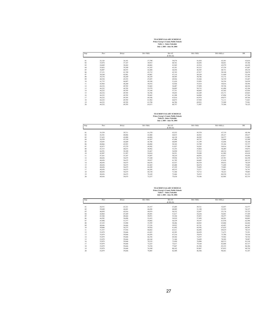| <b>TEACHER'S SALARY SCHEDULE</b>             |
|----------------------------------------------|
| <b>Prince George's County Public Schools</b> |
| <b>Table A - Salary Schedule</b>             |
| July 1, 2003 - June 30, 2004                 |

<span id="page-28-0"></span>

| Step | Prov   | BA(a)  | $BA+30(b)$ | $BA+45$<br>$&$ MA $(b)$ | $MA+30(b)$ | $MA+60(b,c)$ | DR     |
|------|--------|--------|------------|-------------------------|------------|--------------|--------|
| 01   | 32,126 | 36,101 | 37,798     | 39,574                  | 41,434     | 43,381       | 43,814 |
| 02   | 33,074 | 37,167 | 38,913     | 40,741                  | 42,656     | 44,661       | 45,106 |
| 03   | 34,049 | 38,262 | 40,062     | 41,943                  | 43,914     | 45,979       | 46,438 |
|      |        |        |            |                         |            |              |        |
| 04   | 35,053 | 39,390 | 41,243     | 43,181                  | 45,212     | 47,334       | 47,807 |
| 05   | 36,087 | 40,553 | 42,460     | 44,454                  | 46,545     | 48,731       | 49,218 |
| 06   | 37,151 | 41,749 | 43,712     | 45,765                  | 47,917     | 50,168       | 50,670 |
| 07   | 38,248 | 42,981 | 45,001     | 47,116                  | 49,330     | 51,649       | 52,164 |
| 08   | 39,376 | 44,249 | 46,329     | 48,505                  | 50,786     | 53,172       | 53,703 |
| 09   | 40,538 | 45,553 | 47,697     | 49,936                  | 52,284     | 54,739       | 55,287 |
| 10   | 41,733 | 46,897 | 49,104     | 51,410                  | 53,826     | 56,354       | 56,918 |
| 11   | 42,964 | 48,280 | 50,552     | 52,926                  | 55,414     | 58,016       | 58,596 |
| 12   | 44,232 | 49,705 | 52,043     | 54,487                  | 57,050     | 59,728       | 60,326 |
| 13   | 44,232 | 49,705 | 53,579     | 56,095                  | 58,732     | 61,490       | 62,104 |
| 14   | 44,232 | 49,705 | 55,160     | 57,751                  | 60.464     | 63,302       | 63,936 |
| 15   | 44,232 | 49,705 | 56,786     | 59,455                  | 62,249     | 65,171       | 65,823 |
| 16   | 44,232 | 49,705 | 58,462     | 61,208                  | 64,084     | 67,094       | 67,766 |
| 17   | 44,232 | 49,705 | 60,186     | 63,014                  | 65,974     | 69,073       | 69,764 |
| 18   | 44,232 | 49,705 | 61,962     | 64,873                  | 67,920     | 71,111       | 71,821 |
| 19   | 44,232 | 49,705 | 63,790     | 66,786                  | 69,923     | 73,209       | 73,941 |
| 20   | 44,232 | 49,705 | 65,671     | 68,757                  | 71,987     | 75,368       | 76,123 |

**TEACHER'S SALARY SCHEDULE Prince George's County Public Schools Table B - Salary Schedule July 1, 2003 - June 30, 2004**

| Step | Prov   | BA(a)  | $BA+30(b)$ | $BA+45$<br>$&$ MA $(b)$ | $MA+30(b)$ | $MA+60(b,c)$ | DR     |
|------|--------|--------|------------|-------------------------|------------|--------------|--------|
| 01   | 35,339 | 39,711 | 41,578     | 43,532                  | 45,578     | 47,719       | 48,196 |
| 02   | 36,381 | 40,884 | 42,804     | 44,815                  | 46,922     | 49,127       | 49,617 |
| 03   | 37,453 | 42,088 | 44,068     | 46,138                  | 48,305     | 50,577       | 51,082 |
| 04   | 38,559 | 43,330 | 45,367     | 47,498                  | 49,733     | 52,068       | 52,588 |
| 05   | 39,695 | 44,609 | 46,706     | 48,899                  | 51,199     | 53,604       | 54,140 |
| 06   | 40,866 | 45,923 | 48,084     | 50,342                  | 52,709     | 55,184       | 55,737 |
| 07   | 42,073 | 47,279 | 49,502     | 51,827                  | 54,263     | 56,814       | 57,380 |
| 08   | 43,313 | 48,673 | 50,962     | 53,355                  | 55,864     | 58,489       | 59,073 |
| 09   | 44,591 | 50,109 | 52,467     | 54,930                  | 57,513     | 60,214       | 60,815 |
| 10   | 45,907 | 51,587 | 54,014     | 56,551                  | 59,209     | 61,989       | 62,610 |
| 11   | 47,261 | 53,107 | 55,607     | 58,219                  | 60,955     | 63,817       | 64,456 |
| 12   | 48,656 | 54,675 | 57,248     | 59,936                  | 62,754     | 65,701       | 66,358 |
| 13   | 48,656 | 54,675 | 58,937     | 61,705                  | 64,605     | 67,638       | 68,315 |
| 14   | 48,656 | 54,675 | 60,676     | 63,527                  | 66,510     | 69,632       | 70,329 |
| 15   | 48,656 | 54,675 | 62,465     | 65,400                  | 68,474     | 71,688       | 72,405 |
| 16   | 48,656 | 54,675 | 64,309     | 67,329                  | 70,492     | 73,803       | 74,543 |
| 17   | 48,656 | 54,675 | 66,205     | 69,315                  | 72,571     | 75,981       | 76,741 |
| 18   | 48,656 | 54,675 | 68,158     | 71,360                  | 74,712     | 78,223       | 79,003 |
| 19   | 48,656 | 54,675 | 70,169     | 73,464                  | 76,915     | 80,530       | 81,335 |
| 20   | 48,656 | 54,675 | 72,237     | 75,634                  | 79,186     | 82,905       | 83,735 |

# **TEACHER'S SALARY SCHEDULE Prince George's County Public Schools Table C - Salary Schedule July 1, 2003 - June 30, 2004**

| Step | Prov   | BA(a)  | $BA+30(b)$ | $BA+45$<br>$&$ MA $(b)$ | $MA+30(b)$ | $MA+60(b,c)$ | <b>DR</b> |
|------|--------|--------|------------|-------------------------|------------|--------------|-----------|
| 01   | 38,551 | 43,321 | 45,357     | 47,489                  | 49,721     | 52,057       | 52,577    |
| 02   | 39,688 | 44,601 | 46,696     | 48,889                  | 51,188     | 53,593       | 54,127    |
| 03   | 40,858 | 45,914 | 48,074     | 50,332                  | 52,697     | 55,174       | 55,725    |
| 04   | 42,064 | 47,269 | 49,491     | 51,817                  | 54,254     | 56,801       | 57,369    |
| 05   | 43,304 | 48,664 | 50,951     | 53,344                  | 55,853     | 58,477       | 59,062    |
| 06   | 44,582 | 50,098 | 52,455     | 54,919                  | 57,499     | 60,201       | 60,803    |
| 07   | 45,898 | 51,577 | 54,002     | 56,539                  | 59,197     | 61,978       | 62,596    |
| 08   | 47,252 | 53,098 | 55,595     | 58,206                  | 60,943     | 63,806       | 64,444    |
| 09   | 48,646 | 54,664 | 57,236     | 59,923                  | 62,741     | 65,687       | 66,345    |
| 10   | 50,080 | 56,275 | 58,924     | 61,692                  | 64,592     | 67,625       | 68,301    |
| 11   | 51,557 | 57,936 | 60,662     | 63,511                  | 66,496     | 69,619       | 70,315    |
| 12   | 53,079 | 59,646 | 62,453     | 65,385                  | 68,459     | 71,673       | 72,391    |
| 13   | 53,079 | 59,646 | 64,295     | 67,314                  | 70,478     | 73,788       | 74,524    |
| 14   | 53,079 | 59,646 | 66,192     | 69,302                  | 72,557     | 75,962       | 76,722    |
| 15   | 53,079 | 59,646 | 68,144     | 71,346                  | 74,699     | 78,205       | 78,987    |
| 16   | 53,079 | 59,646 | 70,155     | 73,450                  | 76,900     | 80,513       | 81,318    |
| 17   | 53,079 | 59,646 | 72,223     | 75,617                  | 79,168     | 82,888       | 83,717    |
| 18   | 53,079 | 59,646 | 74,354     | 77,847                  | 81,504     | 85,333       | 86,186    |
| 19   | 53,079 | 59,646 | 76,548     | 80,142                  | 83,907     | 87,852       | 88,729    |
| 20   | 53,079 | 59,646 | 78,805     | 82,509                  | 86,384     | 90,441       | 91,347    |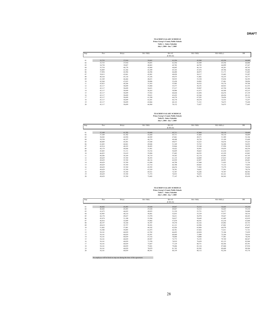# **TEACHER'S SALARY SCHEDULE Prince George's County Public Schools Table A - Salary Schedule July 1, 2004 - Jan. 7, 2005**

| Step | Prov   | BA(a)  | $BA+30(b)$ | $BA+45$      | $MA+30(b)$ | $MA+60(b,c)$ | <b>DR</b> |
|------|--------|--------|------------|--------------|------------|--------------|-----------|
|      |        |        |            | $&$ MA $(b)$ |            |              |           |
|      |        |        |            |              |            |              |           |
| 01   | 33,735 | 37,910 | 39,691     | 41,556       | 43,509     | 45,554       | 46,008    |
| 02   | 33,735 | 37,910 | 39,691     | 41,556       | 43,509     | 45,554       | 46,008    |
| 03   | 34,730 | 39,027 | 40,863     | 42,782       | 44,792     | 46,899       | 47,367    |
| 04   | 35,754 | 40,178 | 42,068     | 44,045       | 46,116     | 48,281       | 48,763    |
| 05   | 36,809 | 41,364 | 43,309     | 45,343       | 47,476     | 49,706       | 50,202    |
| 06   | 37,894 | 42,584 | 44,586     | 46,680       | 48,875     | 51,171       | 51,683    |
| 07   | 39,013 | 43,841 | 45,901     | 48,058       | 50,317     | 52,682       | 53,207    |
| 08   | 40,164 | 45,134 | 47,256     | 49,475       | 51,802     | 54,235       | 54,777    |
| 09   | 41,349 | 46,464 | 48,651     | 50,935       | 53,330     | 55,834       | 56,393    |
| 10   | 42,568 | 47,835 | 50,086     | 52,438       | 54,903     | 57,481       | 58,056    |
| 11   | 43,823 | 49,246 | 51,563     | 53,985       | 56,522     | 59,176       | 59,768    |
| 12   | 45,117 | 50,699 | 53,084     | 55,577       | 58,191     | 60,923       | 61,533    |
| 13   | 45,117 | 50,699 | 54,651     | 57,217       | 59,907     | 62,720       | 63,346    |
| 14   | 45,117 | 50,699 | 56,263     | 58,906       | 61,673     | 64,568       | 65,215    |
| 15   | 45,117 | 50,699 | 57,922     | 60,644       | 63,494     | 66,474       | 67,139    |
| 16   | 45,117 | 50,699 | 59,631     | 62,432       | 65,366     | 68,436       | 69,121    |
| 17   | 45,117 | 50,699 | 61,390     | 64,274       | 67,293     | 70,454       | 71,159    |
| 18   | 45,117 | 50,699 | 63,201     | 66,170       | 69,278     | 72,533       | 73,257    |
| 19   | 45,117 | 50,699 | 65,066     | 68,122       | 71,321     | 74,673       | 75,420    |
| 20   | 45,117 | 50,699 | 66,984     | 70,132       | 73,427     | 76,875       | 77,645    |

**TEACHER'S SALARY SCHEDULE Prince George's County Public Schools Table B - Salary Schedule July 1, 2004 - Jan. 7, 2005**

| Step | Prov   | BA(a)  | $BA+30(b)$ | <b>BA+45</b> | $MA+30(b)$ | $MA+60(b,c)$ | DR     |
|------|--------|--------|------------|--------------|------------|--------------|--------|
|      |        |        |            | $&$ MA $(b)$ |            |              |        |
| 01   | 37,109 | 41,702 | 43,660     | 45,711       | 47,860     | 50,110       | 50,609 |
| 02   | 37,109 | 41,702 | 43,660     | 45,711       | 47,860     | 50,110       | 50,609 |
| 03   | 38,202 | 42.930 | 44,949     | 47,061       | 49,271     | 51,589       | 52,104 |
| 04   | 39,330 | 44,197 | 46,274     | 48,448       | 50,728     | 53,109       | 53,640 |
| 05   | 40,489 | 45,501 | 47,640     | 49,877       | 52,223     | 54,676       | 55,223 |
| 06   | 41,683 | 46,841 | 49,046     | 51,349       | 53,763     | 56,288       | 56,852 |
| 07   | 42,914 | 48,225 | 50,492     | 52,864       | 55,348     | 57,950       | 58,528 |
| 08   | 44,179 | 49,646 | 51,981     | 54,422       | 56,981     | 59,659       | 60,254 |
| 09   | 45,483 | 51,111 | 53,516     | 56,029       | 58,663     | 61,418       | 62,031 |
| 10   | 46,825 | 52,619 | 55,094     | 57,682       | 60,393     | 63,229       | 63,862 |
| 11   | 48,206 | 54,169 | 56,719     | 59,383       | 62,174     | 65,093       | 65,745 |
| 12   | 49,629 | 55,769 | 58,393     | 61,135       | 64,009     | 67,015       | 67,685 |
| 13   | 49,629 | 55,769 | 60,116     | 62,939       | 65,897     | 68,991       | 69,681 |
| 14   | 49,629 | 55,769 | 61,890     | 64,798       | 67,840     | 71,025       | 71,736 |
| 15   | 49,629 | 55,769 | 63,714     | 66,708       | 69,843     | 73,122       | 73,853 |
| 16   | 49,629 | 55,769 | 65,595     | 68,676       | 71,902     | 75,279       | 76,034 |
| 17   | 49,629 | 55,769 | 67,529     | 70,701       | 74,022     | 77,501       | 78,276 |
| 18   | 49,629 | 55,769 | 69,521     | 72,787       | 76,206     | 79,787       | 80,583 |
| 19   | 49,629 | 55,769 | 71,572     | 74,933       | 78,453     | 82,141       | 82,962 |
| 20   | 49,629 | 55,769 | 73,682     | 77,147       | 80,770     | 84,563       | 85,410 |

## **Prince George's County Public Schools Table C - Salary Schedule July 1, 2004 - Jan. 7, 2005 TEACHER'S SALARY SCHEDULE**

| Step | Prov   | BA(a)  | $BA+30(b)$ | $BA+45$<br>$&$ MA $(b)$ | $MA+30(b)$ | $MA+60(b,c)$ | <b>DR</b> |
|------|--------|--------|------------|-------------------------|------------|--------------|-----------|
|      |        |        |            |                         |            |              |           |
| 01   | 40,482 | 45,493 | 47,630     | 49,867                  | 52,212     | 54,665       | 55,210    |
| 02   | 40,482 | 45,493 | 47,630     | 49,867                  | 52,212     | 54,665       | 55,210    |
| 03   | 41,675 | 46,832 | 49,035     | 51,339                  | 53,751     | 56,277       | 56,840    |
| 04   | 42,905 | 48,214 | 50,481     | 52,853                  | 55,339     | 57,937       | 58,516    |
| 05   | 44,170 | 49,637 | 51,970     | 54,411                  | 56,970     | 59,647       | 60,243    |
| 06   | 45,474 | 51,100 | 53,504     | 56,017                  | 58,649     | 61,405       | 62,019    |
| 07   | 46,816 | 52,609 | 55,082     | 57,670                  | 60,381     | 63,218       | 63,848    |
| 08   | 48,197 | 54,160 | 56,707     | 59,370                  | 62,162     | 65,082       | 65,733    |
| 09   | 49,619 | 55,757 | 58,381     | 61,121                  | 63,996     | 67,001       | 67,672    |
| 10   | 51,082 | 57,401 | 60,102     | 62,926                  | 65,884     | 68,978       | 69,667    |
| 11   | 52,588 | 59,095 | 61,875     | 64,781                  | 67,826     | 71,011       | 71,721    |
| 12   | 54,141 | 60,839 | 63,702     | 66,693                  | 69,828     | 73,106       | 73,839    |
| 13   | 54,141 | 60,839 | 65,581     | 68,660                  | 71,888     | 75,264       | 76,014    |
| 14   | 54,141 | 60,839 | 67,516     | 70,688                  | 74,008     | 77,481       | 78,256    |
| 15   | 54,141 | 60,839 | 69,507     | 72,773                  | 76,193     | 79,769       | 80,567    |
| 16   | 54,141 | 60,839 | 71,558     | 74,919                  | 78,438     | 82,123       | 82,944    |
| 17   | 54,141 | 60,839 | 73,667     | 77,129                  | 80,751     | 84,546       | 85,391    |
| 18   | 54,141 | 60,839 | 75,841     | 79,404                  | 83,134     | 87,040       | 87,910    |
| 19   | 54,141 | 60,839 | 78,079     | 81,745                  | 85,585     | 89,609       | 90,504    |
| 20   | 54,141 | 60,839 | 80,381     | 84,159                  | 88,112     | 92,250       | 93,174    |
|      |        |        |            |                         |            |              |           |

No employee will be hired on step one during the time of this agreement.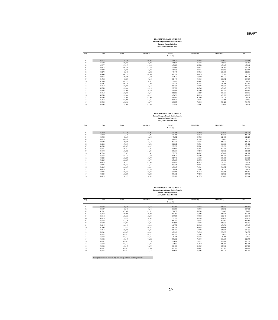**TEACHER'S SALARY SCHEDULE Prince George's County Public Schools Table A - Salary Schedule Jan 8, 2005 - June 30, 2005**

| Step | Prov   | BA(a)  | $BA+30(b)$ | $BA+45$      | $MA+30(b)$ | $MA+60(b,c)$ | <b>DR</b> |
|------|--------|--------|------------|--------------|------------|--------------|-----------|
|      |        |        |            | $&$ MA $(b)$ |            |              |           |
|      |        |        |            |              |            |              |           |
| 01   | 34,072 | 38,289 | 40,088     | 41,972       | 43,944     | 46,010       | 46,468    |
| 02   | 34,072 | 38,289 | 40,088     | 41,972       | 43,944     | 46,010       | 46,468    |
| 03   | 35,077 | 39,417 | 41,272     | 43,210       | 45,240     | 47,368       | 47,841    |
| 04   | 36,112 | 40,580 | 42,489     | 44,485       | 46,577     | 48,764       | 49,251    |
| 05   | 37,177 | 41,778 | 43,742     | 45,796       | 47,951     | 50,203       | 50,704    |
| 06   | 38,273 | 43,010 | 45,032     | 47,147       | 49,364     | 51,683       | 52,200    |
| 07   | 39,403 | 44,279 | 46,360     | 48,539       | 50,820     | 53,209       | 53,739    |
| 08   | 40,566 | 45,585 | 47,729     | 49,970       | 52,320     | 54,777       | 55,325    |
| 09   | 41,762 | 46,929 | 49,138     | 51,444       | 53,863     | 56,392       | 56,957    |
| 10   | 42,994 | 48,313 | 50,587     | 52,962       | 55,452     | 58,056       | 58,637    |
| 11   | 44,261 | 49,738 | 52,079     | 54,525       | 57,087     | 59,768       | 60,366    |
| 12   | 45,568 | 51,206 | 53,615     | 56,133       | 58,773     | 61,532       | 62,148    |
| 13   | 45,568 | 51,206 | 55,198     | 57,789       | 60,506     | 63,347       | 63,979    |
| 14   | 45,568 | 51,206 | 56,826     | 59,495       | 62,290     | 65,214       | 65,867    |
| 15   | 45,568 | 51,206 | 58,501     | 61,250       | 64,129     | 67,139       | 67,810    |
| 16   | 45,568 | 51,206 | 60,227     | 63,056       | 66,020     | 69,120       | 69,812    |
| 17   | 45,568 | 51,206 | 62,004     | 64,917       | 67,966     | 71,159       | 71,871    |
| 18   | 45,568 | 51,206 | 63,833     | 66,832       | 69,971     | 73,258       | 73,990    |
| 19   | 45,568 | 51,206 | 65,717     | 68,803       | 72,034     | 75,420       | 76,174    |
| 20   | 45,568 | 51,206 | 67,654     | 70,833       | 74,161     | 77,644       | 78,421    |

**TEACHER'S SALARY SCHEDULE Prince George's County Public Schools Table B - Salary Schedule Jan 8, 2005 - June 30, 2005**

| Step   | Prov   | BA(a)  | $BA+30(b)$ | $BA+45$      | $MA+30(b)$ | $MA+60(b,c)$ | DR     |
|--------|--------|--------|------------|--------------|------------|--------------|--------|
|        |        |        |            | $&$ MA $(b)$ |            |              |        |
|        |        |        |            |              |            |              |        |
| 01     | 37,480 | 42,119 | 44,097     | 46,168       | 48,339     | 50,611       | 51,115 |
| 02     | 37,480 | 42,119 | 44,097     | 46,168       | 48,339     | 50,611       | 51,115 |
| 03     | 38,584 | 43,359 | 45,398     | 47,532       | 49,764     | 52,105       | 52,625 |
| 04     | 39,723 | 44,639 | 46,737     | 48,932       | 51,235     | 53,640       | 54,176 |
| 05     | 40,894 | 45,956 | 48,116     | 50,376       | 52,745     | 55,223       | 55,775 |
| $06\,$ | 42,100 | 47,309 | 49,536     | 51,862       | 54,301     | 56,851       | 57,421 |
| 07     | 43,343 | 48,707 | 50,997     | 53,393       | 55,901     | 58,530       | 59,113 |
| $08\,$ | 44,621 | 50,142 | 52,501     | 54,966       | 57,551     | 60,256       | 60,857 |
| 09     | 45,938 | 51,622 | 54,051     | 56,589       | 59,250     | 62,032       | 62,651 |
| 10     | 47,293 | 53,145 | 55,645     | 58,259       | 60,997     | 63,861       | 64,501 |
| 11     | 48,688 | 54,711 | 57,286     | 59,977       | 62,796     | 65,744       | 66,402 |
| 12     | 50,125 | 56,327 | 58,977     | 61,746       | 64,649     | 67,685       | 68,362 |
| 13     | 50,125 | 56,327 | 60,717     | 63,568       | 66,556     | 69,681       | 70,378 |
| 14     | 50,125 | 56,327 | 62,509     | 65,446       | 68,518     | 71,735       | 72,453 |
| 15     | 50,125 | 56,327 | 64,351     | 67,375       | 70,541     | 73,853       | 74,592 |
| 16     | 50,125 | 56,327 | 66,251     | 69,363       | 72,621     | 76,032       | 76,794 |
| 17     | 50,125 | 56,327 | 68,204     | 71,408       | 74,762     | 78,276       | 79,059 |
| 18     | 50,125 | 56,327 | 70,216     | 73,515       | 76,968     | 80,585       | 81,389 |
| 19     | 50,125 | 56,327 | 72,288     | 75,682       | 79,238     | 82,962       | 83,792 |
| $20\,$ | 50,125 | 56,327 | 74,419     | 77,918       | 81,578     | 85,409       | 86,264 |

# **TEACHER'S SALARY SCHEDULE Prince George's County Public Schools Table C - Salary Schedule Jan 8, 2005 - June 30, 2005**

| Step    | Prov   | BA(a)  | $BA+30(b)$ | $BA+45$<br>$&$ MA $(b)$ | $MA+30(b)$ | $MA+60(b,c)$ | DR     |
|---------|--------|--------|------------|-------------------------|------------|--------------|--------|
|         |        |        |            |                         |            |              |        |
| $_{01}$ | 40,887 | 45,948 | 48,106     | 50,366                  | 52,734     | 55,212       | 55,762 |
| 02      | 40,887 | 45,948 | 48,106     | 50,366                  | 52,734     | 55,212       | 55,762 |
| 03      | 42,092 | 47,300 | 49,525     | 51,852                  | 54,289     | 56,840       | 57,408 |
| 04      | 43,334 | 48,696 | 50,986     | 53,382                  | 55,892     | 58,516       | 59,101 |
| 05      | 44,612 | 50,133 | 52,490     | 54,955                  | 57,540     | 60,243       | 60,845 |
| 06      | 45,929 | 51,611 | 54,039     | 56,577                  | 59,235     | 62,019       | 62,639 |
| 07      | 47,284 | 53,135 | 55,633     | 58,247                  | 60,985     | 63,850       | 64,486 |
| 08      | 48,679 | 54,702 | 57,274     | 59,964                  | 62,784     | 65,733       | 66,390 |
| 09      | 50,115 | 56,315 | 58,965     | 61,732                  | 64,636     | 67,671       | 68,349 |
| 10      | 51,593 | 57,975 | 60,703     | 63,555                  | 66,543     | 69,668       | 70,364 |
| 11      | 53,114 | 59,686 | 62,494     | 65,429                  | 68,504     | 71,721       | 72,438 |
| 12      | 54,682 | 61,447 | 64,339     | 67,360                  | 70,526     | 73,837       | 74,577 |
| 13      | 54,682 | 61,447 | 66,237     | 69,347                  | 72,607     | 76,017       | 76,774 |
| 14      | 54,682 | 61,447 | 68,191     | 71,395                  | 74,748     | 78,256       | 79,039 |
| 15      | 54,682 | 61,447 | 70,202     | 73,501                  | 76,955     | 80,567       | 81,373 |
| 16      | 54,682 | 61,447 | 72,274     | 75,668                  | 79,222     | 82,944       | 83,773 |
| 17      | 54,682 | 61,447 | 74,404     | 77,900                  | 81,559     | 85,391       | 86,245 |
| 18      | 54,682 | 61,447 | 76,599     | 80,198                  | 83,965     | 87,910       | 88,789 |
| 19      | 54,682 | 61,447 | 78,860     | 82,562                  | 86,441     | 90,505       | 91,409 |
| 20      | 54,682 | 61,447 | 81,185     | 85,001                  | 88,993     | 93,173       | 94,106 |

No employee will be hired on step one during the time of this agreement.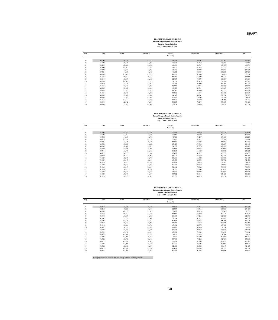# **TEACHER'S SALARY SCHEDULE Prince George's County Public Schools Table A - Salary Schedule July 1, 2005 - June 30, 2006**

| Step | Prov   | BA(a)  | $BA+30(b)$ | $BA+45$      | $MA+30(b)$ | $MA+60(b,c)$ | <b>DR</b> |
|------|--------|--------|------------|--------------|------------|--------------|-----------|
|      |        |        |            | $&$ MA $(b)$ |            |              |           |
|      |        |        |            |              |            |              |           |
| 01   | 35,094 | 39,438 | 41,291     | 43,231       | 45,262     | 47,390       | 47,862    |
| 02   | 35,094 | 39,438 | 41,291     | 43,231       | 45,262     | 47,390       | 47,862    |
| 03   | 36,129 | 40,600 | 42,510     | 44,506       | 46,597     | 48,789       | 49,276    |
| 04   | 37,195 | 41,797 | 43,764     | 45,820       | 47,974     | 50,227       | 50,729    |
| 05   | 38,292 | 43,031 | 45,054     | 47,170       | 49,390     | 51,709       | 52,225    |
| 06   | 39,421 | 44,300 | 46,383     | 48,561       | 50,845     | 53,233       | 53,766    |
| 07   | 40,585 | 45,607 | 47,751     | 49,995       | 52,345     | 54,805       | 55,351    |
| 08   | 41,783 | 46,953 | 49,161     | 51,469       | 53,890     | 56,420       | 56,985    |
| 09   | 43,015 | 48,337 | 50,612     | 52,987       | 55,479     | 58,084       | 58,666    |
| 10   | 44,284 | 49,762 | 52,105     | 54,551       | 57,116     | 59,798       | 60,396    |
| 11   | 45,589 | 51,230 | 53,641     | 56,161       | 58,800     | 61,561       | 62,177    |
| 12   | 46,935 | 52,742 | 55,223     | 57,817       | 60,536     | 63,378       | 64,012    |
| 13   | 46,935 | 52,742 | 56,854     | 59,523       | 62,321     | 65,247       | 65,898    |
| 14   | 46,935 | 52,742 | 58,531     | 61,280       | 64,159     | 67,170       | 67,843    |
| 15   | 46,935 | 52,742 | 60,256     | 63,088       | 66,053     | 69,153       | 69,844    |
| 16   | 46,935 | 52,742 | 62,034     | 64,948       | 68,001     | 71,194       | 71,906    |
| 17   | 46,935 | 52,742 | 63,864     | 66,865       | 70,005     | 73,294       | 74,027    |
| 18   | 46,935 | 52,742 | 65,748     | 68,837       | 72,070     | 75,456       | 76,210    |
| 19   | 46,935 | 52,742 | 67,689     | 70,867       | 74,195     | 77,683       | 78,459    |
| 20   | 46,935 | 52,742 | 69,684     | 72,958       | 76,386     | 79,973       | 80,774    |

**TEACHER'S SALARY SCHEDULE Prince George's County Public Schools Table B - Salary Schedule July 1, 2005 - June 30, 2006**

| Step | Prov   | BA(a)  | $BA+30(b)$ | $BA+45$      | $MA+30(b)$ | $MA+60(b,c)$ | <b>DR</b> |
|------|--------|--------|------------|--------------|------------|--------------|-----------|
|      |        |        |            | $&$ MA $(b)$ |            |              |           |
| 01   | 38,604 | 43,383 | 45,420     | 47,553       | 49,789     | 52,129       | 52,648    |
| 02   | 38,604 | 43,383 | 45,420     | 47,553       | 49,789     | 52,129       | 52,648    |
| 03   | 39,742 | 44,660 | 46,760     | 48,958       | 51,257     | 53,668       | 54,204    |
| 04   | 40,915 | 45,978 | 48,139     | 50,400       | 52,772     | 55,249       | 55,801    |
| 05   | 42,121 | 47,335 | 49,559     | 51,887       | 54,327     | 56,880       | 57,448    |
| 06   | 43,363 | 48,728 | 51,022     | 53,418       | 55,930     | 58,557       | 59,144    |
| 07   | 44,643 | 50,168 | 52,527     | 54,995       | 57,578     | 60,286       | 60,886    |
| 08   | 45,960 | 51,646 | 54,076     | 56,615       | 59,278     | 62,064       | 62,683    |
| 09   | 47,316 | 53,171 | 55,673     | 58,287       | 61,028     | 63,893       | 64,531    |
| 10   | 48,712 | 54.739 | 57,314     | 60,007       | 62,827     | 65,777       | 66,436    |
| 11   | 50,149 | 56,352 | 59,005     | 61,776       | 64,680     | 67,716       | 68,394    |
| 12   | 51,629 | 58,017 | 60,746     | 63,598       | 66,588     | 69,716       | 70,413    |
| 13   | 51,629 | 58,017 | 62,539     | 65,475       | 68,553     | 71,771       | 72,489    |
| 14   | 51,629 | 58,017 | 64,384     | 67,409       | 70,574     | 73,887       | 74,627    |
| 15   | 51,629 | 58,017 | 66,282     | 69,396       | 72,657     | 76,069       | 76,830    |
| 16   | 51,629 | 58,017 | 68,239     | 71,444       | 74,800     | 78,313       | 79,098    |
| 17   | 51,629 | 58,017 | 70,250     | 73,550       | 77,005     | 80,624       | 81,431    |
| 18   | 51,629 | 58,017 | 72,322     | 75,720       | 79,277     | 83,003       | 83,831    |
| 19   | 51,629 | 58,017 | 74,457     | 77,952       | 81,615     | 85,451       | 86,306    |
| 20   | 51,629 | 58,017 | 76,652     | 80,256       | 84,025     | 87,971       | 88,852    |

# **TEACHER'S SALARY SCHEDULE Prince George's County Public Schools Table C - Salary Schedule July 1, 2005 - June 30, 2006**

| Step | Prov   | BA(a)  | $BA+30(b)$ | $BA+45$<br>$&$ MA $(b)$ | $MA+30(b)$ | $MA+60(b,c)$ | DR     |
|------|--------|--------|------------|-------------------------|------------|--------------|--------|
|      |        |        |            |                         |            |              |        |
| 01   | 42,114 | 47,326 | 49,549     | 51,877                  | 54,316     | 56,868       | 57,435 |
| 02   | 42,114 | 47,326 | 49,549     | 51,877                  | 54,316     | 56,868       | 57,435 |
| 03   | 43,355 | 48,719 | 51,011     | 53,408                  | 55,918     | 58,545       | 59,130 |
| 04   | 44,634 | 50,157 | 52,516     | 54,983                  | 57,569     | 60,271       | 60,874 |
| 05   | 45,950 | 51,637 | 54,065     | 56,604                  | 59,266     | 62,050       | 62,670 |
| 06   | 47,307 | 53,159 | 55,660     | 58,274                  | 61,012     | 63,880       | 64,518 |
| 07   | 48,703 | 54,729 | 57,302     | 59,994                  | 62,815     | 65,766       | 66,421 |
| 08   | 50,139 | 56,343 | 58,992     | 61,763                  | 64,668     | 67,705       | 68,382 |
| 09   | 51,618 | 58,004 | 60,734     | 63,584                  | 66,575     | 69,701       | 70,399 |
| 10   | 53,141 | 59,714 | 62,524     | 65,462                  | 68,539     | 71,758       | 72,475 |
| 11   | 54,707 | 61,477 | 64,369     | 67,392                  | 70,559     | 73,873       | 74,611 |
| 12   | 56,322 | 63,290 | 66,269     | 69,381                  | 72,642     | 76,052       | 76,814 |
| 13   | 56,322 | 63,290 | 68,224     | 71,427                  | 74,785     | 78,298       | 79,077 |
| 14   | 56,322 | 63,290 | 70,237     | 73,537                  | 76,990     | 80,604       | 81,410 |
| 15   | 56,322 | 63,290 | 72,308     | 75,706                  | 79.264     | 82,984       | 83,814 |
| 16   | 56,322 | 63,290 | 74,442     | 77,938                  | 81,599     | 85,432       | 86,286 |
| 17   | 56,322 | 63,290 | 76,636     | 80,237                  | 84,006     | 87,953       | 88,832 |
| 18   | 56,322 | 63,290 | 78,897     | 82,604                  | 86,484     | 90,547       | 91,453 |
| 19   | 56,322 | 63,290 | 81,226     | 85,039                  | 89,034     | 93,220       | 94,151 |
| 20   | 56,322 | 63,290 | 83,621     | 87,551                  | 91,663     | 95,968       | 96,929 |
|      |        |        |            |                         |            |              |        |

No employee will be hired on step one during the time of this agreement.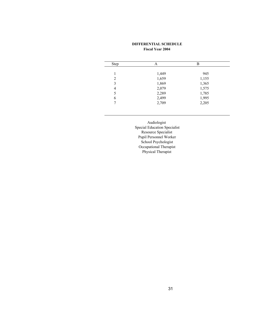## **[DIFFERENTIAL SCHEDULE](#page-1-0) Fiscal Year 2004**

<span id="page-32-0"></span>

| <b>Step</b> | А     | в     |  |
|-------------|-------|-------|--|
|             |       |       |  |
|             | 1,449 | 945   |  |
| 2           | 1,659 | 1,155 |  |
| 3           | 1,869 | 1,365 |  |
| 4           | 2,079 | 1,575 |  |
| 5           | 2,289 | 1,785 |  |
| 6           | 2,499 | 1,995 |  |
|             | 2,709 | 2,205 |  |

Audiologist Special Education Specialist Physical Therapist Resource Specialist Pupil Personnel Worker School Psychologist Occupational Therapist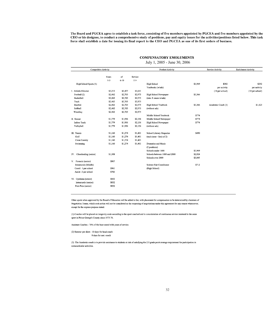<span id="page-33-0"></span>The Board and PGCEA agree to establish a task force, consisting of five members appointed by PGCEA and five members appointed by the CEO or his designee, to conduct a comprehensive study of positions, pay and equity issues for the activities/positions listed below. This task force shall establish a date for issuing its final report to the CEO and PGCEA as one of its first orders of business.

## **COMPENSATORY EMOLUMENTS**

July 1, 2005 - June 30, 2006

| <b>Competitive Activity</b> |         |          | Product Activity |                               | Service Activity | <b>Enrichment Activity</b> |                 |
|-----------------------------|---------|----------|------------------|-------------------------------|------------------|----------------------------|-----------------|
|                             | Years   | of       | Service          |                               |                  |                            |                 |
|                             | $1-5$   | $6 - 10$ | $11+$            |                               |                  |                            |                 |
| High School Sports (1)      |         |          |                  | <b>High School</b>            | \$1,949          | \$392                      | \$292           |
|                             |         |          |                  | Yearbooks (w/ads)             |                  | per activity               | per activity    |
| <b>I.</b> Athletic Director | \$3,213 | \$3,427  | \$3,641          |                               |                  | (10 per school)            | (10 per school) |
| Football (2)                | \$2,462 | \$2,703  | \$2,975          | High School Newspaper         | \$1,366          |                            |                 |
| Basketball                  | \$2,462 | \$2,703  | \$2,975          | (min. 8 issues w/ads)         |                  |                            |                 |
| Track                       | \$2,462 | \$2,703  | \$2,975          |                               |                  |                            |                 |
| Baseball                    | \$2,462 | \$2,703  | \$2,975          | High School Yearbook          | \$1,366          | Academic Coach (3)         | \$1,423         |
| Softball                    | \$2,462 | \$2,703  | \$2,975          | (without ads)                 |                  |                            |                 |
| Wrestling                   | \$2,462 | \$2,703  | \$2,975          |                               |                  |                            |                 |
|                             |         |          |                  | Middle School Yearbook        | \$774            |                            |                 |
| II. Soccer                  | \$1,779 | \$1,956  | \$2,156          | Middle School Newspaper       | \$774            |                            |                 |
| <b>Indoor Track</b>         | \$1,779 | \$1,956  | \$2,156          | High School Newspaper         | \$774            |                            |                 |
| Volleyball                  | \$1,779 | \$1,956  | \$2,156          | (without ads)                 |                  |                            |                 |
|                             |         |          |                  |                               |                  |                            |                 |
| III. Tennis                 | \$1,160 | \$1,274  | \$1,401          | School Literary Magazine      | \$490            |                            |                 |
| Golf                        | \$1,160 | \$1,274  | \$1,401          | (each issue - limit of 2)     |                  |                            |                 |
| Cross Country               | \$1,160 | \$1,274  | \$1,401          |                               |                  |                            |                 |
| Swimming                    | \$1,160 | \$1,274  | \$1,401          | Dramatics and Music           |                  |                            |                 |
|                             |         |          |                  | (2 positions)                 |                  |                            |                 |
|                             |         |          |                  | Schools under 1000            | \$1,949          |                            |                 |
| IV. Cheerleading (senior)   | \$1,308 |          |                  | Schools between 1000 and 2000 | \$2,924          |                            |                 |
|                             |         |          |                  | Schools over 2000             | \$3,885          |                            |                 |
| V. Forensic (senior)        | \$967   |          |                  |                               |                  |                            |                 |
| Intramurals (Middle)        |         |          |                  | Science Fair Coordinator      | \$712            |                            |                 |
| Coord - 1 per school        | \$961   |          |                  | (High School)                 |                  |                            |                 |
| Assist - 2 per school       | \$783   |          |                  |                               |                  |                            |                 |
|                             |         |          |                  |                               |                  |                            |                 |
| VI. Gymkana (senior)        | \$832   |          |                  |                               |                  |                            |                 |
| Intramurals (senior)        | \$832   |          |                  |                               |                  |                            |                 |
| Pom Pons (senior)           | \$832   |          |                  |                               |                  |                            |                 |
|                             |         |          |                  |                               |                  |                            |                 |

Other sports when approved by the Board of Education will be added to list, with placement for compensation to be determined by chairmen of Negotiation Teams, which such action will not be considered as the reopening of negotiations under this agreement for any reason whatsoever, except for the express purpose stated.

(1) Coaches will be placed on longevity scale according to the sport coached and in consideration of continuous service rendered in the same sport in Prince George's County since 1975-76.

Assistant Coaches - 70% of the base stated with years of service.

(2) Summer per diem - 10 days for head coach 8 days for asst. coach

(3) The Academic coach is to provide assistance to students at risk of satisfying the 2.0 grade point average requirement for participation in extracurricular activities.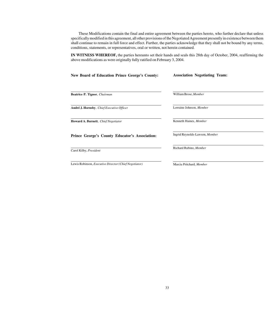<span id="page-34-0"></span>These Modifications contain the final and entire agreement between the parties hereto, who further declare that unless specifically modified in this agreement, all other provisions of the Negotiated Agreement presently in existence between them shall continue to remain in full force and effect. Further, the parties acknowledge that they shall not be bound by any terms, conditions, statements, or representatives, oral or written, not herein contained.

**IN WITNESS WHEREOF,** the parties hereunto set their hands and seals this 28th day of October, 2004, reaffirming the above modifications as were originally fully ratified on February 3, 2004.

| <b>New Board of Education Prince George's County:</b> | <b>Association Negotiating Team:</b> |
|-------------------------------------------------------|--------------------------------------|
| Beatrice P. Tignor, Chairman                          | William Brose, Member                |
| André J. Hornsby, Chief Executive Officer             | Lorraine Johnson, Member             |
| Howard A. Burnett, Chief Negotiator                   | Kenneth Haines, Member               |
| Prince George's County Educator's Association:        | Ingrid Reynolds-Lawson, Member       |
| Carol Kilby, President                                | Richard Rubino, Member               |
| Lewis Robinson, Executive Director (Chief Negotiator) | Marcia Pritchard, Member             |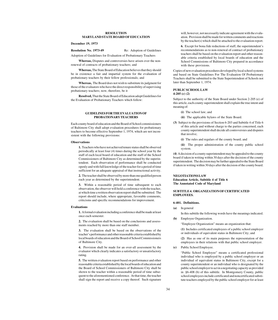#### **RESOLUTION [MARYLAND STATE BOARD OF EDUCATION](#page-1-0)**

#### <span id="page-35-0"></span>**December 19, 1973**

#### **Resolution No. 1973-49** Re: Adoption of Guidelines

Adoption of Guidelines for Evaluation of Probationary Teachers

**Whereas,** Disputes and controversies have arisen over the nonrenewal of contracts of probationary teachers; and

**Whereas,**The State Board of Education believes that they should be in existence a fair and impartial system for the evaluation of probationary teachers by their fellow professionals; and

**Whereas,** The Board does not wish to substitute its judgment for those of the evaluators who have the direct responsibility of supervising probationary teachers; now, therefore, be it

**Resolved,**That the State Board of Education adopt Guidelines for the Evaluation of Probationary Teachers which follow:

#### **[GUIDELINES FOR THE EVALUATION OF](#page-1-0) PROBATIONARY TEACHERS**

<span id="page-35-1"></span>Each county board of education and the Board of School commissioners of Baltimore City shall adopt evaluation procedures for probationary teachers to become effective September 1, 1974, which are not inconsistent with the following provisions:

#### **Observations**

**1.** Teachers who have not achieved tenure status shall be observed periodically at least four (4) times during the school year by the staff of each local board of education and the staff of the School Commissioners of Baltimore City as determined by the superintendent. Each observation of performance shall be conducted openly and with full knowledge of the teacher for a period of time sufficient for an adequate appraisal of that instructional activity.

**2.** The teacher shall be observed by more than one qualified person each year as determined by the superintendent.

**3.** Within a reasonable period of time subsequent to each observation, the observer will hold a conference with the teacher, at which time a written observation report shall be submitted. The report should include, where appropriate, favorable comments, criticisms and specific recommendations for improvement.

#### **Evaluations**

**1.** A formal evaluation including a conference shall be made at least once each semester.

**2.** The evaluation shall be based on the conclusions and assessments reached by more than one staff member.

**3.** The evaluation shall be based on the observations of the teacher's performance and other reasonable criteria established by local boards of education and the Board of School Commissioners of Baltimore City.

**4.** Provision shall be made for an over-all assessment by the evaluator which clearly indicates a satisfactory or unsatisfactory rating.

**5.** The written evaluation report based on performance and other reasonable criteria established by the local boards of education and the Board of School Commissioners of Baltimore City shall be shown to the teacher within a reasonable period of time subsequent to the aforementioned conference. At that time, the teacher shall sign the report and receive a copy thereof. Such signature

will, however, not necessarily indicate agreement with the evaluation. Provision shall be made for written comments and reactions by the teacher(s) which shall be attached to the evaluation report.

**6.** Except for bona fide reductions of staff, the superintendent's recommendations as to non-renewal of contract of probationary teachers shall be based on the evaluation report and other reasonable criteria established by local boards of education and the School Commissions of Baltimore City prepared in accordance with these provisions.

Copies of new evaluation procedures developed by local school systems and based on State Guidelines For The Evaluation Of Probationary Teachers shall be submitted to the State Superintendent of Schools not later than September 1, 1974.

#### **PUBLIC SCHOOL LAW 4-205 (c) (2)**

Subject to the authority of the State Board under Section 2-205 (e) of this article, each county superintendent shall explain the true intent and meaning of:

- **(i)** The school law; and
- **(ii)** The applicable bylaws of the State Board.
- **(3)** Subject to the provisions of Section 6-203 and Subtitle 4 of Title 6 of this article and without charge to the parties concerned, each county superintendent shall decide all controversies and disputes that involve;
	- **(i)** The rules and regulars of the county board; and
	- **(ii)** The proper administration of the county public school system.

**(4)** A decision of a county superintendent may be appealed to the county board if taken in writing within 30 days after the decision of the county superintendent. The decision may be further appealed to the State Board if taken in writing within 30 days after the decision of the county board.

#### **[NEGOTIATIONS LAW](#page-1-0) Education Article, Subtitle 4 of Title 6 The Annotated Code of Maryland**

#### **SUBTITLE 4. ORGANIZATION OF CERTIFICATED EMPLOYEES.**

#### **6-401. Definitions.**

**(a)** In general

In this subtitle the following words have the meanings indicated.

**(b)** Employee Organization.

"Employee Organization" means an organization that:

**(1)** Includes certificated employees of a public school employer or individuals of equivalent status in Baltimore City; and

**(2)** Has as one of its main purposes the representation of the employees in their relations with that public school employer.

**(c)** Public School Employee.

"Public School Employee" means a certificated professional individual who is employed by a public school employer or an individual of equivalent status in Baltimore City, except for a county superintendent or an individual who is designated by the public school employer to act in a negotiating capacity as provided in §6-408 (b) of this subtitle. In Montgomery County, public school employees include certificated and noncertificated substitute teachers employed by the public school employer for at least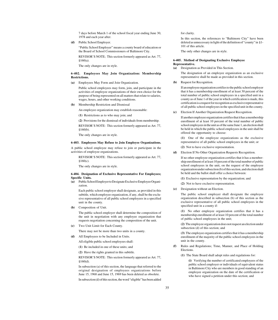7 days before March 1 of the school fiscal year ending June 30, 1978 and each year after.

**(d)** Public School Employer.

"Public School Employer" means a county board of education or the Board of School Commissioners of Baltimore City.

REVISOR'S NOTE; This section formerly appeared as Art. 77, §160(a).

The only changes are in style.

#### **6-402. Employees May Join Organization: Membership Restrictions.**

**(a)** Employees May Form and Join Organization.

Public school employees may form, join, and participate in the activities of employee organizations of their own choice for the purpose of being represented on all matters that relate to salaries, wages, hours, and other working conditions.

**(b)** Membership Restriction and Dismissal

An employee organization may establish reasonable:

**(1)** Restrictions as to who may join; and

**(2)** Provisions for the dismissal of individuals from membership.

REVISOR'S NOTE: This section formerly appeared as Art. 77, §160(b).

The only changes are in style.

#### **6-403. Employees May Refuse to Join Employee Organizations.**

A public school employee may refuse to join or participate in the activities of employee organizations.

REVISOR'S NOTE: This section formerly appeared as Art. 77, §160(c).

The only changes are in style.

#### **6-404. Designation of Exclusive Representative For Employees; Specific Units.**

**(a)** Public School Employer to Designate Exclusive Employee Organization.

Each public school employer shall designate, as provided in this subtitle, which employee organization, if any, shall be the exclusive representative of all public school employees in a specified unit in the county.

**(b)** Composition of Unit.

The public school employer shall determine the composition of the unit in negotiation with any employee organization that requests negotiation concerning the composition of the unit.

**(c)** Two Unit Limit for Each County.

There may not be more than two units in a county.

**(d)** All Employees to be Included in Units.

All eligible public school employees shall:

**(1)** Be included in one of these units; and

**(2)** Have the rights granted in this subtitle.

REVISOR'S NOTE: This section formerly appeared as Art. 77, §160(d).

In subsection (a) of this section, the language that referred to the original designation of employees organizations before June 15, 1968 and June 15, 1969 has been deleted as obsolete.

In subsection (d) of this section, the word "eligible" has been added

for clarity.

In this section, the references to "Baltimore City" have been deleted as unnecessary in light of the definition of "county" in §1- 101 of this article.

The only other changes are in style.

#### **6-405. Method of Designating Exclusive Employee Representative.**

**(a)** Designation as Provided in This Section.

The designation of an employee organization as an exclusive representative shall be made as provided in this section.

**(b)** Request for Recognition.

If an employeeorganization certifies to the public school employer that it has a membership enrollment of at least 30 percent of the total number of public school employees in a specified unit in a county as of June 1 of the year in which certification is made, this certification is a request for recognition as exclusive representative of all public school employees in the specified unit in the county.

**(c)** Election If Another Organization Request Recognition.

If another employee organization certifies that it has a membership enrollment of at least 10 percent of the total number of public school employees in the unit as of the same June 1, an election shall be held in which the public school employees in the unit shall be offered the opportunity to choose:

**(1)** One of the employee organizations as the exclusive representative of all public school employees in the unit; or

- **(2)** Not to have exclusive representation.
- **(d)** Election If No Other Organization Requests Recognition.

If no other employee organization certifies that it has a membership enrollment of at least 10 percent of the total number of public school employees in the unit, on the request of the employee organization under subsection (b) of this section, and election shall be held and the ballot shall offer a choice between:

**(1)** Exclusive representation by the organization; and

- **(2)** Not to have exclusive representation.
- **(e)** Designation without an Election.

The public school employer shall designate the employee organization described in subsection (b) of this section as the exclusive representative of all public school employees in the specified unit in a county if:

**(1)** No other employee organization certifies that it has a membership enrollment of at least 10 percent of the total number of public school employees in the unit;

**(2)** The employee organization does not request an election under subsection (d) of this section; and

**(3)** The employee organization certifies that it has a membership enrollment of the majority of the public school employees in the unit in the county.

- **(f)** Rules and Regulations; Time, Manner, and Place of Holding Elections.
	- **(1)** The State Board shall adopt rules and regulations for:

**(i)** Verifying the number of certificated employees of the public school employer or individuals of equivalent status in Baltimore City who are members in good standing of an employee organization on the date of the certification or who have signed a petition under this section; and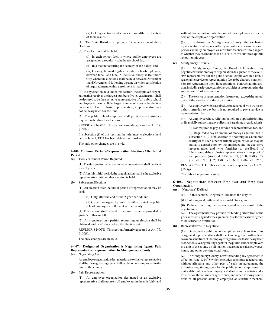**(ii)** Holding elections under this section and the certification of their results.

**(2)** The State Board shall provide for supervision of these elections.

**(3)** The election shall be held:

**(i)** In each school facility where public employees are assigned on a regularly scheduled school day;

**(ii)** In a manner assuring the secrecy of the ballot; and

**(iii)** On a regular working day for public school employees, between June 1 and June 15, inclusive, except in Baltimore City where the elections shall be held between November 1 and November 15 following the date on which certification of required membership enrollment is made.

**(4)** In any election held under this section, the employee organization that receives the largest number of votes cast in a unit shall be declared to be the exclusive representative of all public school employees in the unit. If the largest number of votes in the election is cast not to have exclusive representation, a representative may not be designated for the unit.

**(5)** The public school employer shall provide any assistance required in holding the elections.

REVISOR'S NOTE: This section formerly appeared as Art. 77, §160(e).

In subsection (f) of this section, the reference to elections held before June 1, 1974 has been deleted as obsolete.

The only other changes are in style.

#### **6-406. Minimum Period of Representation; Elections After Initial Period.**

**(a)** Two Year Initial Period Required.

**(1)** The designation of an exclusive representative shall be for at least 2 years.

**(2)** After this initial period, the organization shall be the exclusive representative until another election is held.

**(b)** Subsequent Elections.

**(1)** An election after the initial period of representation may be held:

**(i)** Only after the end of the 2-year period; and

**(ii)** On petition signed by more than 20 percent of the public school employees in the unit of the county.

**(2)** This election shall be held in the same manner as provided in §6-405 of this subtitle.

**(3)** All signatures on a petition requesting an election shall be obtained within 90 days before the election date.

REVISOR'S NOTE: This section formerly appeared as Art. 77, §160(f).

The only changes are in style.

### **6-407. Designated Organization is Negotiating Agent; Fair Representation; Representation In Montgomery County.**

**(a)** Negotiating Agent.

An employee organization designated as an exclusive representative shall be the negotiating agent of all public school employees in the unit in the county.

**(b)** Fair Representation.

**(1)** An employee organization designated as an exclusive representative shall represent all employees in the unit fairly and

without discrimination, whether or not the employees are members of the employee organization.

**(2)** In addition, in Montgomery County, the exclusive representative shall represent fairly and without discrimination all persons actually employed as substitute teachers without regard to whether they are included in §6-401 (c) of this subtitle as public school employees.

Montgomery County.

**(1)** In Montgomery County, the Board of Education may negotiate with the employee organization designated as the exclusive representative for the public school employees in a unit, a reasonable service or representation fee, to be charged nonmembers for representing them in negotiations, contract administration, including grievances, and other activities as are required under subsection (b) of this section.

**(2)** The service or representation fee may not exceed the annual dues of the members of the organization.

**(3)** An employee who is a substitute teacher and who works on a short-term day-to-day basis is not required to pay a service or representation fee.

**(4)** An employee whose religious beliefs are opposed to joining or financially supporting any collective bargaining organization is:

**(i)** Not required to pay a service or representation fee, and

**(ii)** Required to pay an amount of money as determined in subsection  $(c)(2)$  of this section to a nonreligious, nonunion charity or to such other charitable organization as may be mutually agreed upon by the employee and the exclusive representative, and who furnishes to the Board of Education and the exclusive representative written proof of such payment. (An. Code 1957, art. 77, § 160; 1978, ch 22 § 2; ch. 713, § 2; 1983, ch. 630; 1984, ch. 255.)

REVISOR'S NOTE: This section formerly appeared as Art. 77, §160(g).

The only changes are in style.

#### **6-408. Negotiations Between Employer and Employee Organization.**

#### **(a)** "Negotiate" Defined.

**(1)** In this section, "Negotiate" includes the duty to:

**(i)** Confer in good faith, at all reasonable times; and

**(ii)** Reduce to writing the matters agreed on as a result of the negotiations.

**(2)** The agreements may provide for binding arbitration of the grievances arising under the agreement that the parties have agreed to be subject to arbitration.

**(b)** Representatives to Negotiate.

**(1)** On request a public school employer or at least two of its designated representatives shall meet and negotiate with at least two representatives of the employee organization that is designated as the exclusive negotiating agent for the public school employees in a unit of the county on all matters that relate to salaries, wages, hours, and other working conditions.

**(2)** In Montgomery County, notwithstanding any agreement in effect on June 1, 1978 which excludes substitute teachers, and without affecting any other part of such an agreement, the exclusive negotiating agent for the public school employees in a unit and the public school employer shall meet and negotiate under this section the salaries, wages, hours, and other working conditions of all persons actually employed as substitute teachers.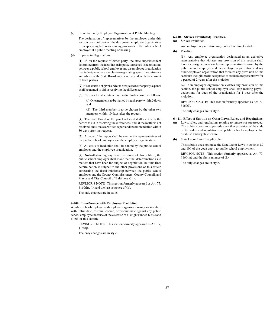**(c)** Presentation by Employee Organization at Public Meeting.

The designation of representatives by the employer under this section does not prevent the designated employee organization from appearing before or making proposals to the public school employer at a public meeting or hearing.

**(d)** Impasse in Negotiations.

**(1)** If, on the request of either party, the state superintendent determines from the facts that an impasse is reached in negotiations between a public school employer and an employee organization that is designated as an exclusive negotiating agent, the assistance and advice of the State Board may be requested, with the consent of both parties.

**(2)** If consent is not given and at the request of either party, a panel shall be named to aid in resolving the differences.

- **(3)** The panel shall contain three individuals chosen as follows:
	- **(i)** One member is to be named by each party within 3 days; and
	- **(ii)** The third member is to be chosen by the other two members within 10 days after the request.

**(4)** The State Board or the panel selected shall meet with the parties to aid in resolving the differences, and, if the matter is not resolved, shall make a written report and recommendation within 30 days after the request.

**(5)** A copy of the report shall be sent to the representatives of the public school employer and the employee organization.

**(6)** All costs of mediation shall be shared by the public school employer and the employee organization.

**(7)** Notwithstanding any other provision of this subtitle, the public school employer shall make the final determination as to matters that have been the subject of negotiation, but this final determination is subject to the other provisions of this article concerning the fiscal relationship between the public school employer and the County Commissioners, County Council, and Mayor and City Council of Baltimore City.

REVISOR'S NOTE: This section formerly appeared as Art. 77, §160(h), (i), and the last sentence of (k).

The only changes are in style.

#### **6-409. Interference with Employees Prohibited.**

A public school employer and employee organization may not interfere with, intimidate, restrain, coerce, or discriminate against any public school employee because of the exercise of his rights under 6-402 and 6-403 of this subtitle.

REVISOR'S NOTE: This section formerly appeared as Art. 77, §160(j).

The only changes are in style.

#### **6-410. Strikes Prohibited; Penalties.**

**(a)** Strikes Prohibited.

An employee organization may not call or direct a strike.

**(b)** Penalties.

**(1)** Any employee organization designated as an exclusive representative that violates any provision of this section shall have its designation as exclusive representative revoked by the public school employer and the employee organization and any other employee organization that violates any provision of this section is ineligible to be designated as exclusive representative for a period of 2 years after the violation.

**(2)** If an employee organization violates any provision of this section, the public school employer shall stop making payroll deductions for dues of the organization for 1 year after the violation.

REVISOR'S NOTE: This section formerly appeared as Art. 77, §160(l).

The only changes are in style.

#### **6-411. Effect of Subtitle on Other Laws, Rules, and Regulations.**

- **(a)** Laws, rules, and regulations relating to tenure not superseded. This subtitle does not supersede any other provision of the code or the rules and regulations of public school employers that establish and regulate tenure.
- **(b)** State Labor Laws Inapplicable.

This subtitle does not make the State Labor Laws in Articles 89 and 100 of the code apply to public school employment.

REVISOR NOTE: This section formerly appeared as Art. 77,  $§160(m)$  and the first sentence of (k).

The only changes are in style.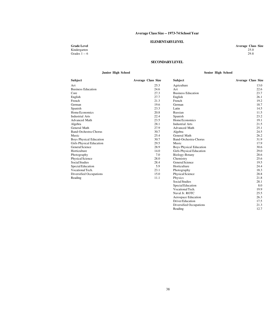#### **ELEMENTARY LEVEL**

Kindergarten 25.0

**Grade Level Average Class Size** Grades 1  $-6$  29.8

## **SECONDARY LEVEL**

#### **Junior High School**

### **Senior High School**

Vocational Tech. 19.9 Naval Jr. ROTC 25.5<br>Aerospace Education 26.3 Aerospace Education 26.3<br>Driver Education 17.5 Driver Education 17.5<br>Diversified Occupations 21.3 Diversified Occupations 21.3<br>Reading 21.7

| Subject                         | <b>Average Class Size</b> | Subject                         | Average Class Size |
|---------------------------------|---------------------------|---------------------------------|--------------------|
| Art                             | 25.3                      | Agriculture                     | 13.0               |
| <b>Business Education</b>       | 24.6                      | Art                             | 22.6               |
| Core                            | 27.3                      | <b>Business Education</b>       | 23.7               |
| English                         | 27.7                      | English                         | 26.1               |
| French                          | 21.3                      | French                          | 19.2               |
| German                          | 19.6                      | German                          | 18.7               |
| Spanish                         | 23.3                      | Latin                           | 14.5               |
| Home Economics                  | 20.8                      | Russian                         | 11.5               |
| <b>Industrial Arts</b>          | 22.4                      | Spanish                         | 23.2               |
| <b>Advanced Math</b>            | 23.5                      | Home Economics                  | 19.1               |
| Algebra                         | 28.1                      | <b>Industrial Arts</b>          | 21.5               |
| General Math                    | 27.9                      | <b>Advanced Math</b>            | 25.1               |
| Band-Orchestra-Chorus           | 30.7                      | Algebra                         | 24.5               |
| Music                           | 25.4                      | General Math                    | 26.2               |
| <b>Boys Physical Education</b>  | 30.7                      | Band-Orchestra-Chorus           | 31.9               |
| <b>Girls Physical Education</b> | 29.5                      | Music                           | 17.9               |
| General Science                 | 28.9                      | <b>Boys Physical Education</b>  | 30.6               |
| Horticulture                    | 14.0                      | <b>Girls Physical Education</b> | 29.0               |
| Photography                     | 7.0                       | Biology-Botany                  | 28.6               |
| Physical Science                | 28.0                      | Chemistry                       | 25.6               |
| <b>Social Studies</b>           | 28.4                      | General Science                 | 19.5               |
| Special Education               | 5.9                       | Horticulture                    | 24.4               |
| Vocational Tech.                | 23.1                      | Photography                     | 18.3               |
| Diversified Occupations         | 15.0                      | <b>Physical Science</b>         | 28.8               |
| Reading                         | 11.1                      | Physics                         | 21.8               |
|                                 |                           | <b>Social Studies</b>           | 28.1               |
|                                 |                           | Special Education               | 8.0                |

Reading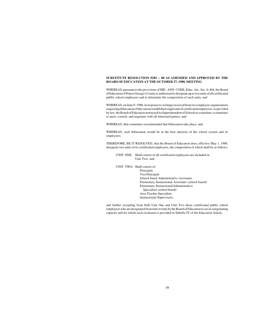#### <span id="page-40-0"></span>**[SUBSTITUTE RESOLUTION #285 -- 88 AS AMENDED AND APPROVED BY THE](#page-1-0) BOARD OF EDUCATION AT THE OCTOBER 27, 1988, MEETING**

WHEREAS, pursuant to the provisions of MD. ANN. CODE, Educ. Art., Sec. 6-404, the Board of Education of Prince George's County is authorized to designate up to two units of all certificated public school employees and to determine the composition of such units, and

WHEREAS, on June 9, 1988, in response to writings received from two employee organizations requesting bifurcation of the current established single unit of certificated employees, as provided by law, the Board of Education instructed its Superintendent of Schools to constitute a committee to meet, consult, and negotiate with all interested parties, and

WHEREAS, that committee recommended that bifurcation take place, and

WHEREAS, such bifurcation would be in the best interests of the school system and its employees;

THEREFORE, BE IT RESOLVED, that the Board of Education does, effective May 1, 1989, designate two units of its certificated employees, the composition of which shall be as follows:

UNIT ONE: Shall consist of all certificated employees not included in Unit Two, and

UNIT TWO: Shall consist of: Principals Vice Principals School based Administrative Assistants Elementary Instructional Assistants (school based) Elementary Instructional/Administrative Specialists (school based) Area Teacher Specialists Instructional Supervisors,

and further excepting from both Unit One and Unit Two those certificated public school employees who are designated from time to time by the Board of Education to act in a negotiating capacity and for which such exclusion is provided in Subtitle IV of the Education Article.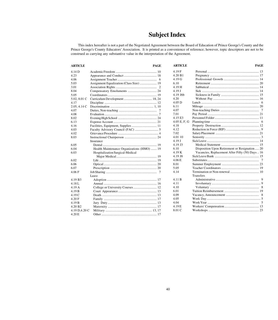# **Subject Index**

This index hereafter is not a part of the Negotiated Agreement between the Board of Education of Prince George's County and the Prince George's County Educators' Association. It is printed as a convenience of reference; however, topic descriptors are not to be construed as carrying any substantive value in the interpretation of the Agreement.

| <b>ARTICLE</b>      |                                            | <b>PAGE</b> | <b>ARTICLE</b>      |                                                  | <b>PAGE</b> |
|---------------------|--------------------------------------------|-------------|---------------------|--------------------------------------------------|-------------|
| 4.14 D              |                                            |             | 4.19 F              |                                                  |             |
| 4.23                |                                            |             | 4.20 B1             |                                                  |             |
| 4.06                |                                            |             | 4.19 <sub>G</sub>   |                                                  |             |
| 5.03                |                                            |             | 6.10                |                                                  |             |
| 3.01                |                                            |             | 4.19 H              |                                                  |             |
| 8.04                |                                            |             | 4.19J               |                                                  |             |
| 5.05                |                                            |             | $4.19$ J6b          |                                                  |             |
| 5.02, 8.01 C        |                                            |             | 4.20                |                                                  |             |
| 4.17                |                                            |             | $4.05$ D            |                                                  |             |
| 2.05, 4.14 C        |                                            |             | 6.11                |                                                  |             |
| 4.07                |                                            |             | 4.07                |                                                  |             |
| 4.08                |                                            |             | 7.01                |                                                  |             |
| 8.02                |                                            |             | 4.15 E3             |                                                  |             |
| 6.13                |                                            |             | 4.05 E, F, G        |                                                  |             |
| 4.16                |                                            |             | 4.18                |                                                  |             |
| 4.03                |                                            |             | 4.12                |                                                  |             |
| 4.02                |                                            |             | 7.02                |                                                  |             |
| 8.03                |                                            |             | 4.01 10             |                                                  |             |
|                     | Insurance                                  |             | 4.19J               |                                                  |             |
| 6.05                |                                            |             | 4.19 J <sub>3</sub> |                                                  |             |
| 6.04                | Health Maintenance Organizations (HMO)  19 |             | 6.10                | Disposition Upon Retirement or Resignation  20   |             |
| 6.03                | Hospitalization Surgical-Medical           |             | 4.19 K              | Vacancies, Replacement After Fifty (50) Days  16 |             |
|                     |                                            |             | 4.19 J <sub>8</sub> |                                                  |             |
| 6.02                |                                            |             | 4.06E               |                                                  |             |
| 6.06                |                                            |             | 8.01                |                                                  |             |
| 6.07                |                                            |             | 5.05                |                                                  |             |
| 4.06 F              |                                            |             | 4.14                |                                                  |             |
|                     | Leave                                      |             |                     | <b>Transfers</b>                                 |             |
| 4.19 B3             |                                            |             | 4.11 B              |                                                  |             |
| 4.18L               |                                            |             | 4.11                |                                                  |             |
| 4.19 A              |                                            |             | 4.10                |                                                  |             |
| 4.19 B              |                                            |             | 6.01                |                                                  |             |
| 4.19 C              |                                            |             | 4.09                |                                                  |             |
| 4.20 F              |                                            |             | 4.05                |                                                  |             |
| 4.19 B              |                                            |             | 4.04                |                                                  |             |
| 4.20 B <sub>2</sub> |                                            |             | 4.19E               |                                                  |             |
| 4.19 D, 4.20 C      |                                            |             | 8.01 C              |                                                  |             |
| 4.20 E              |                                            |             |                     |                                                  |             |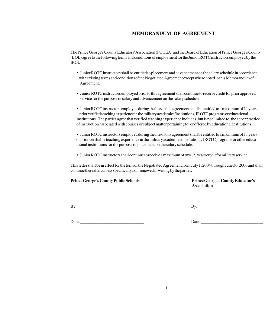## **MEMORANDUM OF AGREEMENT**

The Prince George's County Educators' Association (PGCEA) and the Board of Education of Prince George's County (BOE) agree to the following terms and conditions of employment for the Junior ROTC instructors employed by the BOE.

- Junior ROTC instructors shall be entitled to placement and advancement on the salary schedule in accordance with existing terms and conditions of the Negotiated Agreement except where noted in this Memorandum of Agreement.
- Junior ROTC instructors employed prior to this agreement shall continue to receive credit for prior approved service for the purpose of salary and advancement on the salary schedule.
- Junior ROTC instructors employed during the life of this agreement shall be entitled to a maximum of 11 years prior verified teaching experience in the military academies/institutions, JROTC programs or educational institutions. The parties agree that verified teaching experience includes, but is not limited to, the act or practice of instruction associated with courses or subject matter pertaining to, or offered by educational institutions.

• Junior ROTC instructors employed during the life of this agreement shall be entitled to a maximum of 11 years of prior verifiable teaching experience in the military academies/institutions, JROTC programs or other educa tional institutions for the purpose of placement on the salary schedule.

• Junior ROTC instructors shall continue to receive a maximum of two (2) years credit for military service.

This letter shall be in effect for the term of the Negotiated Agreement from July 1, 2004 through June 30, 2006 and shall continue thereafter, unless specifically non-renewed in writing by the parties.

## **Prince George's County Public Schools Prince George's County Educator's**

 **Association**

 $\mathbf{B} \mathbf{v}$ :  $\qquad \qquad \mathbf{B} \mathbf{v}$ :

Date: \_\_\_\_\_\_\_\_\_\_\_\_\_\_\_\_\_\_\_\_\_\_\_\_\_\_\_\_\_\_ Date: \_\_\_\_\_\_\_\_\_\_\_\_\_\_\_\_\_\_\_\_\_\_\_\_\_\_\_\_\_